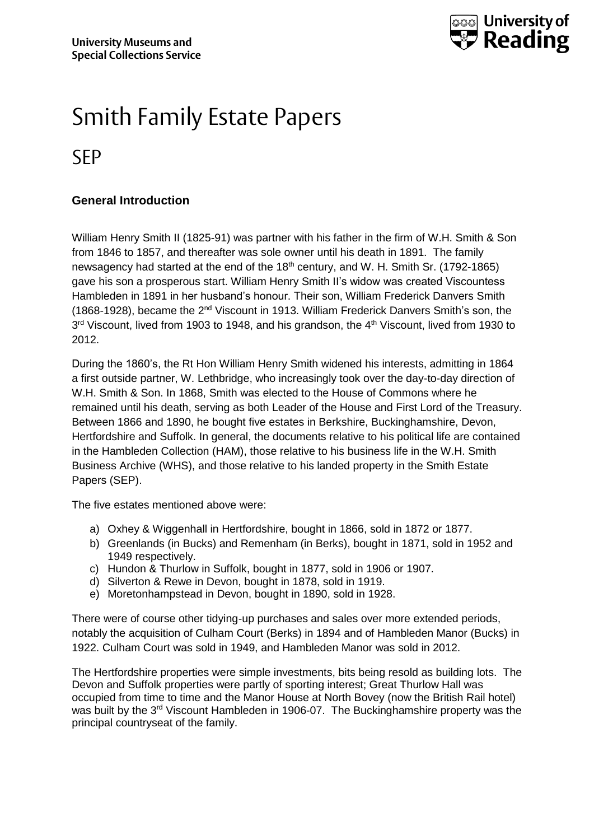

## Smith Family Estate Papers SEP

### **General Introduction**

William Henry Smith II (1825-91) was partner with his father in the firm of W.H. Smith & Son from 1846 to 1857, and thereafter was sole owner until his death in 1891. The family newsagency had started at the end of the 18<sup>th</sup> century, and W. H. Smith Sr. (1792-1865) gave his son a prosperous start. William Henry Smith II's widow was created Viscountess Hambleden in 1891 in her husband's honour. Their son, William Frederick Danvers Smith (1868-1928), became the 2nd Viscount in 1913. William Frederick Danvers Smith's son, the 3<sup>rd</sup> Viscount, lived from 1903 to 1948, and his grandson, the 4<sup>th</sup> Viscount, lived from 1930 to 2012.

During the 1860's, the Rt Hon William Henry Smith widened his interests, admitting in 1864 a first outside partner, W. Lethbridge, who increasingly took over the day-to-day direction of W.H. Smith & Son. In 1868, Smith was elected to the House of Commons where he remained until his death, serving as both Leader of the House and First Lord of the Treasury. Between 1866 and 1890, he bought five estates in Berkshire, Buckinghamshire, Devon, Hertfordshire and Suffolk. In general, the documents relative to his political life are contained in the Hambleden Collection (HAM), those relative to his business life in the W.H. Smith Business Archive (WHS), and those relative to his landed property in the Smith Estate Papers (SEP).

The five estates mentioned above were:

- a) Oxhey & Wiggenhall in Hertfordshire, bought in 1866, sold in 1872 or 1877.
- b) Greenlands (in Bucks) and Remenham (in Berks), bought in 1871, sold in 1952 and 1949 respectively.
- c) Hundon & Thurlow in Suffolk, bought in 1877, sold in 1906 or 1907.
- d) Silverton & Rewe in Devon, bought in 1878, sold in 1919.
- e) Moretonhampstead in Devon, bought in 1890, sold in 1928.

There were of course other tidying-up purchases and sales over more extended periods, notably the acquisition of Culham Court (Berks) in 1894 and of Hambleden Manor (Bucks) in 1922. Culham Court was sold in 1949, and Hambleden Manor was sold in 2012.

The Hertfordshire properties were simple investments, bits being resold as building lots. The Devon and Suffolk properties were partly of sporting interest; Great Thurlow Hall was occupied from time to time and the Manor House at North Bovey (now the British Rail hotel) was built by the 3<sup>rd</sup> Viscount Hambleden in 1906-07. The Buckinghamshire property was the principal countryseat of the family.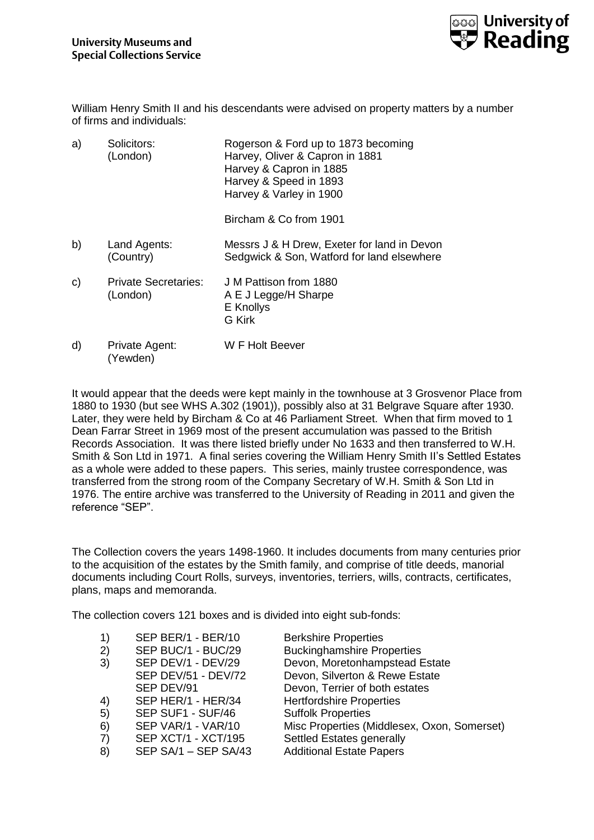

William Henry Smith II and his descendants were advised on property matters by a number of firms and individuals:

| a) | Solicitors:<br>(London)                 | Rogerson & Ford up to 1873 becoming<br>Harvey, Oliver & Capron in 1881<br>Harvey & Capron in 1885<br>Harvey & Speed in 1893<br>Harvey & Varley in 1900 |
|----|-----------------------------------------|--------------------------------------------------------------------------------------------------------------------------------------------------------|
|    |                                         | Bircham & Co from 1901                                                                                                                                 |
| b) | Land Agents:<br>(Country)               | Messrs J & H Drew, Exeter for land in Devon<br>Sedgwick & Son, Watford for land elsewhere                                                              |
| C) | <b>Private Secretaries:</b><br>(London) | J M Pattison from 1880<br>A E J Legge/H Sharpe<br>E Knollys<br><b>G</b> Kirk                                                                           |
| d) | Private Agent:<br>(Yewden)              | W F Holt Beever                                                                                                                                        |

It would appear that the deeds were kept mainly in the townhouse at 3 Grosvenor Place from 1880 to 1930 (but see WHS A.302 (1901)), possibly also at 31 Belgrave Square after 1930. Later, they were held by Bircham & Co at 46 Parliament Street. When that firm moved to 1 Dean Farrar Street in 1969 most of the present accumulation was passed to the British Records Association. It was there listed briefly under No 1633 and then transferred to W.H. Smith & Son Ltd in 1971. A final series covering the William Henry Smith II's Settled Estates as a whole were added to these papers. This series, mainly trustee correspondence, was transferred from the strong room of the Company Secretary of W.H. Smith & Son Ltd in 1976. The entire archive was transferred to the University of Reading in 2011 and given the reference "SEP".

The Collection covers the years 1498-1960. It includes documents from many centuries prior to the acquisition of the estates by the Smith family, and comprise of title deeds, manorial documents including Court Rolls, surveys, inventories, terriers, wills, contracts, certificates, plans, maps and memoranda.

The collection covers 121 boxes and is divided into eight sub-fonds:

| $\left( \begin{matrix} 1 \end{matrix} \right)$ | SEP BER/1 - BER/10   | <b>Berkshire Properties</b>                 |
|------------------------------------------------|----------------------|---------------------------------------------|
| 2)                                             | SEP BUC/1 - BUC/29   | <b>Buckinghamshire Properties</b>           |
| 3)                                             | SEP DEV/1 - DEV/29   | Devon, Moretonhampstead Estate              |
|                                                | SEP DEV/51 - DEV/72  | Devon, Silverton & Rewe Estate              |
|                                                | SEP DEV/91           | Devon, Terrier of both estates              |
| 4)                                             | SEP HER/1 - HER/34   | <b>Hertfordshire Properties</b>             |
| 5)                                             | SEP SUF1 - SUF/46    | <b>Suffolk Properties</b>                   |
| 6)                                             | SEP VAR/1 - VAR/10   | Misc Properties (Middlesex, Oxon, Somerset) |
| $\left( 7\right)$                              | SEP XCT/1 - XCT/195  | Settled Estates generally                   |
| 8)                                             | SEP SA/1 - SEP SA/43 | <b>Additional Estate Papers</b>             |
|                                                |                      |                                             |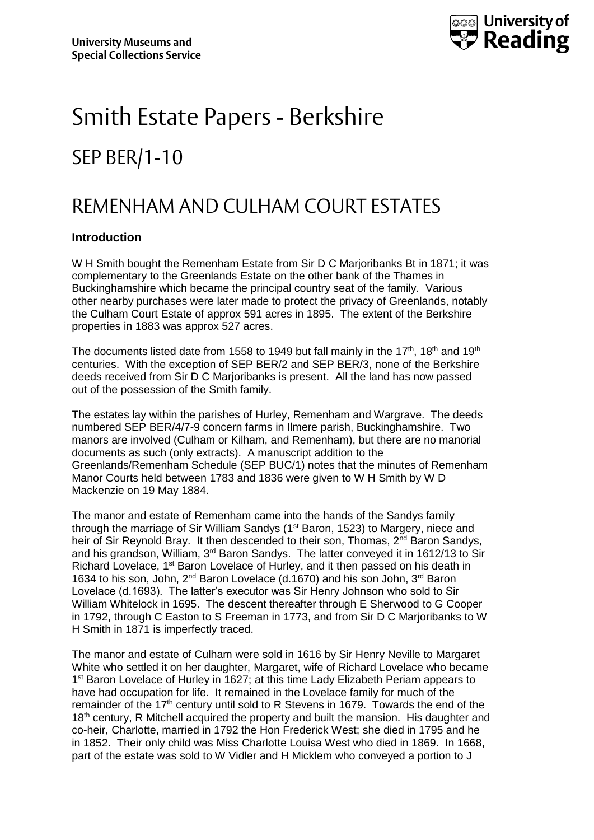

# Smith Estate Papers - Berkshire SEP BER/1-10

### REMENHAM AND CULHAM COURT ESTATES

#### **Introduction**

W H Smith bought the Remenham Estate from Sir D C Marjoribanks Bt in 1871; it was complementary to the Greenlands Estate on the other bank of the Thames in Buckinghamshire which became the principal country seat of the family. Various other nearby purchases were later made to protect the privacy of Greenlands, notably the Culham Court Estate of approx 591 acres in 1895. The extent of the Berkshire properties in 1883 was approx 527 acres.

The documents listed date from 1558 to 1949 but fall mainly in the 17<sup>th</sup>, 18<sup>th</sup> and 19<sup>th</sup> centuries. With the exception of SEP BER/2 and SEP BER/3, none of the Berkshire deeds received from Sir D C Marjoribanks is present. All the land has now passed out of the possession of the Smith family.

The estates lay within the parishes of Hurley, Remenham and Wargrave. The deeds numbered SEP BER/4/7-9 concern farms in Ilmere parish, Buckinghamshire. Two manors are involved (Culham or Kilham, and Remenham), but there are no manorial documents as such (only extracts). A manuscript addition to the Greenlands/Remenham Schedule (SEP BUC/1) notes that the minutes of Remenham Manor Courts held between 1783 and 1836 were given to W H Smith by W D Mackenzie on 19 May 1884.

The manor and estate of Remenham came into the hands of the Sandys family through the marriage of Sir William Sandys (1<sup>st</sup> Baron, 1523) to Margery, niece and heir of Sir Reynold Bray. It then descended to their son, Thomas,  $2^{nd}$  Baron Sandys, and his grandson, William, 3rd Baron Sandys. The latter conveyed it in 1612/13 to Sir Richard Lovelace, 1<sup>st</sup> Baron Lovelace of Hurley, and it then passed on his death in 1634 to his son, John, 2<sup>nd</sup> Baron Lovelace (d.1670) and his son John, 3<sup>rd</sup> Baron Lovelace (d.1693). The latter's executor was Sir Henry Johnson who sold to Sir William Whitelock in 1695. The descent thereafter through E Sherwood to G Cooper in 1792, through C Easton to S Freeman in 1773, and from Sir D C Marjoribanks to W H Smith in 1871 is imperfectly traced.

The manor and estate of Culham were sold in 1616 by Sir Henry Neville to Margaret White who settled it on her daughter, Margaret, wife of Richard Lovelace who became 1<sup>st</sup> Baron Lovelace of Hurley in 1627; at this time Lady Elizabeth Periam appears to have had occupation for life. It remained in the Lovelace family for much of the remainder of the  $17<sup>th</sup>$  century until sold to R Stevens in 1679. Towards the end of the 18<sup>th</sup> century, R Mitchell acquired the property and built the mansion. His daughter and co-heir, Charlotte, married in 1792 the Hon Frederick West; she died in 1795 and he in 1852. Their only child was Miss Charlotte Louisa West who died in 1869. In 1668, part of the estate was sold to W Vidler and H Micklem who conveyed a portion to J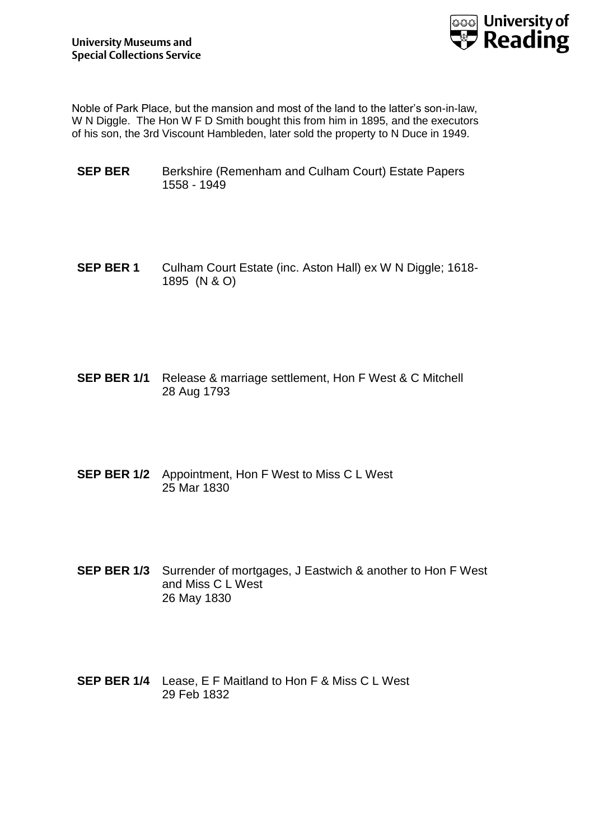

Noble of Park Place, but the mansion and most of the land to the latter's son-in-law, W N Diggle. The Hon W F D Smith bought this from him in 1895, and the executors of his son, the 3rd Viscount Hambleden, later sold the property to N Duce in 1949.

- **SEP BER** Berkshire (Remenham and Culham Court) Estate Papers 1558 - 1949
- **SEP BER 1** Culham Court Estate (inc. Aston Hall) ex W N Diggle: 1618-1895 (N & O)
- **SEP BER 1/1** Release & marriage settlement, Hon F West & C Mitchell 28 Aug 1793
- **SEP BER 1/2** Appointment, Hon F West to Miss C L West 25 Mar 1830
- **SEP BER 1/3** Surrender of mortgages, J Eastwich & another to Hon F West and Miss C L West 26 May 1830
- **SEP BER 1/4** Lease, E F Maitland to Hon F & Miss C L West 29 Feb 1832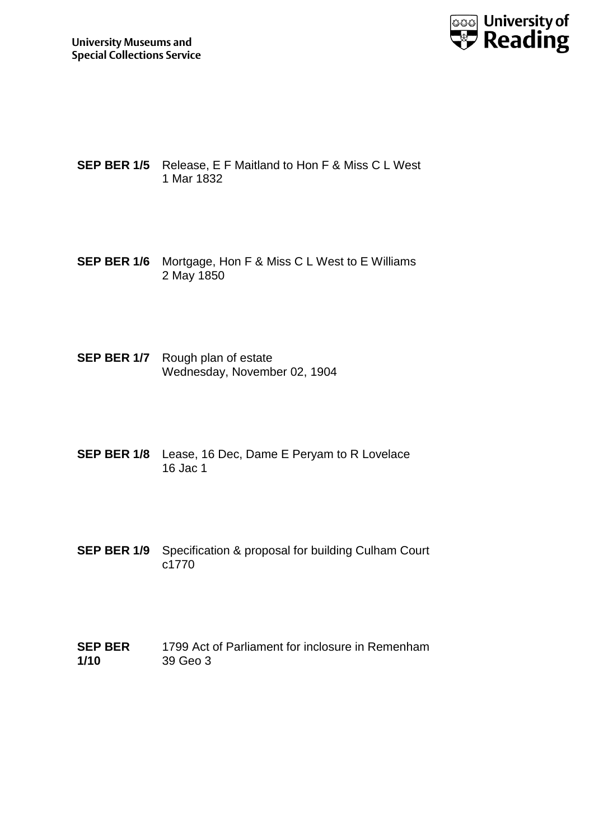

- **SEP BER 1/5** Release, E F Maitland to Hon F & Miss C L West 1 Mar 1832
- **SEP BER 1/6** Mortgage, Hon F & Miss C L West to E Williams 2 May 1850
- **SEP BER 1/7** Rough plan of estate Wednesday, November 02, 1904
- **SEP BER 1/8** Lease, 16 Dec, Dame E Peryam to R Lovelace 16 Jac 1
- **SEP BER 1/9** Specification & proposal for building Culham Court c1770
- **SEP BER 1/10** 1799 Act of Parliament for inclosure in Remenham 39 Geo 3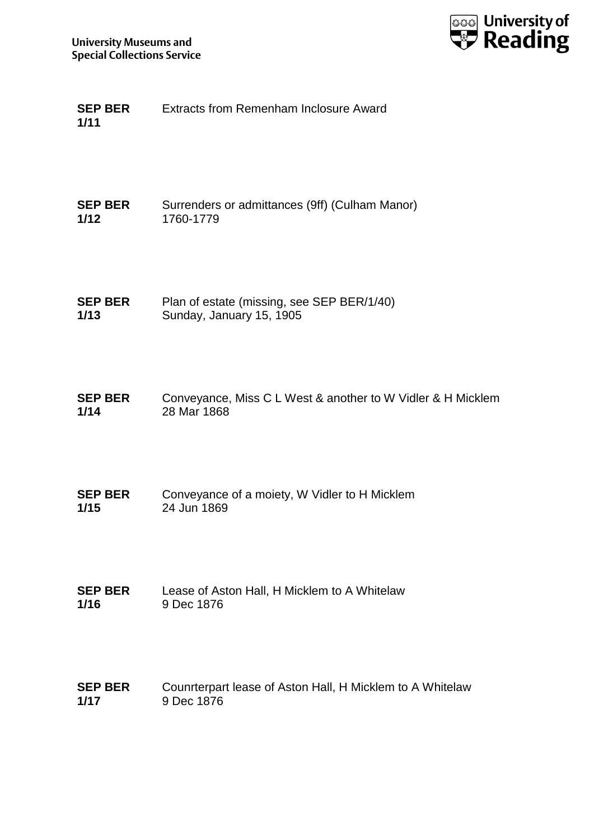

**SEP BER 1/11** Extracts from Remenham Inclosure Award

**SEP BER 1/12** Surrenders or admittances (9ff) (Culham Manor) 1760-1779

**SEP BER 1/13** Plan of estate (missing, see SEP BER/1/40) Sunday, January 15, 1905

**SEP BER 1/14** Conveyance, Miss C L West & another to W Vidler & H Micklem 28 Mar 1868

- **SEP BER 1/15** Conveyance of a moiety, W Vidler to H Micklem 24 Jun 1869
- **SEP BER 1/16** Lease of Aston Hall, H Micklem to A Whitelaw 9 Dec 1876
- **SEP BER 1/17** Counrterpart lease of Aston Hall, H Micklem to A Whitelaw 9 Dec 1876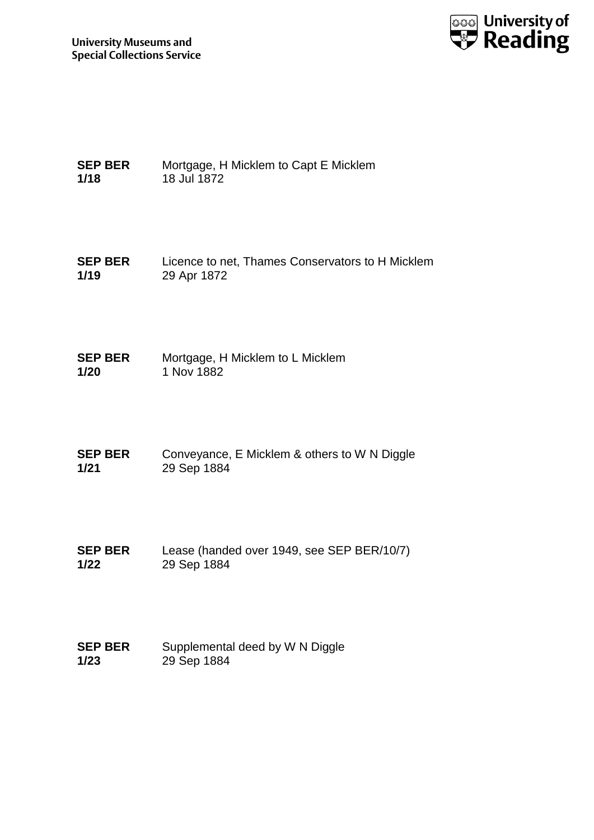

**SEP BER 1/18** Mortgage, H Micklem to Capt E Micklem 18 Jul 1872

**SEP BER 1/19** Licence to net, Thames Conservators to H Micklem 29 Apr 1872

**SEP BER 1/20** Mortgage, H Micklem to L Micklem 1 Nov 1882

**SEP BER 1/21** Conveyance, E Micklem & others to W N Diggle 29 Sep 1884

**SEP BER 1/22** Lease (handed over 1949, see SEP BER/10/7) 29 Sep 1884

**SEP BER 1/23** Supplemental deed by W N Diggle 29 Sep 1884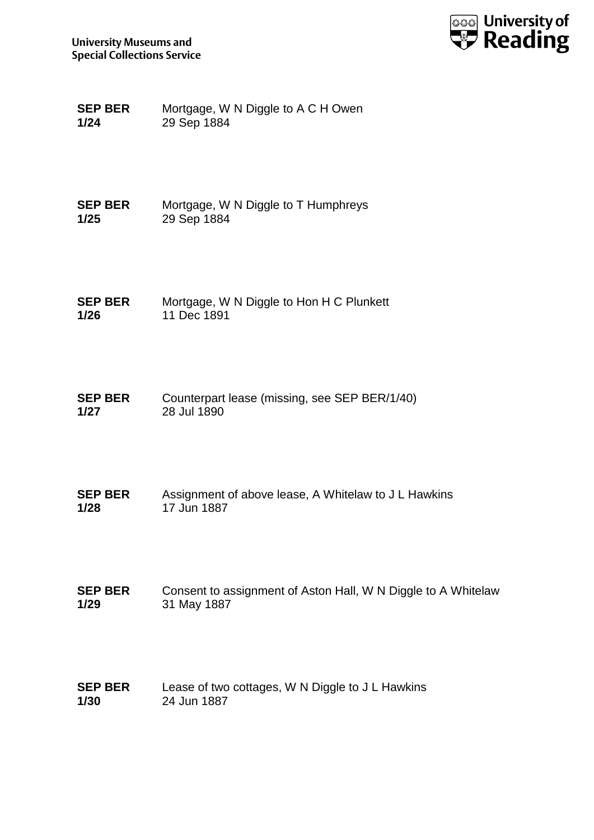

**SEP BER 1/24** Mortgage, W N Diggle to A C H Owen 29 Sep 1884

**SEP BER 1/25** Mortgage, W N Diggle to T Humphreys 29 Sep 1884

**SEP BER 1/26** Mortgage, W N Diggle to Hon H C Plunkett 11 Dec 1891

**SEP BER 1/27** Counterpart lease (missing, see SEP BER/1/40) 28 Jul 1890

**SEP BER 1/28** Assignment of above lease, A Whitelaw to J L Hawkins 17 Jun 1887

**SEP BER 1/29** Consent to assignment of Aston Hall, W N Diggle to A Whitelaw 31 May 1887

**SEP BER 1/30** Lease of two cottages, W N Diggle to J L Hawkins 24 Jun 1887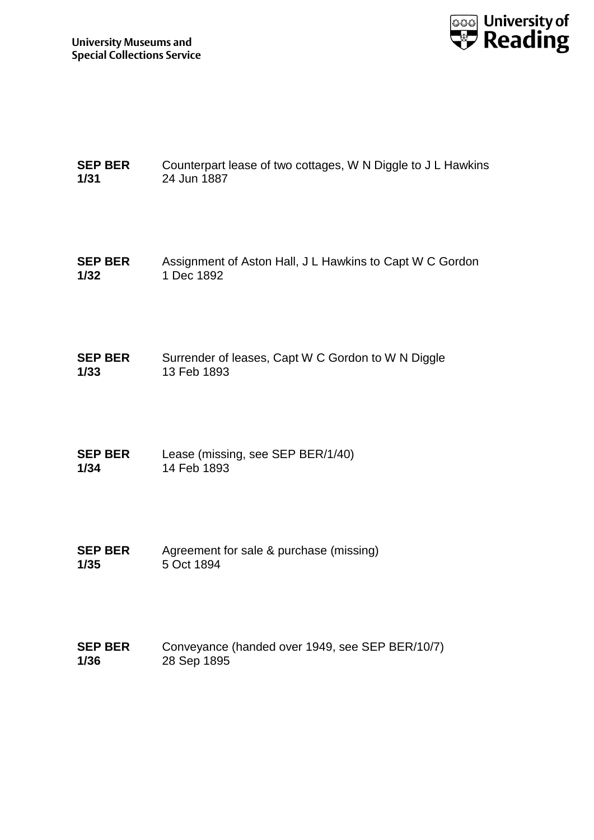

| <b>SEP BER</b> | Counterpart lease of two cottages, W N Diggle to J L Hawkins |
|----------------|--------------------------------------------------------------|
| 1/31           | 24 Jun 1887                                                  |

- **SEP BER 1/32** Assignment of Aston Hall, J L Hawkins to Capt W C Gordon 1 Dec 1892
- **SEP BER 1/33** Surrender of leases, Capt W C Gordon to W N Diggle 13 Feb 1893
- **SEP BER 1/34** Lease (missing, see SEP BER/1/40) 14 Feb 1893
- **SEP BER 1/35** Agreement for sale & purchase (missing) 5 Oct 1894
- **SEP BER 1/36** Conveyance (handed over 1949, see SEP BER/10/7) 28 Sep 1895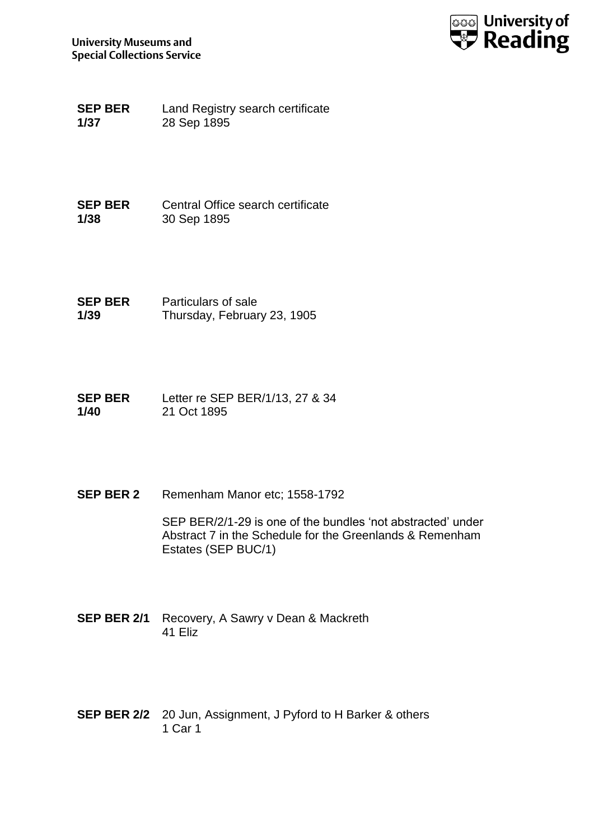

**SEP BER 1/37** Land Registry search certificate 28 Sep 1895

**SEP BER 1/38** Central Office search certificate 30 Sep 1895

**SEP BER 1/39** Particulars of sale Thursday, February 23, 1905

**SEP BER 1/40** Letter re SEP BER/1/13, 27 & 34 21 Oct 1895

**SEP BER 2** Remenham Manor etc; 1558-1792

SEP BER/2/1-29 is one of the bundles 'not abstracted' under Abstract 7 in the Schedule for the Greenlands & Remenham Estates (SEP BUC/1)

- **SEP BER 2/1** Recovery, A Sawry v Dean & Mackreth 41 Eliz
- **SEP BER 2/2** 20 Jun, Assignment, J Pyford to H Barker & others 1 Car 1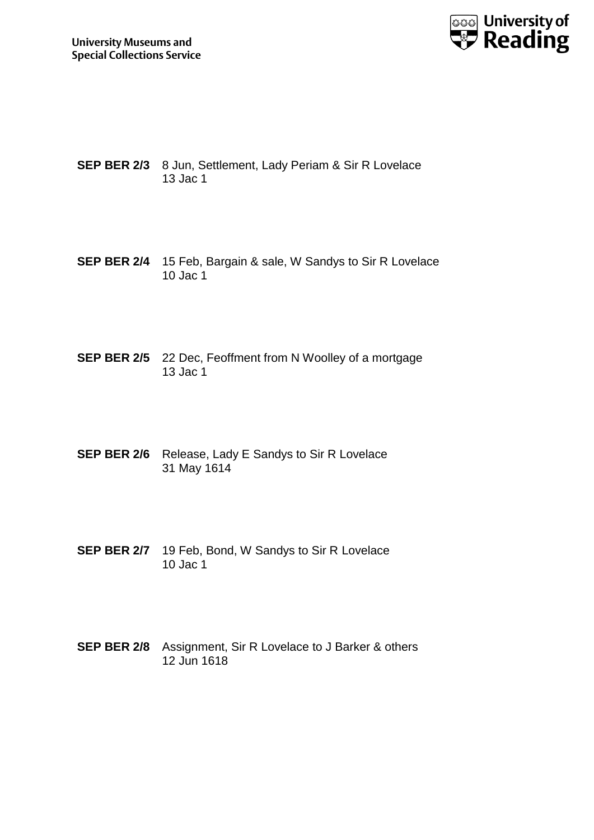

- **SEP BER 2/3** 8 Jun, Settlement, Lady Periam & Sir R Lovelace 13 Jac 1
- **SEP BER 2/4** 15 Feb, Bargain & sale, W Sandys to Sir R Lovelace 10 Jac 1
- **SEP BER 2/5** 22 Dec, Feoffment from N Woolley of a mortgage 13 Jac 1
- **SEP BER 2/6** Release, Lady E Sandys to Sir R Lovelace 31 May 1614
- **SEP BER 2/7** 19 Feb, Bond, W Sandys to Sir R Lovelace 10 Jac 1
- **SEP BER 2/8** Assignment, Sir R Lovelace to J Barker & others 12 Jun 1618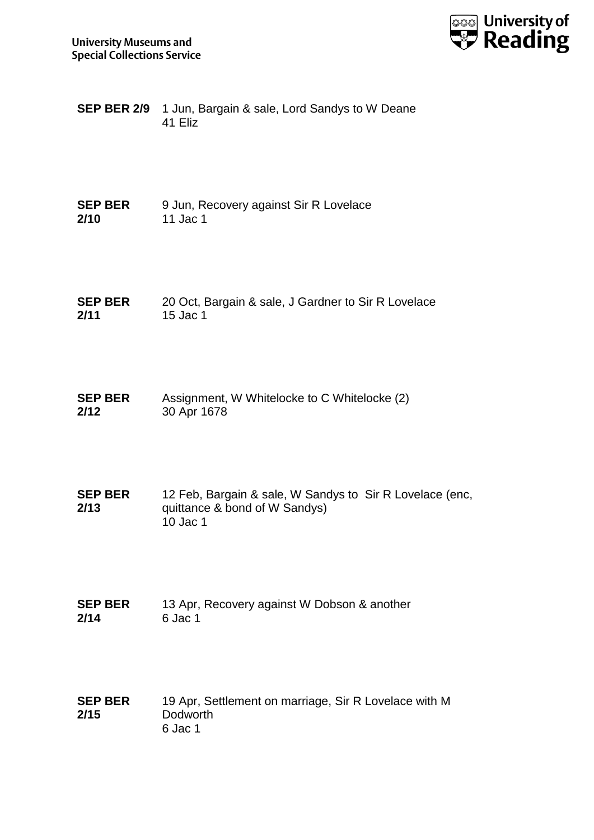

| <b>SEP BER 2/9</b> 1 Jun, Bargain & sale, Lord Sandys to W Deane |
|------------------------------------------------------------------|
| 41 Eliz                                                          |

| <b>SEP BER</b> | 9 Jun, Recovery against Sir R Lovelace |
|----------------|----------------------------------------|
| 2/10           | 11 Jac 1                               |

- **SEP BER 2/11** 20 Oct, Bargain & sale, J Gardner to Sir R Lovelace 15 Jac 1
- **SEP BER 2/12** Assignment, W Whitelocke to C Whitelocke (2) 30 Apr 1678
- **SEP BER 2/13** 12 Feb, Bargain & sale, W Sandys to Sir R Lovelace (enc, quittance & bond of W Sandys)  $10$  Jac 1
- **SEP BER 2/14** 13 Apr, Recovery against W Dobson & another 6 Jac 1
- **SEP BER 2/15** 19 Apr, Settlement on marriage, Sir R Lovelace with M **Dodworth** 6 Jac 1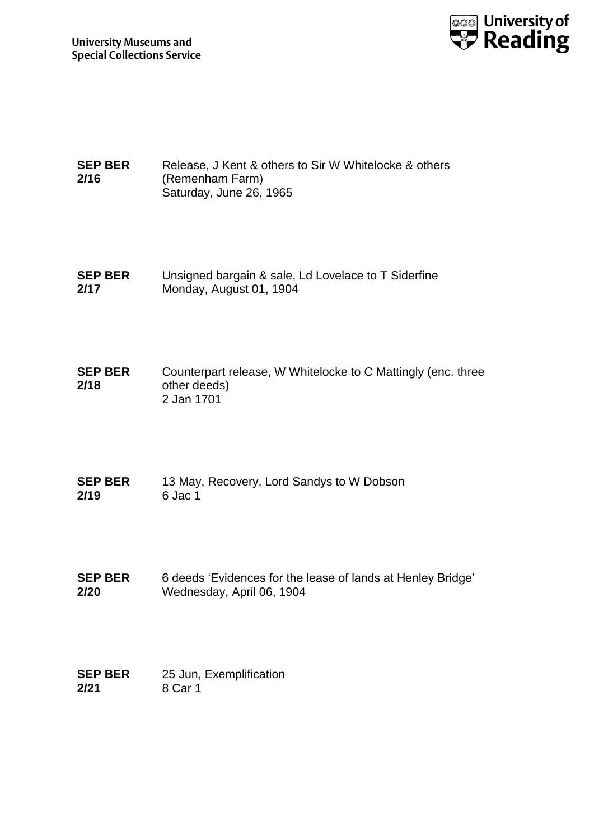

#### **SEP BER 2/16** Release, J Kent & others to Sir W Whitelocke & others (Remenham Farm) Saturday, June 26, 1965

**SEP BER 2/17** Unsigned bargain & sale, Ld Lovelace to T Siderfine Monday, August 01, 1904

**SEP BER 2/18** Counterpart release, W Whitelocke to C Mattingly (enc. three other deeds) 2 Jan 1701

- **SEP BER 2/19** 13 May, Recovery, Lord Sandys to W Dobson 6 Jac 1
- **SEP BER 2/20** 6 deeds 'Evidences for the lease of lands at Henley Bridge' Wednesday, April 06, 1904

| <b>SEP BER</b> | 25 Jun, Exemplification |
|----------------|-------------------------|
| 2/21           | 8 Car 1                 |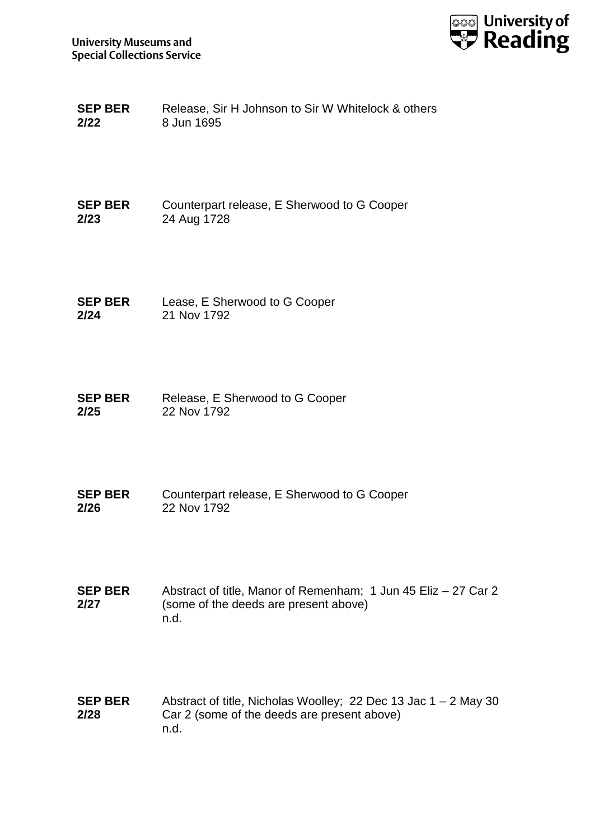

| <b>SEP BER</b> | Release, Sir H Johnson to Sir W Whitelock & others |
|----------------|----------------------------------------------------|
| 2/22           | 8 Jun 1695                                         |

**SEP BER 2/23** Counterpart release, E Sherwood to G Cooper 24 Aug 1728

**SEP BER 2/24** Lease, E Sherwood to G Cooper 21 Nov 1792

**SEP BER 2/25** Release, E Sherwood to G Cooper 22 Nov 1792

**SEP BER 2/26** Counterpart release, E Sherwood to G Cooper 22 Nov 1792

**SEP BER 2/27** Abstract of title, Manor of Remenham; 1 Jun 45 Eliz – 27 Car 2 (some of the deeds are present above) n.d.

**SEP BER 2/28** Abstract of title, Nicholas Woolley; 22 Dec 13 Jac 1 – 2 May 30 Car 2 (some of the deeds are present above) n.d.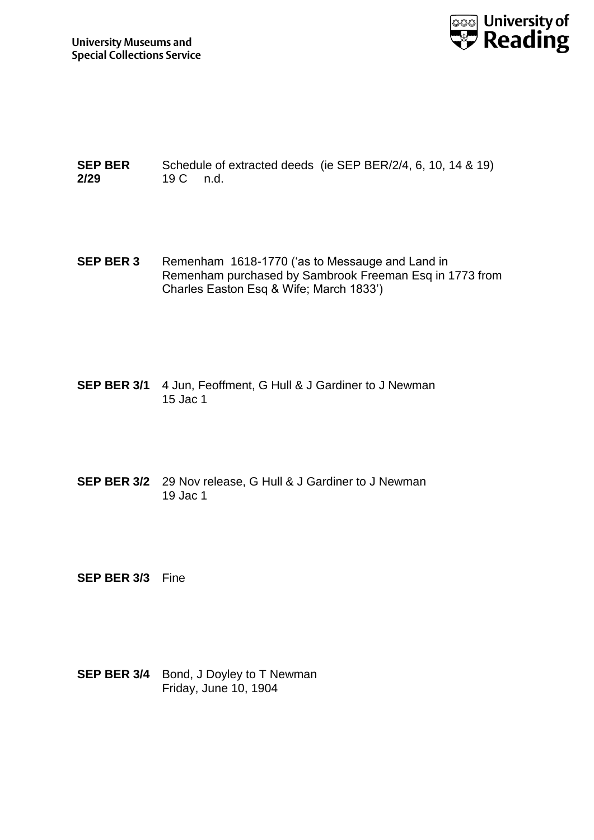

**SEP BER 2/29** Schedule of extracted deeds (ie SEP BER/2/4, 6, 10, 14 & 19) 19 C n.d.

- **SEP BER 3** Remenham 1618-1770 ('as to Messauge and Land in Remenham purchased by Sambrook Freeman Esq in 1773 from Charles Easton Esq & Wife; March 1833')
- **SEP BER 3/1** 4 Jun, Feoffment, G Hull & J Gardiner to J Newman 15 Jac 1
- **SEP BER 3/2** 29 Nov release, G Hull & J Gardiner to J Newman 19 Jac 1

**SEP BER 3/3** Fine

**SEP BER 3/4** Bond, J Doyley to T Newman Friday, June 10, 1904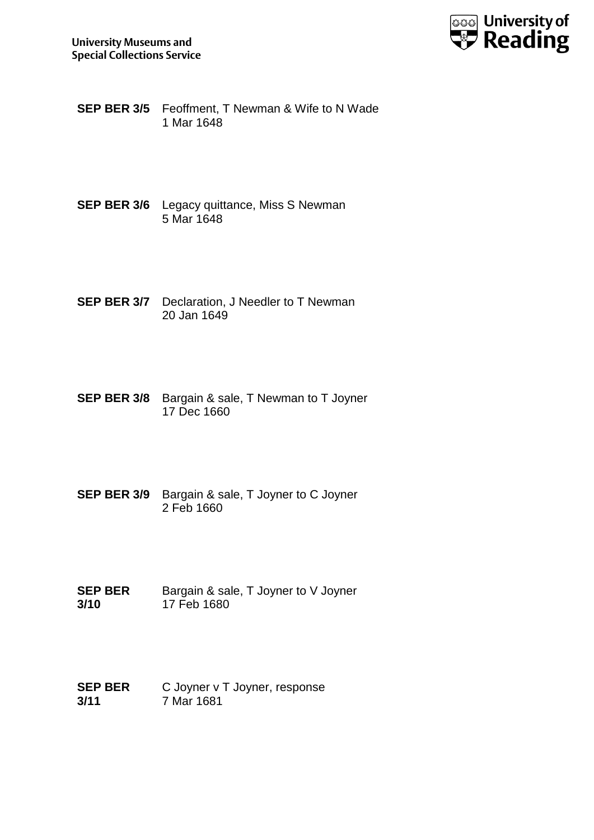

- **SEP BER 3/5** Feoffment, T Newman & Wife to N Wade 1 Mar 1648
- **SEP BER 3/6** Legacy quittance, Miss S Newman 5 Mar 1648
- **SEP BER 3/7** Declaration, J Needler to T Newman 20 Jan 1649
- **SEP BER 3/8** Bargain & sale, T Newman to T Joyner 17 Dec 1660
- **SEP BER 3/9** Bargain & sale, T Joyner to C Joyner 2 Feb 1660
- **SEP BER 3/10** Bargain & sale, T Joyner to V Joyner 17 Feb 1680
- **SEP BER 3/11** C Joyner v T Joyner, response 7 Mar 1681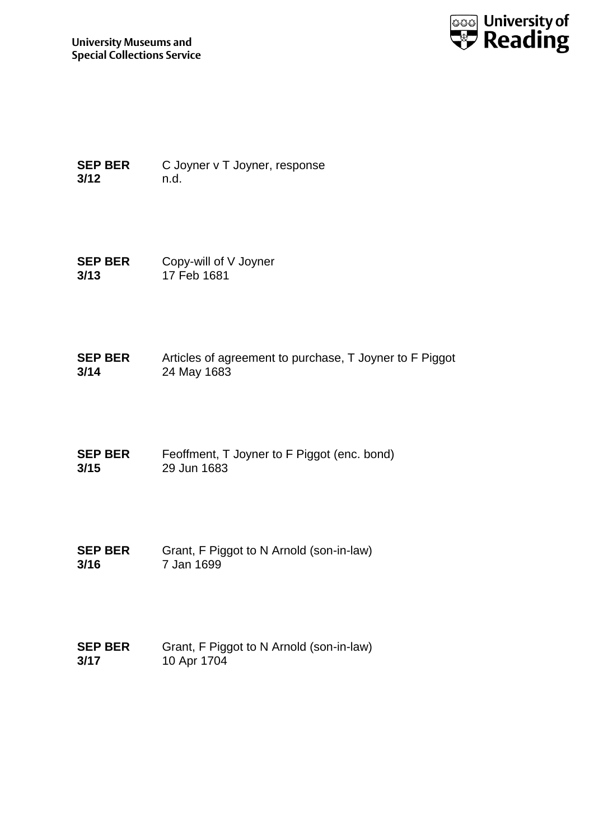

**SEP BER 3/12** C Joyner v T Joyner, response n.d.

**SEP BER 3/13** Copy-will of V Joyner 17 Feb 1681

**SEP BER 3/14** Articles of agreement to purchase, T Joyner to F Piggot 24 May 1683

**SEP BER 3/15** Feoffment, T Joyner to F Piggot (enc. bond) 29 Jun 1683

**SEP BER 3/16** Grant, F Piggot to N Arnold (son-in-law) 7 Jan 1699

**SEP BER 3/17** Grant, F Piggot to N Arnold (son-in-law) 10 Apr 1704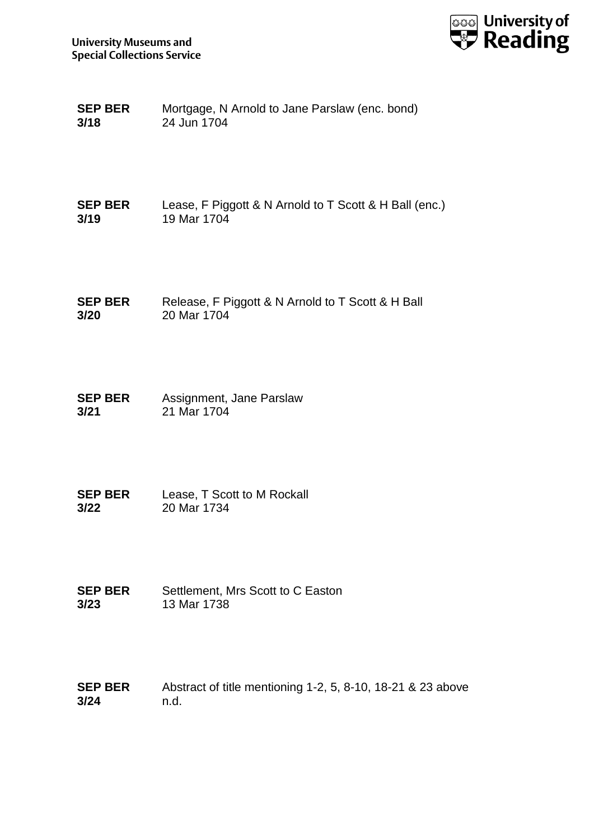

| <b>SEP BER</b> | Mortgage, N Arnold to Jane Parslaw (enc. bond) |
|----------------|------------------------------------------------|
| 3/18           | 24 Jun 1704                                    |

| <b>SEP BER</b> | Lease, F Piggott & N Arnold to T Scott & H Ball (enc.) |
|----------------|--------------------------------------------------------|
| 3/19           | 19 Mar 1704                                            |

- **SEP BER 3/20** Release, F Piggott & N Arnold to T Scott & H Ball 20 Mar 1704
- **SEP BER 3/21** Assignment, Jane Parslaw 21 Mar 1704
- **SEP BER 3/22** Lease, T Scott to M Rockall 20 Mar 1734
- **SEP BER 3/23** Settlement, Mrs Scott to C Easton 13 Mar 1738
- **SEP BER 3/24** Abstract of title mentioning 1-2, 5, 8-10, 18-21 & 23 above n.d.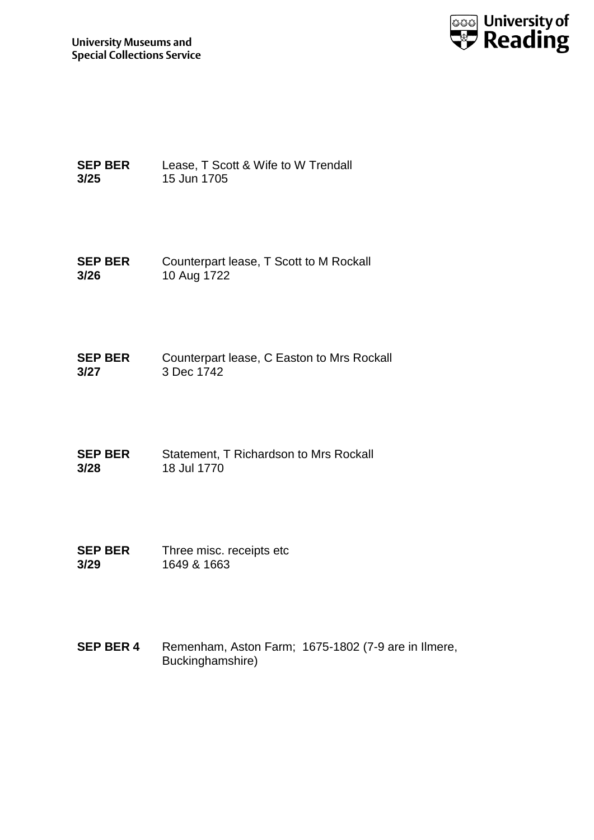

**SEP BER 3/25** Lease, T Scott & Wife to W Trendall 15 Jun 1705

**SEP BER 3/26** Counterpart lease, T Scott to M Rockall 10 Aug 1722

**SEP BER 3/27** Counterpart lease, C Easton to Mrs Rockall 3 Dec 1742

**SEP BER 3/28** Statement, T Richardson to Mrs Rockall 18 Jul 1770

**SEP BER 3/29** Three misc. receipts etc 1649 & 1663

**SEP BER 4** Remenham, Aston Farm; 1675-1802 (7-9 are in Ilmere, Buckinghamshire)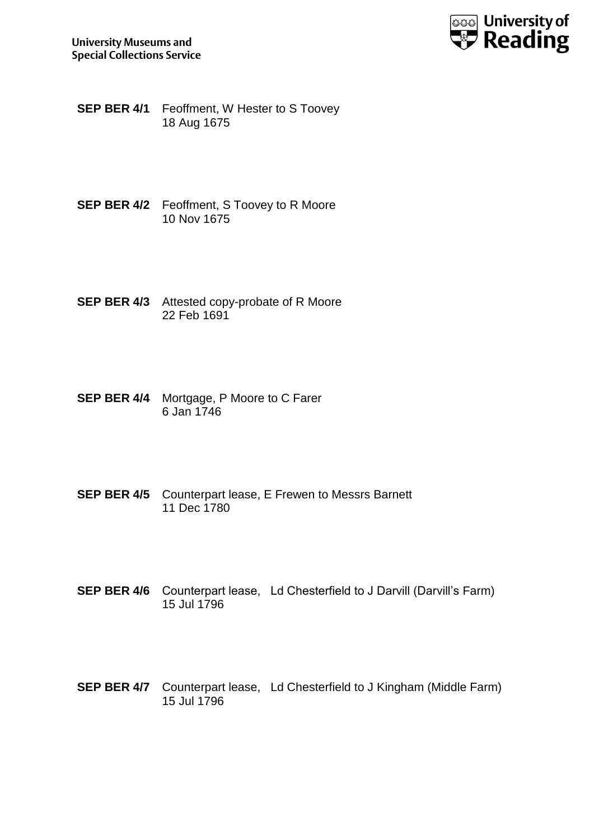

- **SEP BER 4/1** Feoffment, W Hester to S Toovey 18 Aug 1675
- **SEP BER 4/2** Feoffment, S Toovey to R Moore 10 Nov 1675
- **SEP BER 4/3** Attested copy-probate of R Moore 22 Feb 1691
- **SEP BER 4/4** Mortgage, P Moore to C Farer 6 Jan 1746
- **SEP BER 4/5** Counterpart lease, E Frewen to Messrs Barnett 11 Dec 1780
- **SEP BER 4/6** Counterpart lease, Ld Chesterfield to J Darvill (Darvill's Farm) 15 Jul 1796
- **SEP BER 4/7** Counterpart lease, Ld Chesterfield to J Kingham (Middle Farm) 15 Jul 1796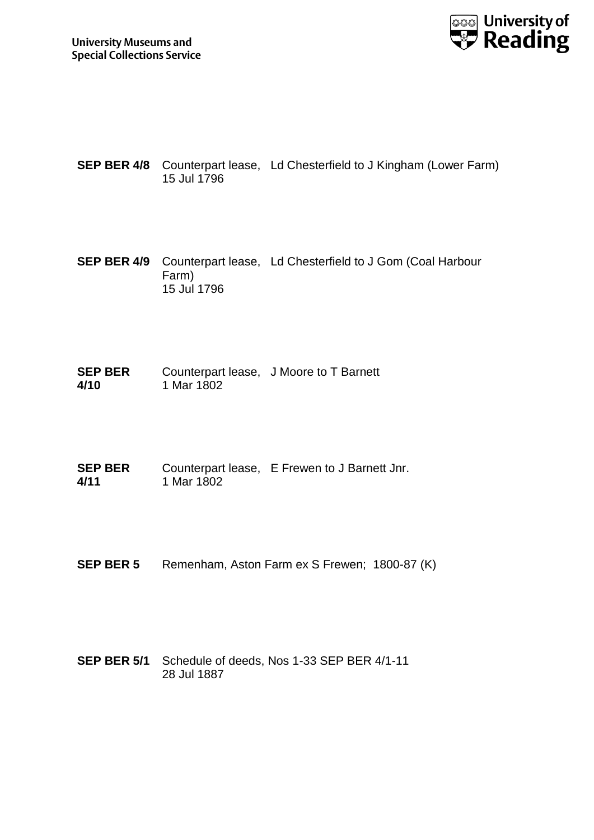

- **SEP BER 4/8** Counterpart lease, Ld Chesterfield to J Kingham (Lower Farm) 15 Jul 1796
- **SEP BER 4/9** Counterpart lease, Ld Chesterfield to J Gom (Coal Harbour Farm) 15 Jul 1796

**SEP BER 4/10** Counterpart lease, J Moore to T Barnett 1 Mar 1802

**SEP BER 4/11** Counterpart lease, E Frewen to J Barnett Jnr. 1 Mar 1802

- **SEP BER 5** Remenham, Aston Farm ex S Frewen; 1800-87 (K)
- **SEP BER 5/1** Schedule of deeds, Nos 1-33 SEP BER 4/1-11 28 Jul 1887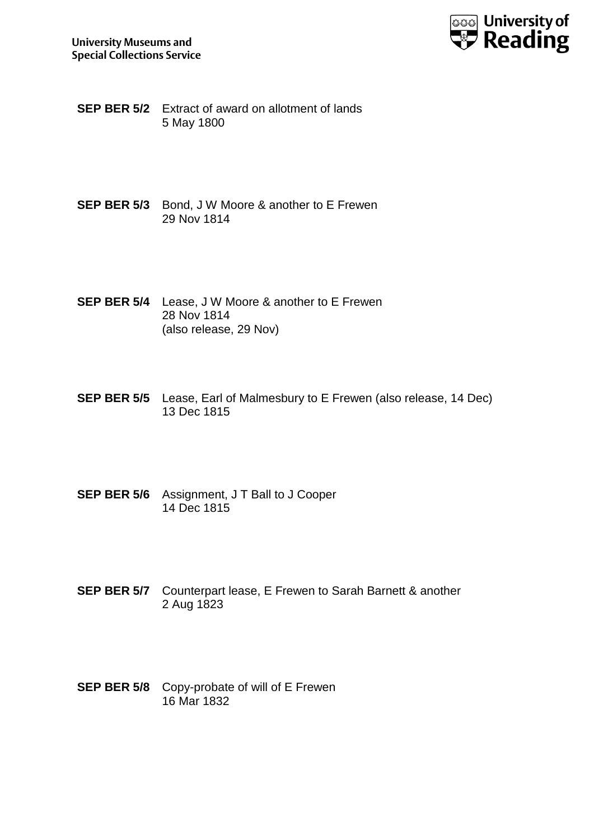

**SEP BER 5/2** Extract of award on allotment of lands 5 May 1800

- **SEP BER 5/3** Bond, J W Moore & another to E Frewen 29 Nov 1814
- **SEP BER 5/4** Lease, J W Moore & another to E Frewen 28 Nov 1814 (also release, 29 Nov)
- **SEP BER 5/5** Lease, Earl of Malmesbury to E Frewen (also release, 14 Dec) 13 Dec 1815
- **SEP BER 5/6** Assignment, J T Ball to J Cooper 14 Dec 1815
- **SEP BER 5/7** Counterpart lease, E Frewen to Sarah Barnett & another 2 Aug 1823
- **SEP BER 5/8** Copy-probate of will of E Frewen 16 Mar 1832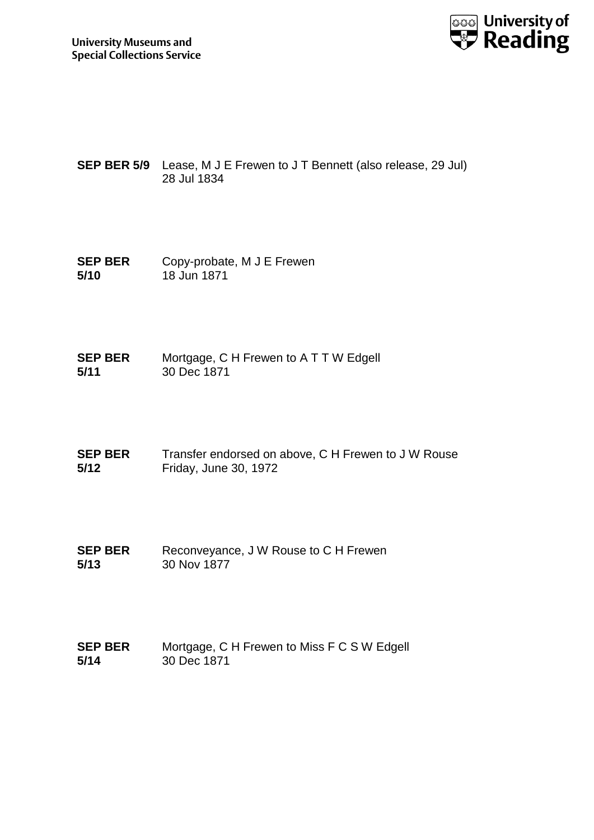

- **SEP BER 5/9** Lease, M J E Frewen to J T Bennett (also release, 29 Jul) 28 Jul 1834
- **SEP BER 5/10** Copy-probate, M J E Frewen 18 Jun 1871
- **SEP BER 5/11** Mortgage, C H Frewen to A T T W Edgell 30 Dec 1871
- **SEP BER 5/12** Transfer endorsed on above, C H Frewen to J W Rouse Friday, June 30, 1972
- **SEP BER 5/13** Reconveyance, J W Rouse to C H Frewen 30 Nov 1877
- **SEP BER 5/14** Mortgage, C H Frewen to Miss F C S W Edgell 30 Dec 1871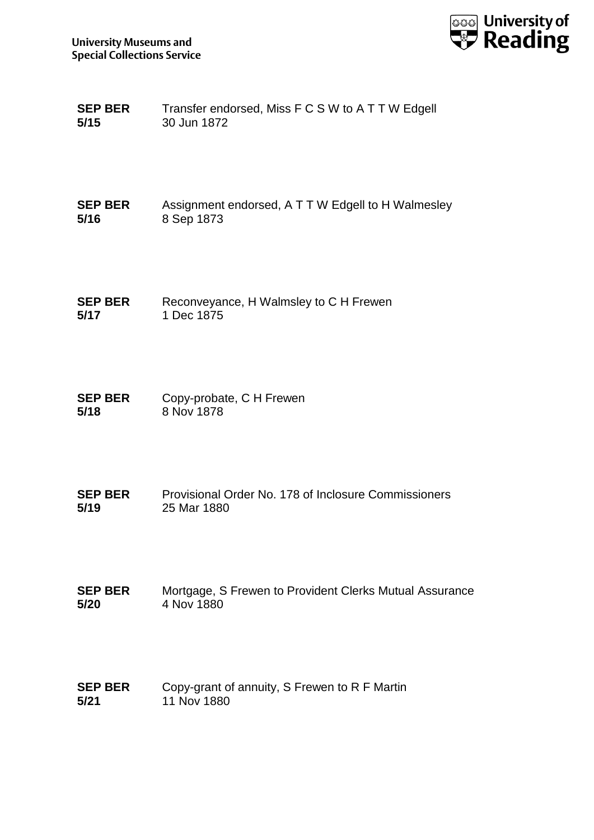

| <b>SEP BER</b> | Transfer endorsed, Miss F C S W to A T T W Edgell |
|----------------|---------------------------------------------------|
| 5/15           | 30 Jun 1872                                       |

| <b>SEP BER</b> | Assignment endorsed, A T T W Edgell to H Walmesley |
|----------------|----------------------------------------------------|
| 5/16           | 8 Sep 1873                                         |

- **SEP BER 5/17** Reconveyance, H Walmsley to C H Frewen 1 Dec 1875
- **SEP BER 5/18** Copy-probate, C H Frewen 8 Nov 1878
- **SEP BER 5/19** Provisional Order No. 178 of Inclosure Commissioners 25 Mar 1880
- **SEP BER 5/20** Mortgage, S Frewen to Provident Clerks Mutual Assurance 4 Nov 1880
- **SEP BER 5/21** Copy-grant of annuity, S Frewen to R F Martin 11 Nov 1880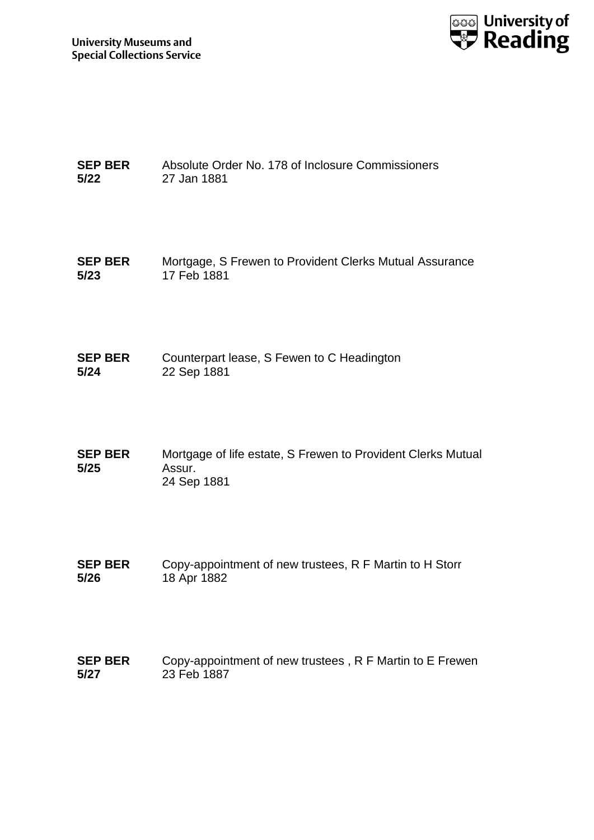

| <b>SEP BER</b> | Absolute Order No. 178 of Inclosure Commissioners |
|----------------|---------------------------------------------------|
| 5/22           | 27 Jan 1881                                       |

**SEP BER 5/23** Mortgage, S Frewen to Provident Clerks Mutual Assurance 17 Feb 1881

- **SEP BER 5/24** Counterpart lease, S Fewen to C Headington 22 Sep 1881
- **SEP BER 5/25** Mortgage of life estate, S Frewen to Provident Clerks Mutual Assur. 24 Sep 1881
- **SEP BER 5/26** Copy-appointment of new trustees, R F Martin to H Storr 18 Apr 1882
- **SEP BER 5/27** Copy-appointment of new trustees , R F Martin to E Frewen 23 Feb 1887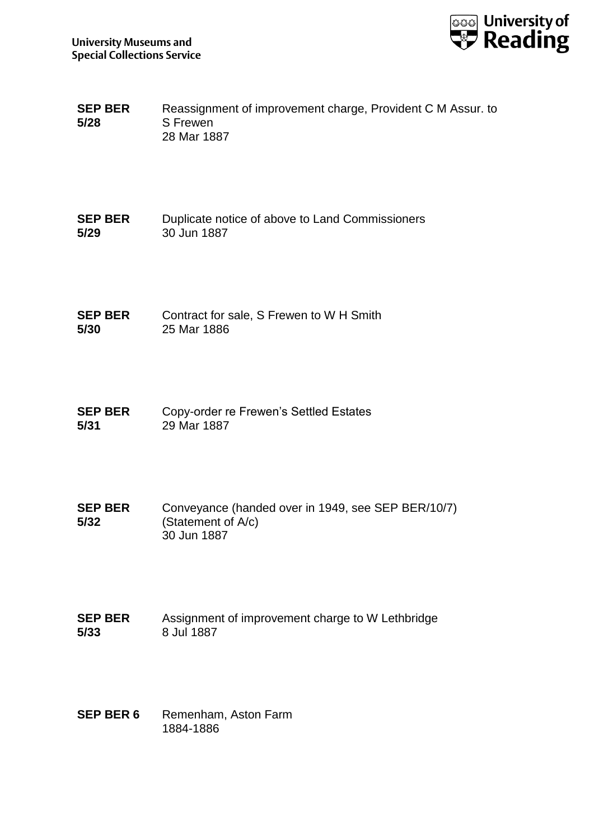

- **SEP BER 5/28** Reassignment of improvement charge, Provident C M Assur. to S Frewen 28 Mar 1887
- **SEP BER 5/29** Duplicate notice of above to Land Commissioners 30 Jun 1887

**SEP BER 5/30** Contract for sale, S Frewen to W H Smith 25 Mar 1886

- **SEP BER 5/31** Copy-order re Frewen's Settled Estates 29 Mar 1887
- **SEP BER 5/32** Conveyance (handed over in 1949, see SEP BER/10/7) (Statement of A/c) 30 Jun 1887
- **SEP BER 5/33** Assignment of improvement charge to W Lethbridge 8 Jul 1887
- **SEP BER 6** Remenham, Aston Farm 1884-1886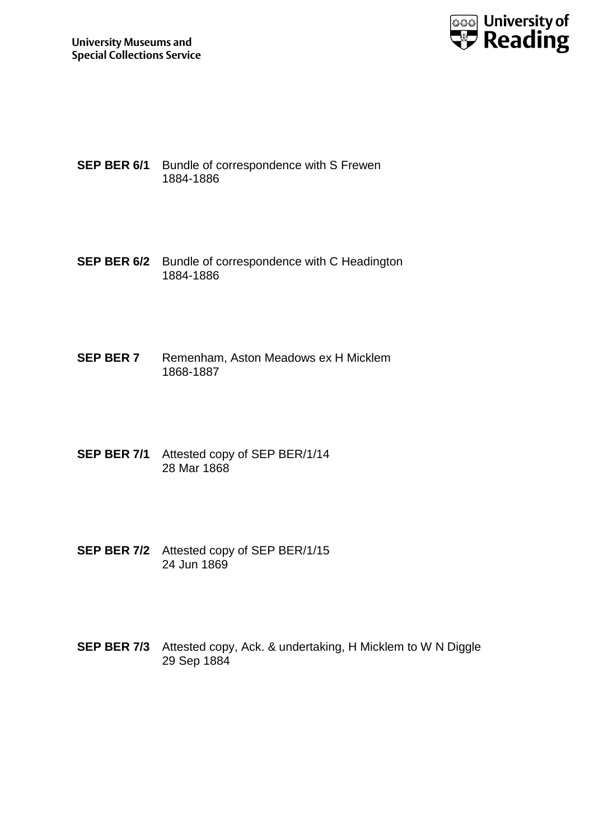

- **SEP BER 6/1** Bundle of correspondence with S Frewen 1884-1886
- **SEP BER 6/2** Bundle of correspondence with C Headington 1884-1886
- **SEP BER 7** Remenham, Aston Meadows ex H Micklem 1868-1887
- **SEP BER 7/1** Attested copy of SEP BER/1/14 28 Mar 1868
- **SEP BER 7/2** Attested copy of SEP BER/1/15 24 Jun 1869
- **SEP BER 7/3** Attested copy, Ack. & undertaking, H Micklem to W N Diggle 29 Sep 1884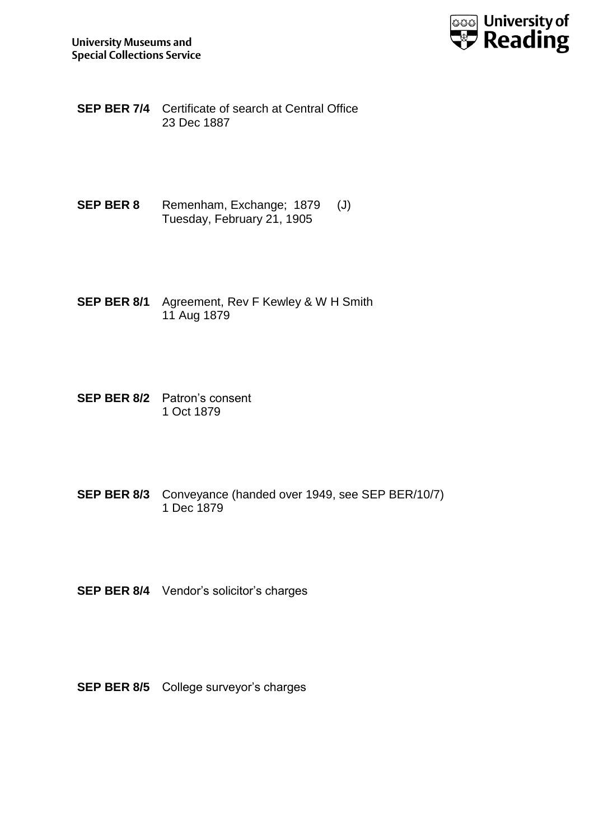

**SEP BER 7/4** Certificate of search at Central Office 23 Dec 1887

- **SEP BER 8** Remenham, Exchange; 1879 (J) Tuesday, February 21, 1905
- **SEP BER 8/1** Agreement, Rev F Kewley & W H Smith 11 Aug 1879
- **SEP BER 8/2** Patron's consent 1 Oct 1879
- **SEP BER 8/3** Conveyance (handed over 1949, see SEP BER/10/7) 1 Dec 1879
- **SEP BER 8/4** Vendor's solicitor's charges
- **SEP BER 8/5** College surveyor's charges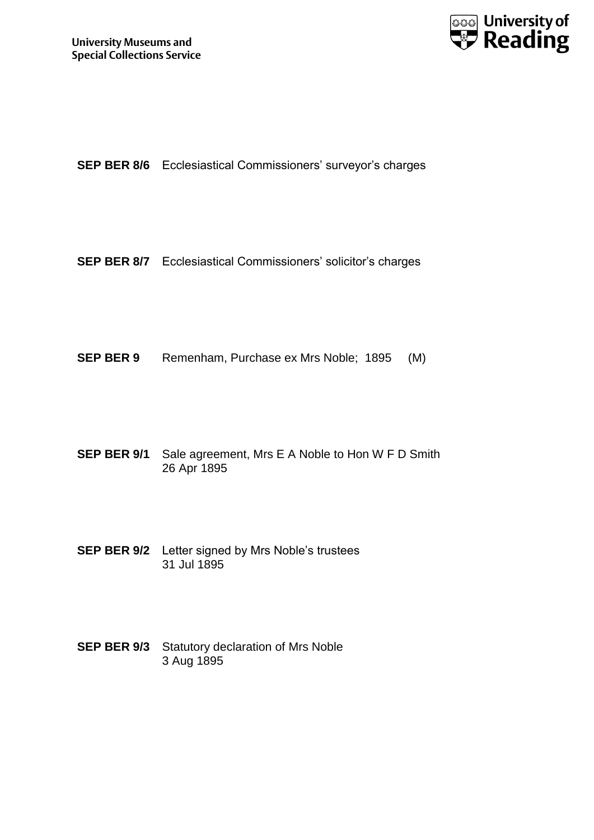

**SEP BER 8/6** Ecclesiastical Commissioners' surveyor's charges

**SEP BER 8/7** Ecclesiastical Commissioners' solicitor's charges

**SEP BER 9** Remenham, Purchase ex Mrs Noble; 1895 (M)

**SEP BER 9/1** Sale agreement, Mrs E A Noble to Hon W F D Smith 26 Apr 1895

- **SEP BER 9/2** Letter signed by Mrs Noble's trustees 31 Jul 1895
- **SEP BER 9/3** Statutory declaration of Mrs Noble 3 Aug 1895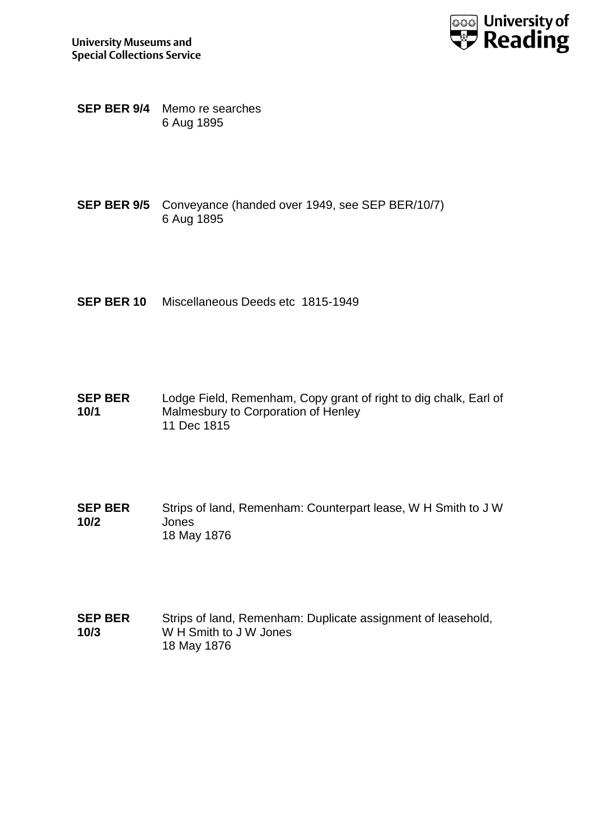

**SEP BER 9/4** Memo re searches 6 Aug 1895

- **SEP BER 9/5** Conveyance (handed over 1949, see SEP BER/10/7) 6 Aug 1895
- **SEP BER 10** Miscellaneous Deeds etc 1815-1949
- **SEP BER 10/1** Lodge Field, Remenham, Copy grant of right to dig chalk, Earl of Malmesbury to Corporation of Henley 11 Dec 1815
- **SEP BER 10/2** Strips of land, Remenham: Counterpart lease, W H Smith to J W Jones 18 May 1876
- **SEP BER 10/3** Strips of land, Remenham: Duplicate assignment of leasehold, W H Smith to J W Jones 18 May 1876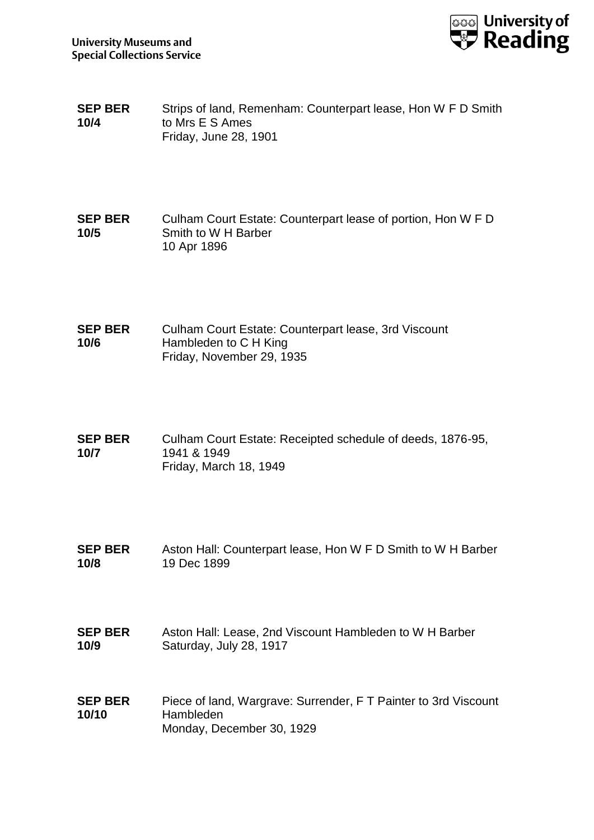

- **SEP BER 10/4** Strips of land, Remenham: Counterpart lease, Hon W F D Smith to Mrs E S Ames Friday, June 28, 1901
- **SEP BER 10/5** Culham Court Estate: Counterpart lease of portion, Hon W F D Smith to W H Barber 10 Apr 1896
- **SEP BER 10/6** Culham Court Estate: Counterpart lease, 3rd Viscount Hambleden to C H King Friday, November 29, 1935
- **SEP BER 10/7** Culham Court Estate: Receipted schedule of deeds, 1876-95, 1941 & 1949 Friday, March 18, 1949
- **SEP BER 10/8** Aston Hall: Counterpart lease, Hon W F D Smith to W H Barber 19 Dec 1899
- **SEP BER 10/9** Aston Hall: Lease, 2nd Viscount Hambleden to W H Barber Saturday, July 28, 1917
- **SEP BER 10/10** Piece of land, Wargrave: Surrender, F T Painter to 3rd Viscount Hambleden Monday, December 30, 1929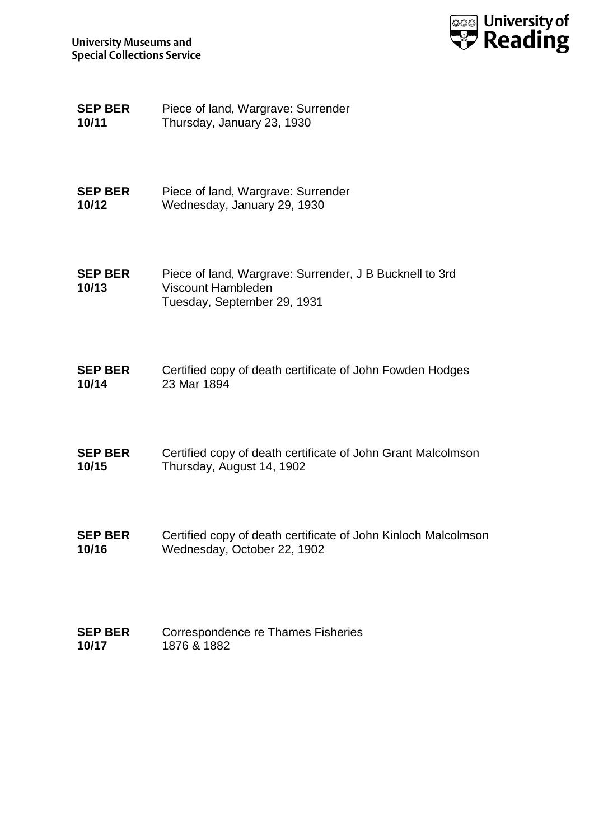

| <b>SEP BER</b> | Piece of land, Wargrave: Surrender |
|----------------|------------------------------------|
| 10/11          | Thursday, January 23, 1930         |

**SEP BER 10/12** Piece of land, Wargrave: Surrender Wednesday, January 29, 1930

**SEP BER 10/13** Piece of land, Wargrave: Surrender, J B Bucknell to 3rd Viscount Hambleden Tuesday, September 29, 1931

| <b>SEP BER</b> | Certified copy of death certificate of John Fowden Hodges |
|----------------|-----------------------------------------------------------|
| 10/14          | 23 Mar 1894                                               |

- **SEP BER 10/15** Certified copy of death certificate of John Grant Malcolmson Thursday, August 14, 1902
- **SEP BER 10/16** Certified copy of death certificate of John Kinloch Malcolmson Wednesday, October 22, 1902
- **SEP BER 10/17** Correspondence re Thames Fisheries 1876 & 1882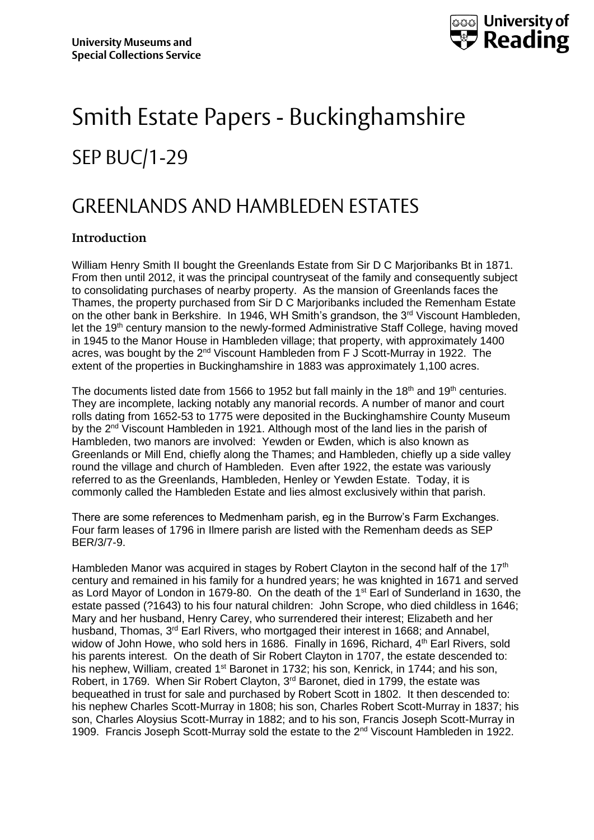

## Smith Estate Papers - Buckinghamshire SEP BUC/1-29

### GREENLANDS AND HAMBLEDEN ESTATES

#### **Introduction**

William Henry Smith II bought the Greenlands Estate from Sir D C Marjoribanks Bt in 1871. From then until 2012, it was the principal countryseat of the family and consequently subject to consolidating purchases of nearby property. As the mansion of Greenlands faces the Thames, the property purchased from Sir D C Marjoribanks included the Remenham Estate on the other bank in Berkshire. In 1946, WH Smith's grandson, the 3rd Viscount Hambleden, let the  $19<sup>th</sup>$  century mansion to the newly-formed Administrative Staff College, having moved in 1945 to the Manor House in Hambleden village; that property, with approximately 1400 acres, was bought by the 2<sup>nd</sup> Viscount Hambleden from F J Scott-Murray in 1922. The extent of the properties in Buckinghamshire in 1883 was approximately 1,100 acres.

The documents listed date from 1566 to 1952 but fall mainly in the 18<sup>th</sup> and 19<sup>th</sup> centuries. They are incomplete, lacking notably any manorial records. A number of manor and court rolls dating from 1652-53 to 1775 were deposited in the Buckinghamshire County Museum by the 2<sup>nd</sup> Viscount Hambleden in 1921. Although most of the land lies in the parish of Hambleden, two manors are involved: Yewden or Ewden, which is also known as Greenlands or Mill End, chiefly along the Thames; and Hambleden, chiefly up a side valley round the village and church of Hambleden. Even after 1922, the estate was variously referred to as the Greenlands, Hambleden, Henley or Yewden Estate. Today, it is commonly called the Hambleden Estate and lies almost exclusively within that parish.

There are some references to Medmenham parish, eg in the Burrow's Farm Exchanges. Four farm leases of 1796 in Ilmere parish are listed with the Remenham deeds as SEP BER/3/7-9.

Hambleden Manor was acquired in stages by Robert Clayton in the second half of the 17<sup>th</sup> century and remained in his family for a hundred years; he was knighted in 1671 and served as Lord Mayor of London in 1679-80. On the death of the 1<sup>st</sup> Earl of Sunderland in 1630, the estate passed (?1643) to his four natural children: John Scrope, who died childless in 1646; Mary and her husband, Henry Carey, who surrendered their interest; Elizabeth and her husband, Thomas, 3rd Earl Rivers, who mortgaged their interest in 1668; and Annabel, widow of John Howe, who sold hers in 1686. Finally in 1696, Richard, 4<sup>th</sup> Earl Rivers, sold his parents interest. On the death of Sir Robert Clayton in 1707, the estate descended to: his nephew, William, created 1<sup>st</sup> Baronet in 1732; his son, Kenrick, in 1744; and his son, Robert, in 1769. When Sir Robert Clayton, 3<sup>rd</sup> Baronet, died in 1799, the estate was bequeathed in trust for sale and purchased by Robert Scott in 1802. It then descended to: his nephew Charles Scott-Murray in 1808; his son, Charles Robert Scott-Murray in 1837; his son, Charles Aloysius Scott-Murray in 1882; and to his son, Francis Joseph Scott-Murray in 1909. Francis Joseph Scott-Murray sold the estate to the 2<sup>nd</sup> Viscount Hambleden in 1922.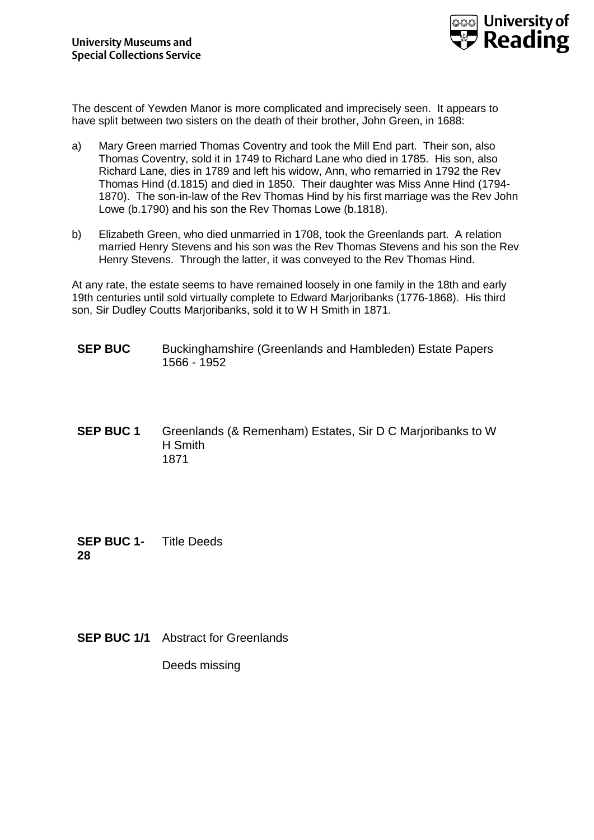

The descent of Yewden Manor is more complicated and imprecisely seen. It appears to have split between two sisters on the death of their brother, John Green, in 1688:

- a) Mary Green married Thomas Coventry and took the Mill End part. Their son, also Thomas Coventry, sold it in 1749 to Richard Lane who died in 1785. His son, also Richard Lane, dies in 1789 and left his widow, Ann, who remarried in 1792 the Rev Thomas Hind (d.1815) and died in 1850. Their daughter was Miss Anne Hind (1794- 1870). The son-in-law of the Rev Thomas Hind by his first marriage was the Rev John Lowe (b.1790) and his son the Rev Thomas Lowe (b.1818).
- b) Elizabeth Green, who died unmarried in 1708, took the Greenlands part. A relation married Henry Stevens and his son was the Rev Thomas Stevens and his son the Rev Henry Stevens. Through the latter, it was conveyed to the Rev Thomas Hind.

At any rate, the estate seems to have remained loosely in one family in the 18th and early 19th centuries until sold virtually complete to Edward Marjoribanks (1776-1868). His third son, Sir Dudley Coutts Marjoribanks, sold it to W H Smith in 1871.

- **SEP BUC** Buckinghamshire (Greenlands and Hambleden) Estate Papers 1566 - 1952
- **SEP BUC 1** Greenlands (& Remenham) Estates, Sir D C Marjoribanks to W H Smith 1871

**SEP BUC 1- 28** Title Deeds

**SEP BUC 1/1** Abstract for Greenlands

Deeds missing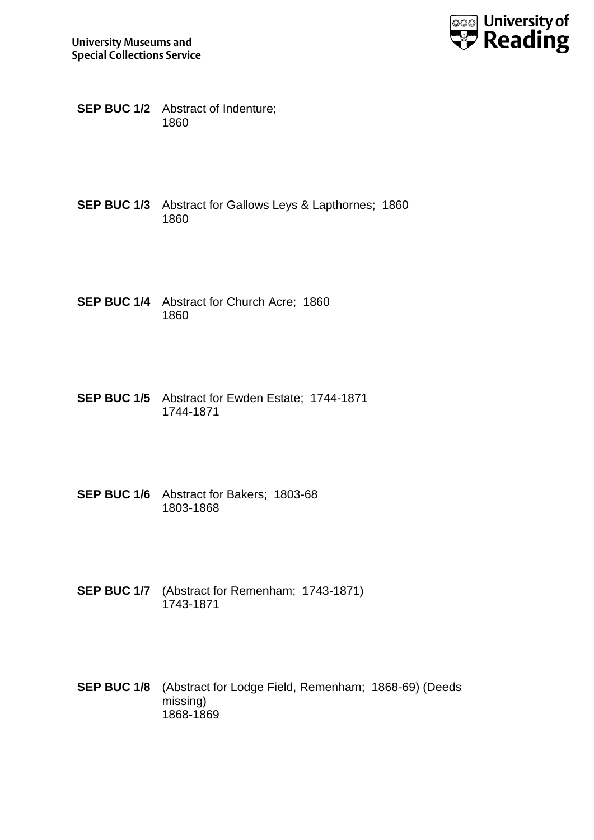

- **SEP BUC 1/2** Abstract of Indenture; 1860
- **SEP BUC 1/3** Abstract for Gallows Leys & Lapthornes; 1860 1860
- **SEP BUC 1/4** Abstract for Church Acre; 1860 1860
- **SEP BUC 1/5** Abstract for Ewden Estate; 1744-1871 1744-1871
- **SEP BUC 1/6** Abstract for Bakers; 1803-68 1803-1868
- **SEP BUC 1/7** (Abstract for Remenham; 1743-1871) 1743-1871
- **SEP BUC 1/8** (Abstract for Lodge Field, Remenham; 1868-69) (Deeds missing) 1868-1869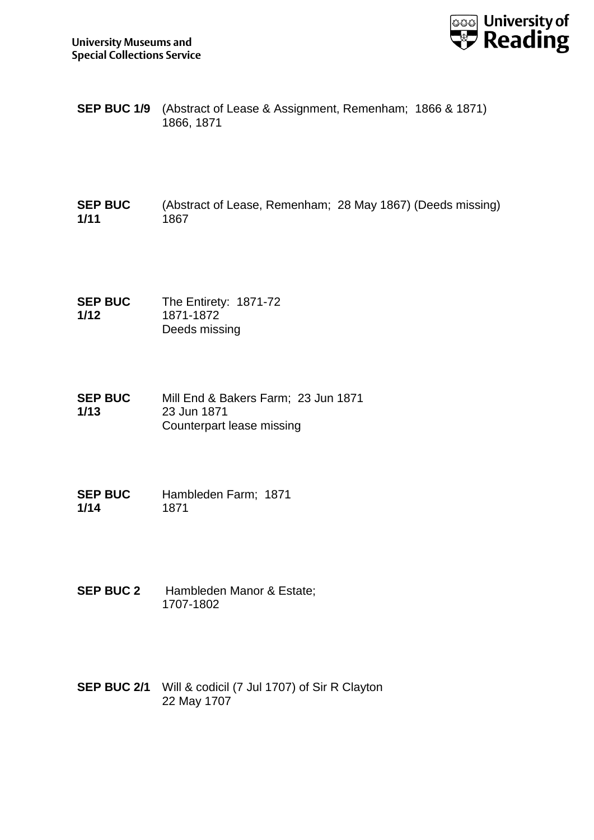

**SEP BUC 1/9** (Abstract of Lease & Assignment, Remenham; 1866 & 1871) 1866, 1871

**SEP BUC 1/11** (Abstract of Lease, Remenham; 28 May 1867) (Deeds missing) 1867

**SEP BUC 1/12** The Entirety: 1871-72 1871-1872 Deeds missing

**SEP BUC 1/13** Mill End & Bakers Farm; 23 Jun 1871 23 Jun 1871 Counterpart lease missing

**SEP BUC 1/14** Hambleden Farm; 1871 1871

- **SEP BUC 2** Hambleden Manor & Estate; 1707-1802
- **SEP BUC 2/1** Will & codicil (7 Jul 1707) of Sir R Clayton 22 May 1707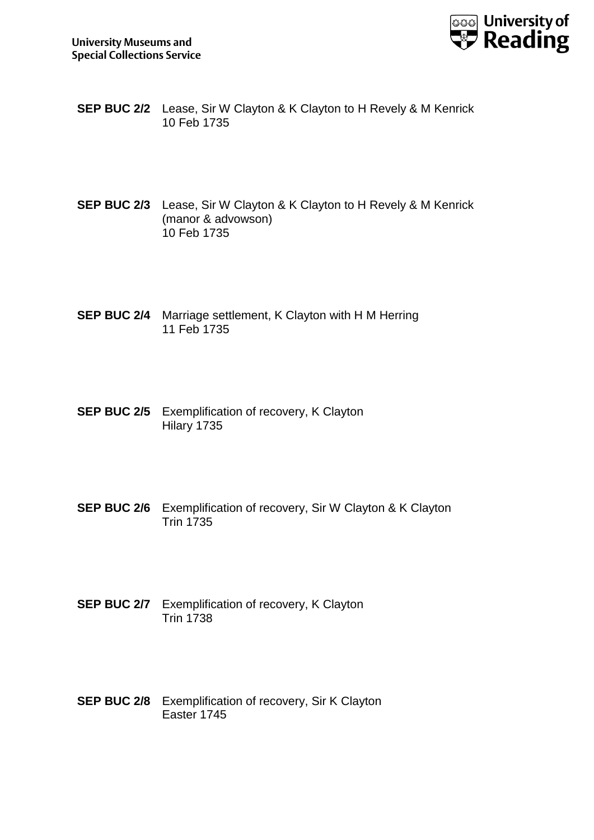

- **SEP BUC 2/2** Lease, Sir W Clayton & K Clayton to H Revely & M Kenrick 10 Feb 1735
- **SEP BUC 2/3** Lease, Sir W Clayton & K Clayton to H Revely & M Kenrick (manor & advowson) 10 Feb 1735
- **SEP BUC 2/4** Marriage settlement, K Clayton with H M Herring 11 Feb 1735
- **SEP BUC 2/5** Exemplification of recovery, K Clayton Hilary 1735
- **SEP BUC 2/6** Exemplification of recovery, Sir W Clayton & K Clayton Trin 1735
- **SEP BUC 2/7** Exemplification of recovery, K Clayton Trin 1738
- **SEP BUC 2/8** Exemplification of recovery, Sir K Clayton Easter 1745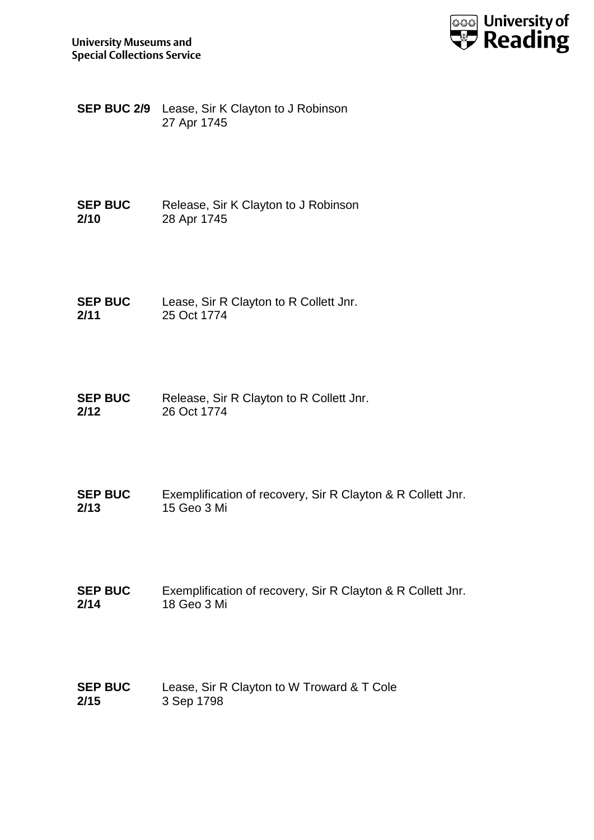

**SEP BUC 2/9** Lease, Sir K Clayton to J Robinson 27 Apr 1745

**SEP BUC 2/10** Release, Sir K Clayton to J Robinson 28 Apr 1745

**SEP BUC 2/11** Lease, Sir R Clayton to R Collett Jnr. 25 Oct 1774

**SEP BUC 2/12** Release, Sir R Clayton to R Collett Jnr. 26 Oct 1774

**SEP BUC 2/13** Exemplification of recovery, Sir R Clayton & R Collett Jnr. 15 Geo 3 Mi

**SEP BUC 2/14** Exemplification of recovery, Sir R Clayton & R Collett Jnr. 18 Geo 3 Mi

**SEP BUC 2/15** Lease, Sir R Clayton to W Troward & T Cole 3 Sep 1798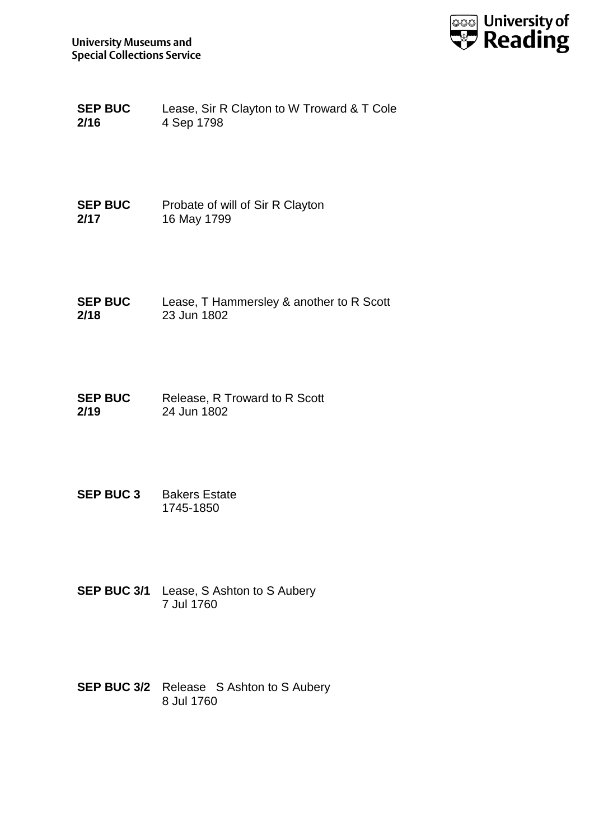

**SEP BUC 2/16** Lease, Sir R Clayton to W Troward & T Cole 4 Sep 1798

**SEP BUC 2/17** Probate of will of Sir R Clayton 16 May 1799

**SEP BUC 2/18** Lease, T Hammersley & another to R Scott 23 Jun 1802

**SEP BUC 2/19** Release, R Troward to R Scott 24 Jun 1802

- **SEP BUC 3** Bakers Estate 1745-1850
- **SEP BUC 3/1** Lease, S Ashton to S Aubery 7 Jul 1760
- **SEP BUC 3/2** Release S Ashton to S Aubery 8 Jul 1760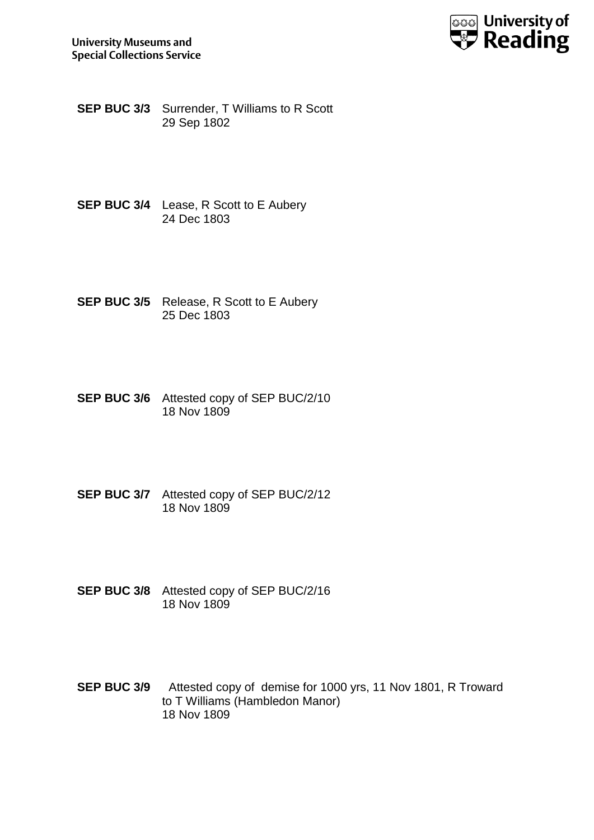

**SEP BUC 3/3** Surrender, T Williams to R Scott 29 Sep 1802

- **SEP BUC 3/4** Lease, R Scott to E Aubery 24 Dec 1803
- **SEP BUC 3/5** Release, R Scott to E Aubery 25 Dec 1803
- **SEP BUC 3/6** Attested copy of SEP BUC/2/10 18 Nov 1809
- **SEP BUC 3/7** Attested copy of SEP BUC/2/12 18 Nov 1809
- **SEP BUC 3/8** Attested copy of SEP BUC/2/16 18 Nov 1809
- **SEP BUC 3/9** Attested copy of demise for 1000 yrs, 11 Nov 1801, R Troward to T Williams (Hambledon Manor) 18 Nov 1809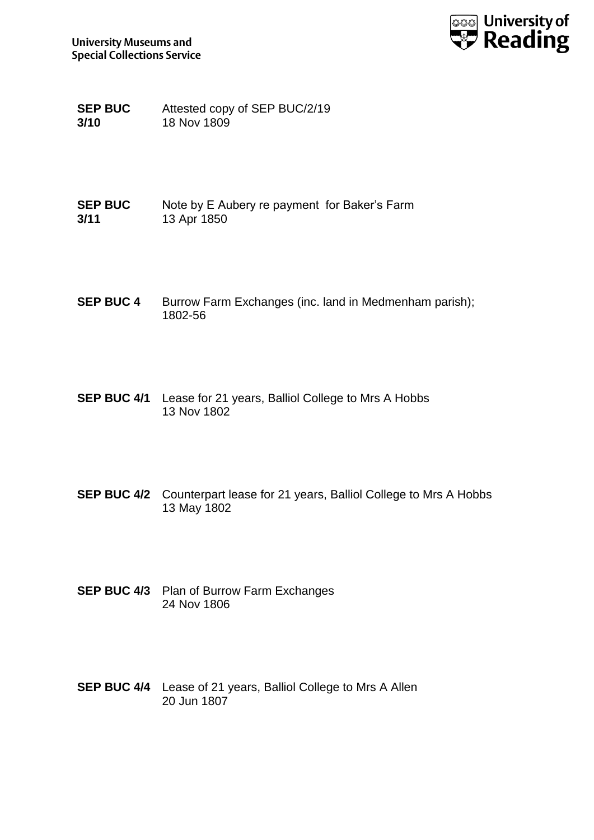

**SEP BUC 3/10** Attested copy of SEP BUC/2/19 18 Nov 1809

**SEP BUC 3/11** Note by E Aubery re payment for Baker's Farm 13 Apr 1850

- **SEP BUC 4** Burrow Farm Exchanges (inc. land in Medmenham parish); 1802-56
- **SEP BUC 4/1** Lease for 21 years, Balliol College to Mrs A Hobbs 13 Nov 1802
- **SEP BUC 4/2** Counterpart lease for 21 years, Balliol College to Mrs A Hobbs 13 May 1802
- **SEP BUC 4/3** Plan of Burrow Farm Exchanges 24 Nov 1806
- **SEP BUC 4/4** Lease of 21 years, Balliol College to Mrs A Allen 20 Jun 1807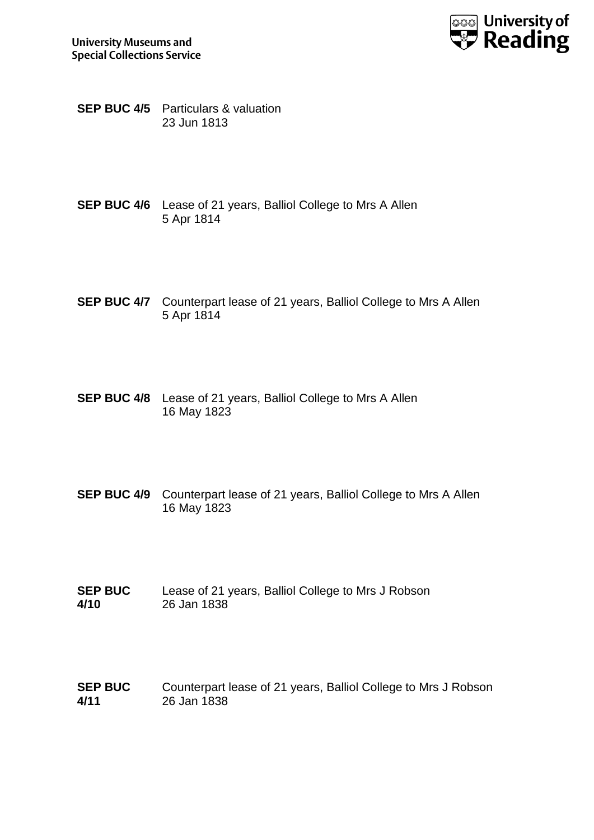



**SEP BUC 4/5** Particulars & valuation 23 Jun 1813

- **SEP BUC 4/6** Lease of 21 years, Balliol College to Mrs A Allen 5 Apr 1814
- **SEP BUC 4/7** Counterpart lease of 21 years, Balliol College to Mrs A Allen 5 Apr 1814
- **SEP BUC 4/8** Lease of 21 years, Balliol College to Mrs A Allen 16 May 1823
- **SEP BUC 4/9** Counterpart lease of 21 years, Balliol College to Mrs A Allen 16 May 1823
- **SEP BUC 4/10** Lease of 21 years, Balliol College to Mrs J Robson 26 Jan 1838
- **SEP BUC 4/11** Counterpart lease of 21 years, Balliol College to Mrs J Robson 26 Jan 1838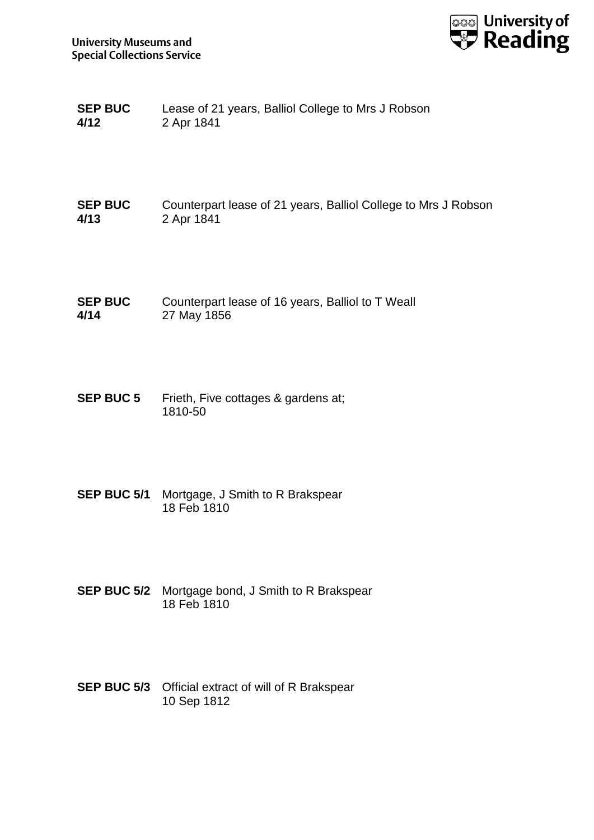

| <b>SEP BUC</b> | Lease of 21 years, Balliol College to Mrs J Robson |
|----------------|----------------------------------------------------|
| 4/12           | 2 Apr 1841                                         |

**SEP BUC 4/13** Counterpart lease of 21 years, Balliol College to Mrs J Robson 2 Apr 1841

**SEP BUC 4/14** Counterpart lease of 16 years, Balliol to T Weall 27 May 1856

**SEP BUC 5** Frieth, Five cottages & gardens at; 1810-50

- **SEP BUC 5/1** Mortgage, J Smith to R Brakspear 18 Feb 1810
- **SEP BUC 5/2** Mortgage bond, J Smith to R Brakspear 18 Feb 1810
- **SEP BUC 5/3** Official extract of will of R Brakspear 10 Sep 1812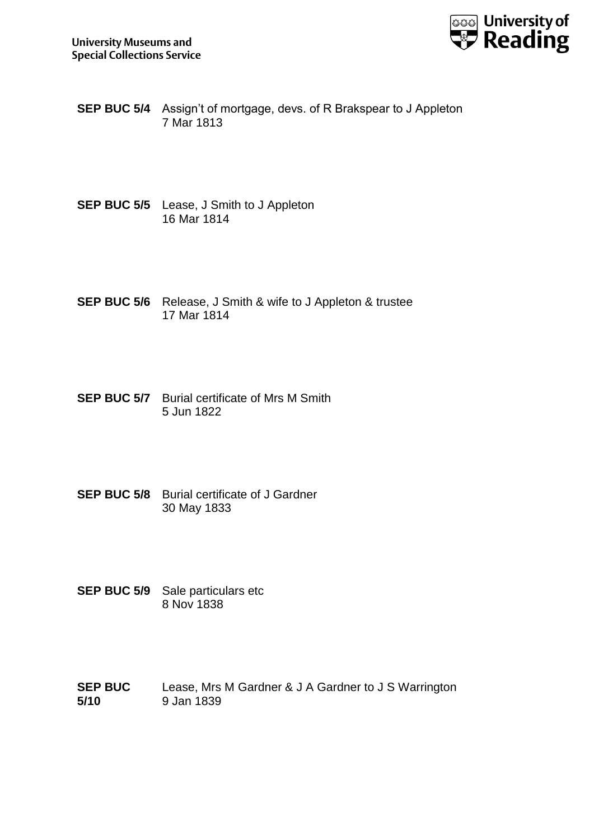

- **SEP BUC 5/4** Assign't of mortgage, devs. of R Brakspear to J Appleton 7 Mar 1813
- **SEP BUC 5/5** Lease, J Smith to J Appleton 16 Mar 1814
- **SEP BUC 5/6** Release, J Smith & wife to J Appleton & trustee 17 Mar 1814
- **SEP BUC 5/7** Burial certificate of Mrs M Smith 5 Jun 1822
- **SEP BUC 5/8** Burial certificate of J Gardner 30 May 1833
- **SEP BUC 5/9** Sale particulars etc 8 Nov 1838
- **SEP BUC 5/10** Lease, Mrs M Gardner & J A Gardner to J S Warrington 9 Jan 1839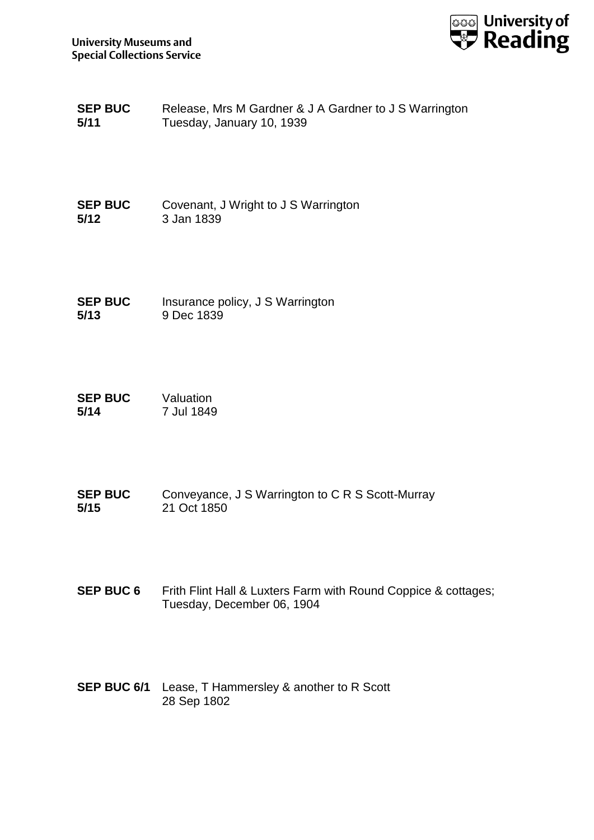

**SEP BUC 5/11** Release, Mrs M Gardner & J A Gardner to J S Warrington Tuesday, January 10, 1939

**SEP BUC 5/12** Covenant, J Wright to J S Warrington 3 Jan 1839

**SEP BUC 5/13** Insurance policy, J S Warrington 9 Dec 1839

**SEP BUC 5/14** Valuation 7 Jul 1849

**SEP BUC 5/15** Conveyance, J S Warrington to C R S Scott-Murray 21 Oct 1850

**SEP BUC 6** Frith Flint Hall & Luxters Farm with Round Coppice & cottages; Tuesday, December 06, 1904

**SEP BUC 6/1** Lease, T Hammersley & another to R Scott 28 Sep 1802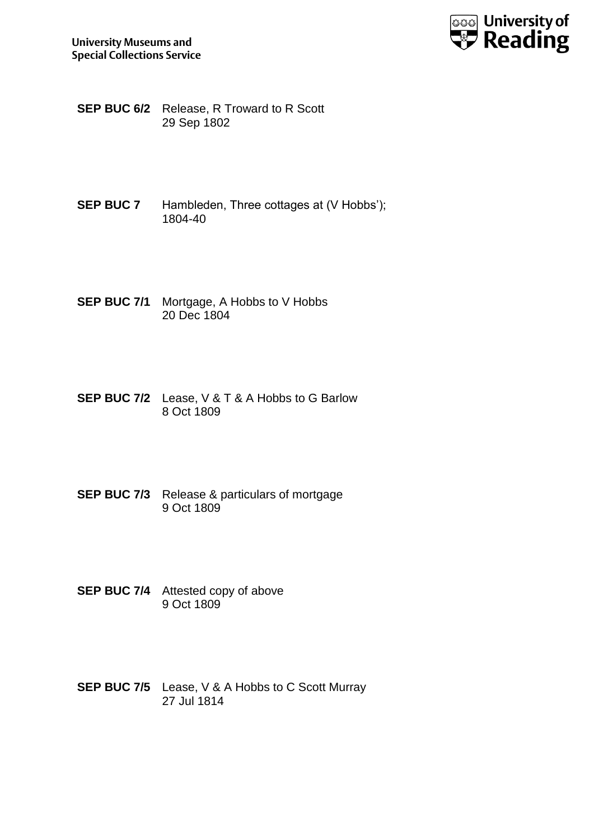

- **SEP BUC 6/2** Release, R Troward to R Scott 29 Sep 1802
- **SEP BUC 7** Hambleden, Three cottages at (V Hobbs'); 1804-40
- **SEP BUC 7/1** Mortgage, A Hobbs to V Hobbs 20 Dec 1804
- **SEP BUC 7/2** Lease, V & T & A Hobbs to G Barlow 8 Oct 1809
- **SEP BUC 7/3** Release & particulars of mortgage 9 Oct 1809
- **SEP BUC 7/4** Attested copy of above 9 Oct 1809
- **SEP BUC 7/5** Lease, V & A Hobbs to C Scott Murray 27 Jul 1814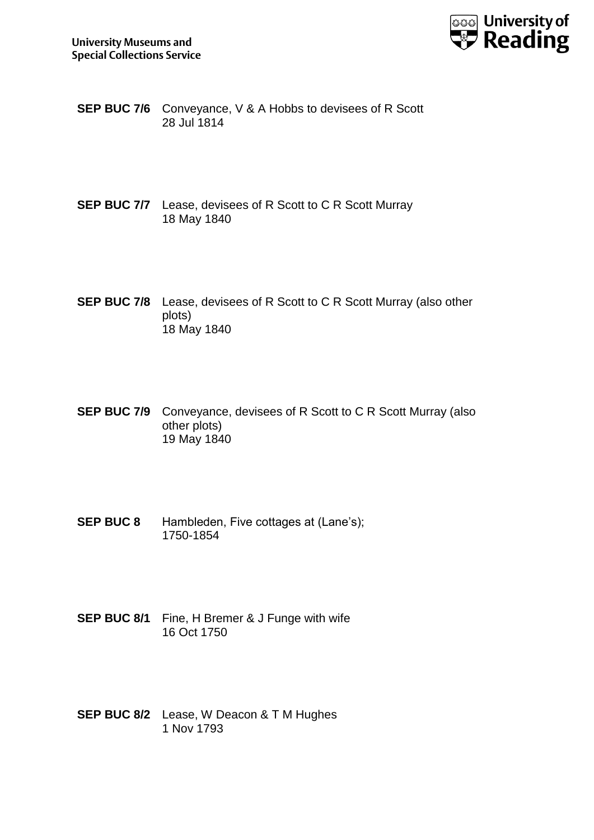

- **SEP BUC 7/6** Conveyance, V & A Hobbs to devisees of R Scott 28 Jul 1814
- **SEP BUC 7/7** Lease, devisees of R Scott to C R Scott Murray 18 May 1840
- **SEP BUC 7/8** Lease, devisees of R Scott to C R Scott Murray (also other plots) 18 May 1840
- **SEP BUC 7/9** Conveyance, devisees of R Scott to C R Scott Murray (also other plots) 19 May 1840
- **SEP BUC 8** Hambleden, Five cottages at (Lane's); 1750-1854
- **SEP BUC 8/1** Fine, H Bremer & J Funge with wife 16 Oct 1750
- **SEP BUC 8/2** Lease, W Deacon & T M Hughes 1 Nov 1793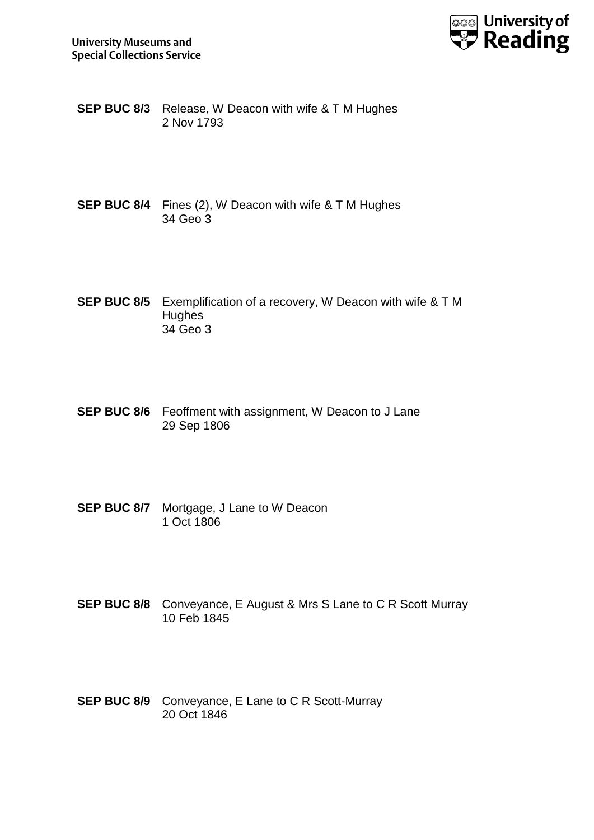

**SEP BUC 8/3** Release, W Deacon with wife & T M Hughes 2 Nov 1793

- **SEP BUC 8/4** Fines (2), W Deacon with wife & T M Hughes 34 Geo 3
- **SEP BUC 8/5** Exemplification of a recovery, W Deacon with wife & T M **Hughes** 34 Geo 3
- **SEP BUC 8/6** Feoffment with assignment, W Deacon to J Lane 29 Sep 1806
- **SEP BUC 8/7** Mortgage, J Lane to W Deacon 1 Oct 1806
- **SEP BUC 8/8** Conveyance, E August & Mrs S Lane to C R Scott Murray 10 Feb 1845
- **SEP BUC 8/9** Conveyance, E Lane to C R Scott-Murray 20 Oct 1846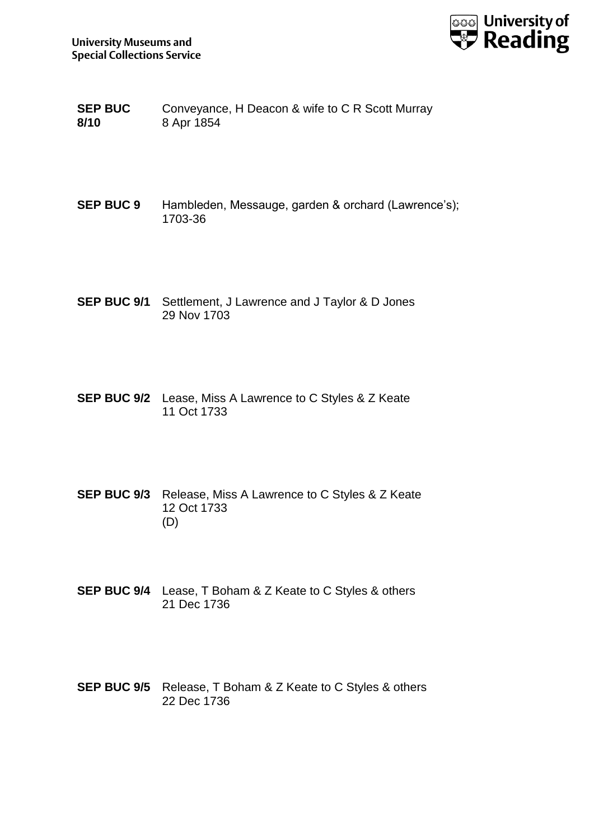

- **SEP BUC 8/10** Conveyance, H Deacon & wife to C R Scott Murray 8 Apr 1854
- **SEP BUC 9** Hambleden, Messauge, garden & orchard (Lawrence's); 1703-36
- **SEP BUC 9/1** Settlement, J Lawrence and J Taylor & D Jones 29 Nov 1703
- **SEP BUC 9/2** Lease, Miss A Lawrence to C Styles & Z Keate 11 Oct 1733
- **SEP BUC 9/3** Release, Miss A Lawrence to C Styles & Z Keate 12 Oct 1733 (D)
- **SEP BUC 9/4** Lease, T Boham & Z Keate to C Styles & others 21 Dec 1736
- **SEP BUC 9/5** Release, T Boham & Z Keate to C Styles & others 22 Dec 1736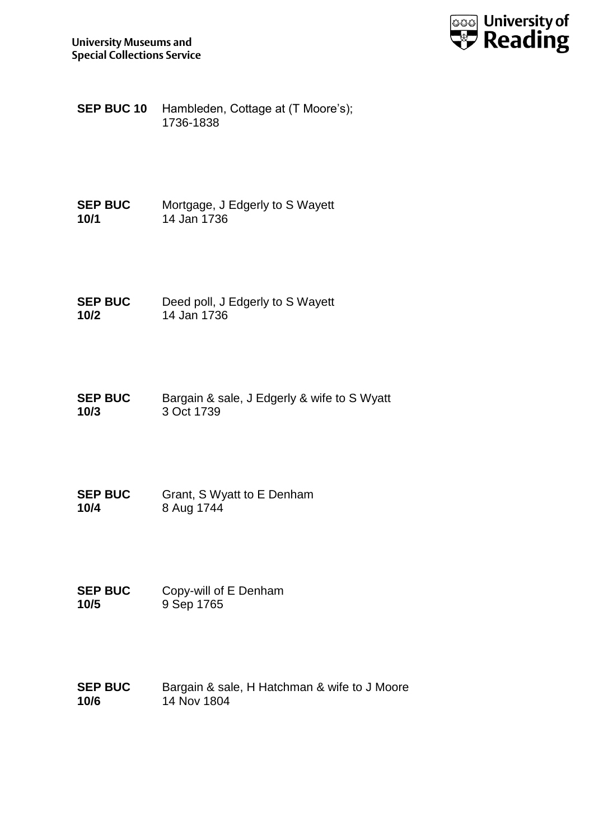

**SEP BUC 10** Hambleden, Cottage at (T Moore's); 1736-1838

**SEP BUC 10/1** Mortgage, J Edgerly to S Wayett 14 Jan 1736

**SEP BUC 10/2** Deed poll, J Edgerly to S Wayett 14 Jan 1736

**SEP BUC 10/3** Bargain & sale, J Edgerly & wife to S Wyatt 3 Oct 1739

**SEP BUC 10/4** Grant, S Wyatt to E Denham 8 Aug 1744

**SEP BUC 10/5** Copy-will of E Denham 9 Sep 1765

**SEP BUC 10/6** Bargain & sale, H Hatchman & wife to J Moore 14 Nov 1804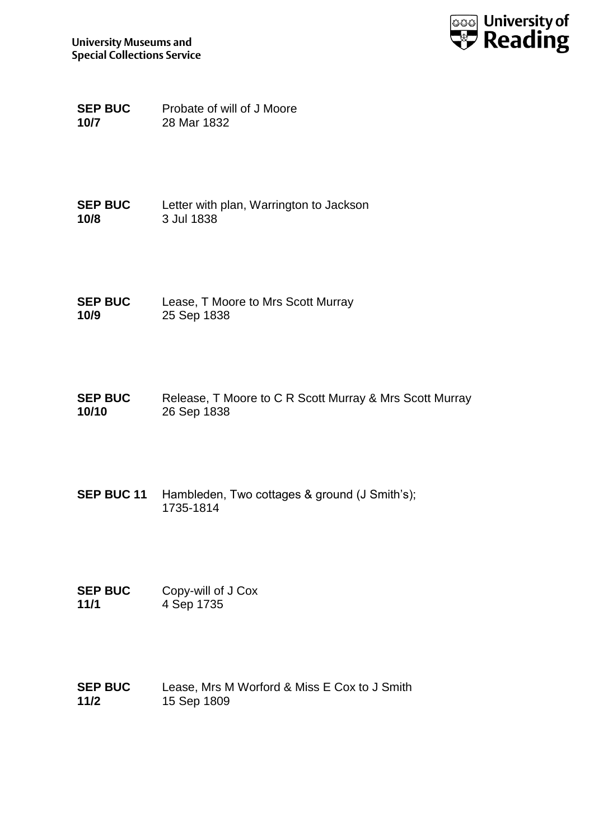

**SEP BUC 10/7** Probate of will of J Moore 28 Mar 1832

**SEP BUC 10/8** Letter with plan, Warrington to Jackson 3 Jul 1838

**SEP BUC 10/9** Lease, T Moore to Mrs Scott Murray 25 Sep 1838

**SEP BUC 10/10** Release, T Moore to C R Scott Murray & Mrs Scott Murray 26 Sep 1838

**SEP BUC 11** Hambleden, Two cottages & ground (J Smith's); 1735-1814

**SEP BUC 11/1** Copy-will of J Cox 4 Sep 1735

**SEP BUC 11/2** Lease, Mrs M Worford & Miss E Cox to J Smith 15 Sep 1809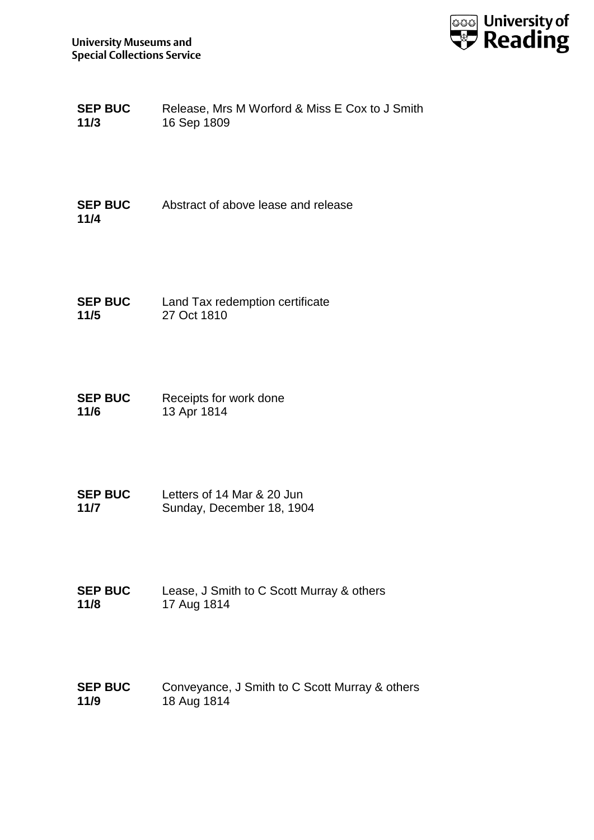

| <b>SEP BUC</b> | Release, Mrs M Worford & Miss E Cox to J Smith |
|----------------|------------------------------------------------|
| 11/3           | 16 Sep 1809                                    |

**SEP BUC 11/4** Abstract of above lease and release

**SEP BUC 11/5** Land Tax redemption certificate 27 Oct 1810

**SEP BUC 11/6** Receipts for work done 13 Apr 1814

**SEP BUC 11/7** Letters of 14 Mar & 20 Jun Sunday, December 18, 1904

**SEP BUC 11/8** Lease, J Smith to C Scott Murray & others 17 Aug 1814

**SEP BUC 11/9** Conveyance, J Smith to C Scott Murray & others 18 Aug 1814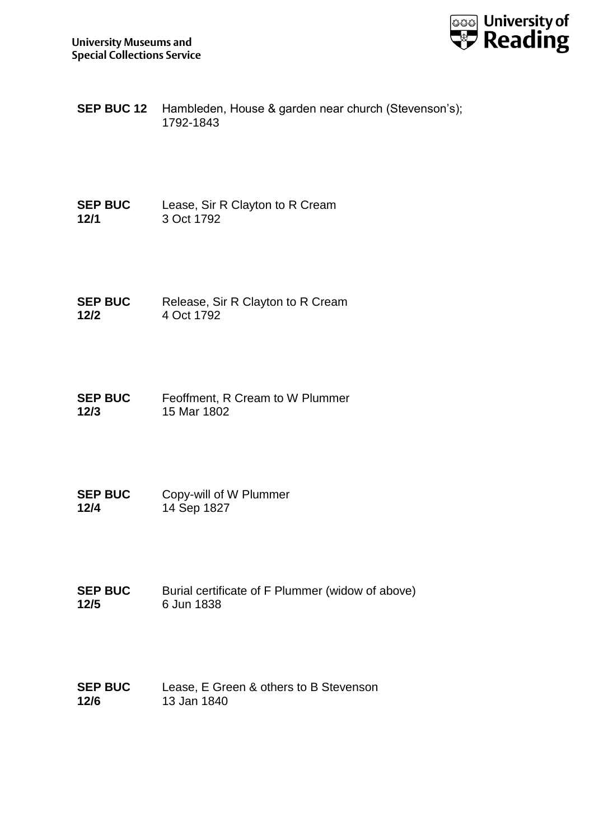

**SEP BUC 12** Hambleden, House & garden near church (Stevenson's); 1792-1843

**SEP BUC 12/1** Lease, Sir R Clayton to R Cream 3 Oct 1792

**SEP BUC 12/2** Release, Sir R Clayton to R Cream 4 Oct 1792

**SEP BUC 12/3** Feoffment, R Cream to W Plummer 15 Mar 1802

**SEP BUC 12/4** Copy-will of W Plummer 14 Sep 1827

**SEP BUC 12/5** Burial certificate of F Plummer (widow of above) 6 Jun 1838

**SEP BUC 12/6** Lease, E Green & others to B Stevenson 13 Jan 1840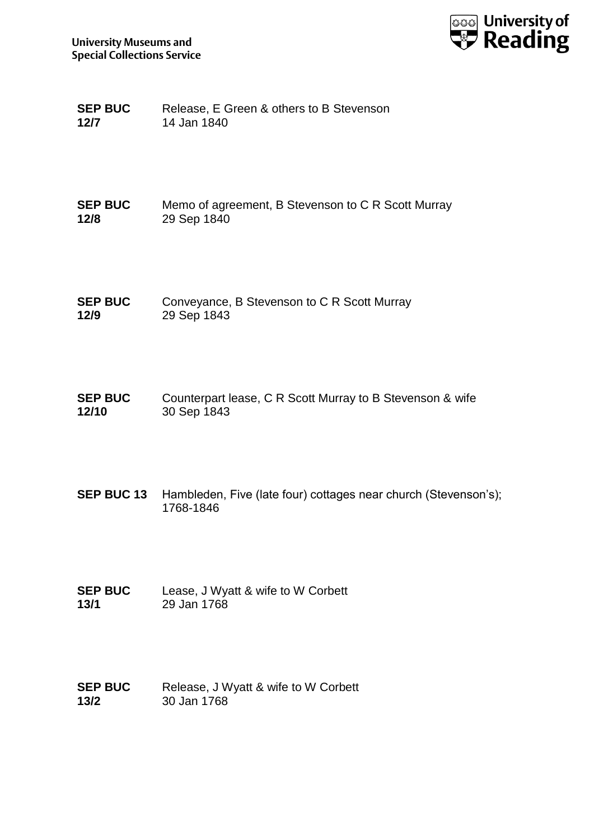

| <b>SEP BUC</b> | Release, E Green & others to B Stevenson |
|----------------|------------------------------------------|
| 12/7           | 14 Jan 1840                              |

| <b>SEP BUC</b> | Memo of agreement, B Stevenson to C R Scott Murray |
|----------------|----------------------------------------------------|
| 12/8           | 29 Sep 1840                                        |

- **SEP BUC 12/9** Conveyance, B Stevenson to C R Scott Murray 29 Sep 1843
- **SEP BUC 12/10** Counterpart lease, C R Scott Murray to B Stevenson & wife 30 Sep 1843
- **SEP BUC 13** Hambleden, Five (late four) cottages near church (Stevenson's); 1768-1846
- **SEP BUC 13/1** Lease, J Wyatt & wife to W Corbett 29 Jan 1768
- **SEP BUC 13/2** Release, J Wyatt & wife to W Corbett 30 Jan 1768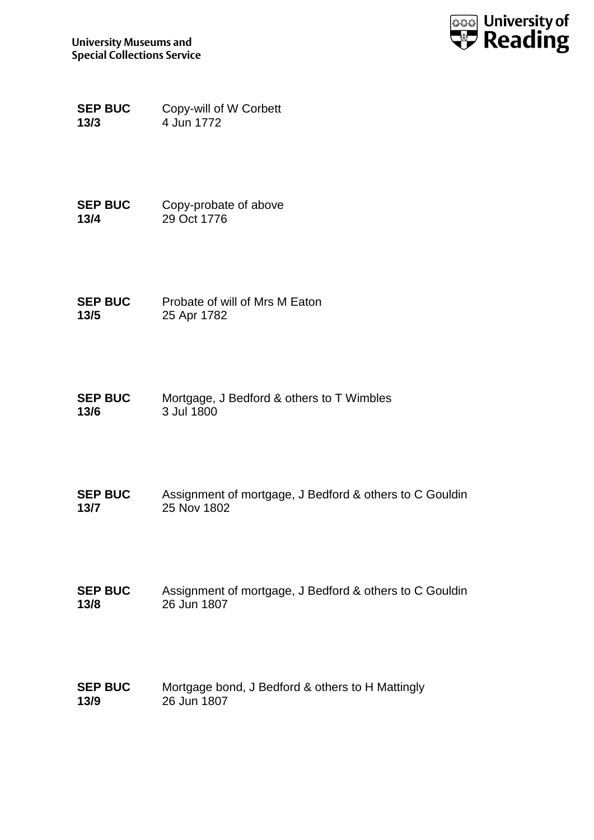

**SEP BUC 13/3** Copy-will of W Corbett 4 Jun 1772

**SEP BUC 13/4** Copy-probate of above 29 Oct 1776

**SEP BUC 13/5** Probate of will of Mrs M Eaton 25 Apr 1782

**SEP BUC 13/6** Mortgage, J Bedford & others to T Wimbles 3 Jul 1800

**SEP BUC 13/7** Assignment of mortgage, J Bedford & others to C Gouldin 25 Nov 1802

**SEP BUC 13/8** Assignment of mortgage, J Bedford & others to C Gouldin 26 Jun 1807

**SEP BUC 13/9** Mortgage bond, J Bedford & others to H Mattingly 26 Jun 1807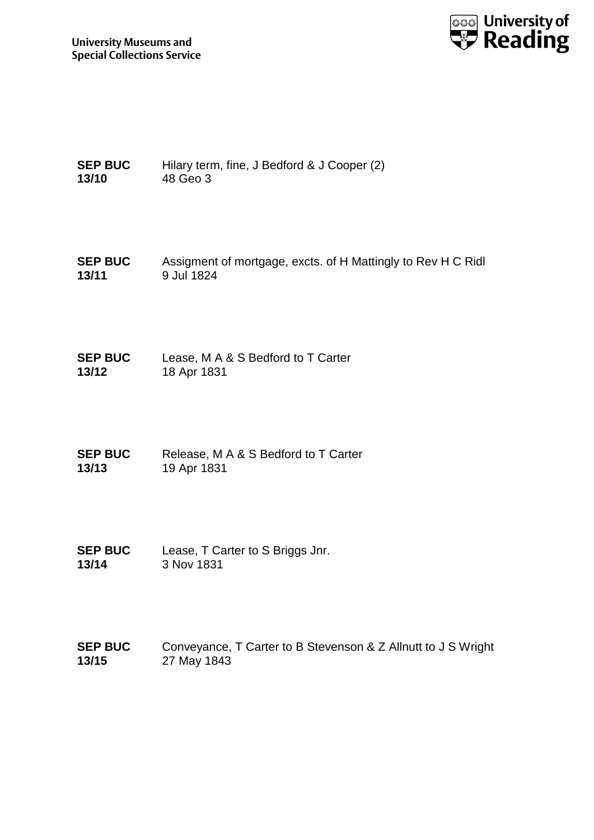

```
SEP BUC 
13/10
               Hilary term, fine, J Bedford & J Cooper (2)
               48 Geo 3
```
- **SEP BUC 13/11** Assigment of mortgage, excts. of H Mattingly to Rev H C Ridl 9 Jul 1824
- **SEP BUC 13/12** Lease, M A & S Bedford to T Carter 18 Apr 1831
- **SEP BUC 13/13** Release, M A & S Bedford to T Carter 19 Apr 1831
- **SEP BUC 13/14** Lease, T Carter to S Briggs Jnr. 3 Nov 1831
- **SEP BUC 13/15** Conveyance, T Carter to B Stevenson & Z Allnutt to J S Wright 27 May 1843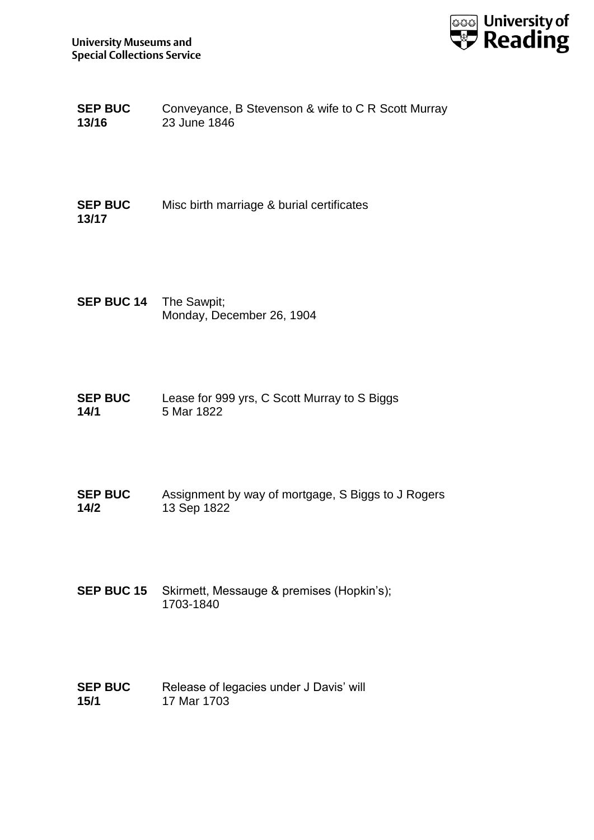

| <b>SEP BUC</b> | Conveyance, B Stevenson & wife to C R Scott Murray |
|----------------|----------------------------------------------------|
| 13/16          | 23 June 1846                                       |

**SEP BUC 13/17** Misc birth marriage & burial certificates

- **SEP BUC 14** The Sawpit; Monday, December 26, 1904
- **SEP BUC 14/1** Lease for 999 yrs, C Scott Murray to S Biggs 5 Mar 1822
- **SEP BUC 14/2** Assignment by way of mortgage, S Biggs to J Rogers 13 Sep 1822
- **SEP BUC 15** Skirmett, Messauge & premises (Hopkin's); 1703-1840
- **SEP BUC 15/1** Release of legacies under J Davis' will 17 Mar 1703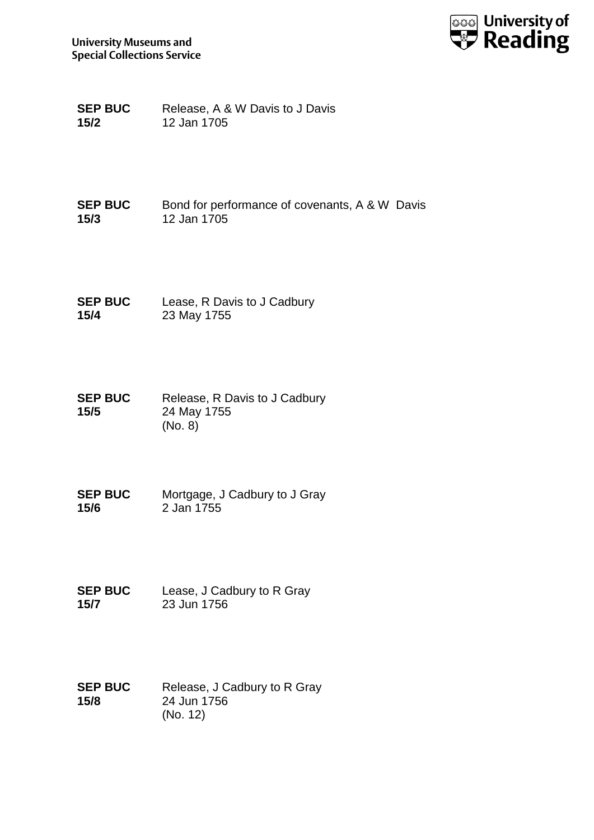

**SEP BUC 15/2** Release, A & W Davis to J Davis 12 Jan 1705

**SEP BUC 15/3** Bond for performance of covenants, A & W Davis 12 Jan 1705

**SEP BUC 15/4** Lease, R Davis to J Cadbury 23 May 1755

**SEP BUC 15/5** Release, R Davis to J Cadbury 24 May 1755 (No. 8)

**SEP BUC 15/6** Mortgage, J Cadbury to J Gray 2 Jan 1755

**SEP BUC 15/7** Lease, J Cadbury to R Gray 23 Jun 1756

**SEP BUC 15/8** Release, J Cadbury to R Gray 24 Jun 1756 (No. 12)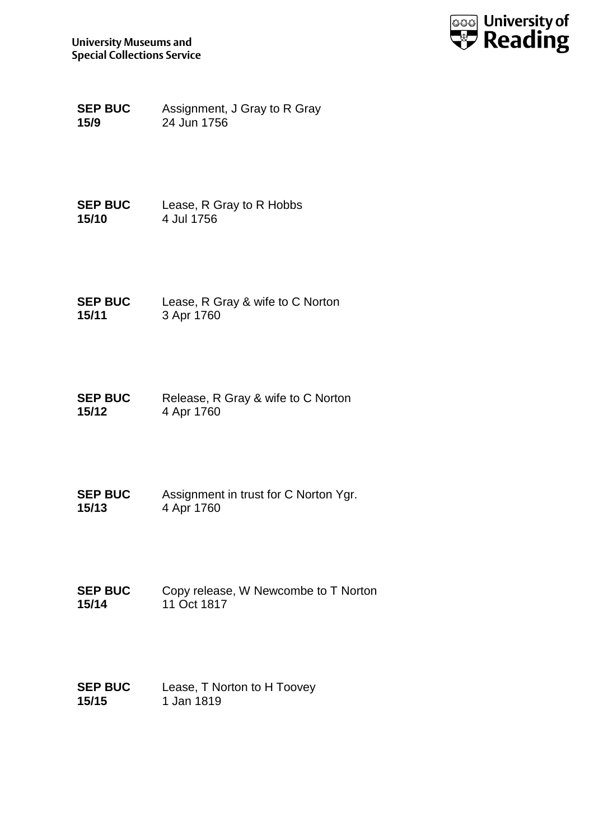

**SEP BUC 15/9** Assignment, J Gray to R Gray 24 Jun 1756

**SEP BUC 15/10** Lease, R Gray to R Hobbs 4 Jul 1756

**SEP BUC 15/11** Lease, R Gray & wife to C Norton 3 Apr 1760

**SEP BUC 15/12** Release, R Gray & wife to C Norton 4 Apr 1760

**SEP BUC 15/13** Assignment in trust for C Norton Ygr. 4 Apr 1760

**SEP BUC 15/14** Copy release, W Newcombe to T Norton 11 Oct 1817

**SEP BUC 15/15** Lease, T Norton to H Toovey 1 Jan 1819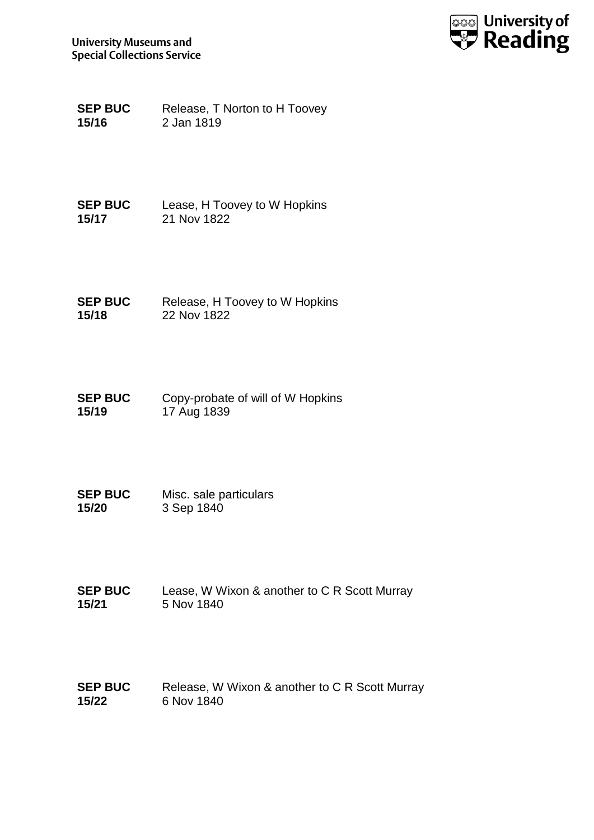

**SEP BUC 15/16** Release, T Norton to H Toovey 2 Jan 1819

**SEP BUC 15/17** Lease, H Toovey to W Hopkins 21 Nov 1822

**SEP BUC 15/18** Release, H Toovey to W Hopkins 22 Nov 1822

**SEP BUC 15/19** Copy-probate of will of W Hopkins 17 Aug 1839

**SEP BUC 15/20** Misc. sale particulars 3 Sep 1840

**SEP BUC 15/21** Lease, W Wixon & another to C R Scott Murray 5 Nov 1840

**SEP BUC 15/22** Release, W Wixon & another to C R Scott Murray 6 Nov 1840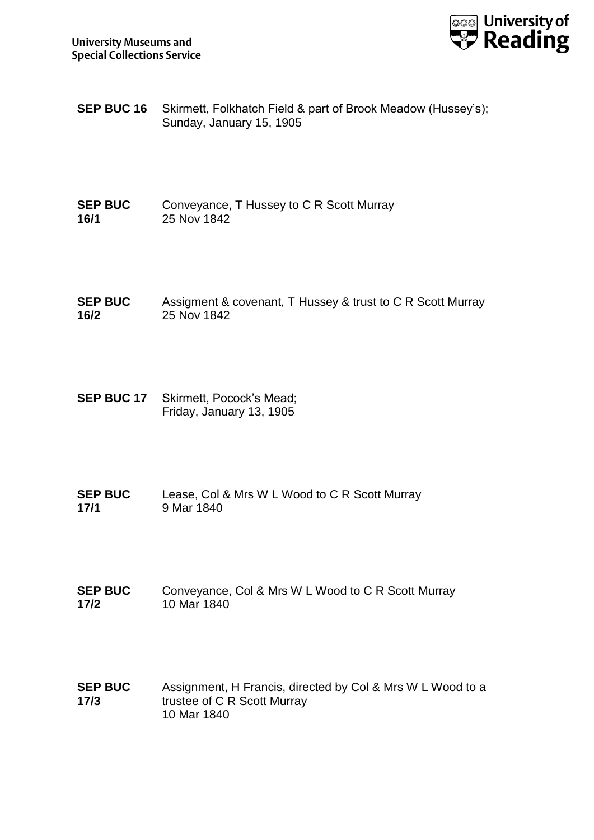

- **SEP BUC 16** Skirmett, Folkhatch Field & part of Brook Meadow (Hussey's); Sunday, January 15, 1905
- **SEP BUC 16/1** Conveyance, T Hussey to C R Scott Murray 25 Nov 1842
- **SEP BUC 16/2** Assigment & covenant, T Hussey & trust to C R Scott Murray 25 Nov 1842
- **SEP BUC 17** Skirmett, Pocock's Mead; Friday, January 13, 1905
- **SEP BUC 17/1** Lease, Col & Mrs W L Wood to C R Scott Murray 9 Mar 1840
- **SEP BUC 17/2** Conveyance, Col & Mrs W L Wood to C R Scott Murray 10 Mar 1840
- **SEP BUC 17/3** Assignment, H Francis, directed by Col & Mrs W L Wood to a trustee of C R Scott Murray 10 Mar 1840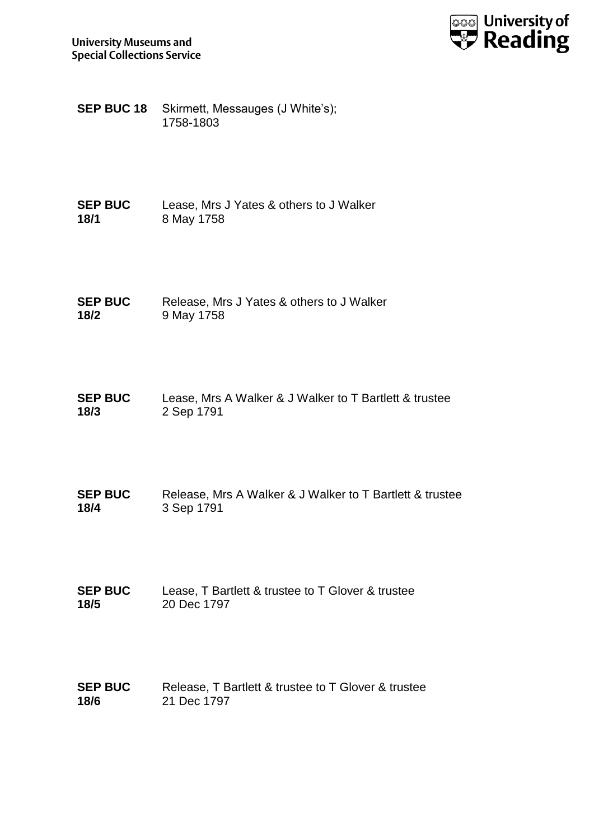

**SEP BUC 18** Skirmett, Messauges (J White's); 1758-1803

- **SEP BUC 18/1** Lease, Mrs J Yates & others to J Walker 8 May 1758
- **SEP BUC 18/2** Release, Mrs J Yates & others to J Walker 9 May 1758
- **SEP BUC 18/3** Lease, Mrs A Walker & J Walker to T Bartlett & trustee 2 Sep 1791
- **SEP BUC 18/4** Release, Mrs A Walker & J Walker to T Bartlett & trustee 3 Sep 1791
- **SEP BUC 18/5** Lease, T Bartlett & trustee to T Glover & trustee 20 Dec 1797
- **SEP BUC 18/6** Release, T Bartlett & trustee to T Glover & trustee 21 Dec 1797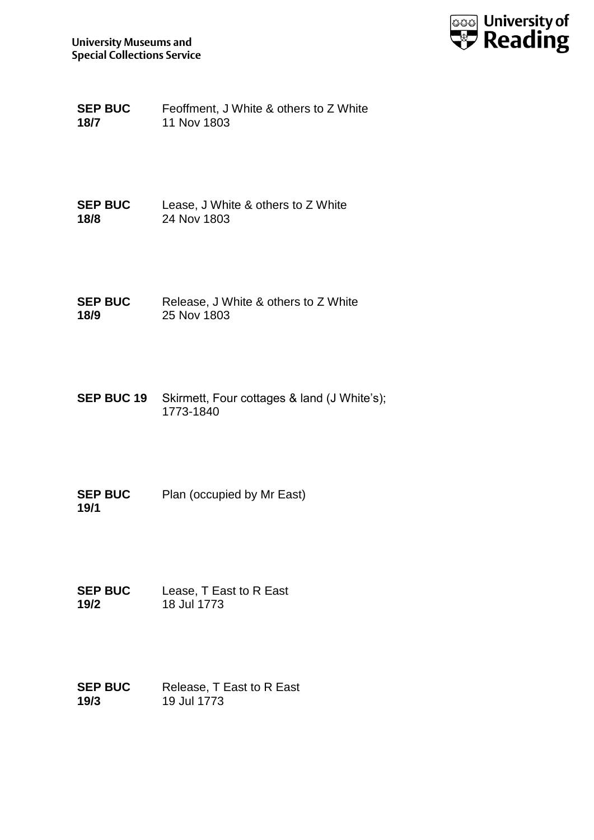

| <b>SEP BUC</b> | Feoffment, J White & others to Z White |
|----------------|----------------------------------------|
| 18/7           | 11 Nov 1803                            |

**SEP BUC 18/8** Lease, J White & others to Z White 24 Nov 1803

**SEP BUC 18/9** Release, J White & others to Z White 25 Nov 1803

- **SEP BUC 19** Skirmett, Four cottages & land (J White's); 1773-1840
- **SEP BUC 19/1** Plan (occupied by Mr East)
- **SEP BUC 19/2** Lease, T East to R East 18 Jul 1773
- **SEP BUC 19/3** Release, T East to R East 19 Jul 1773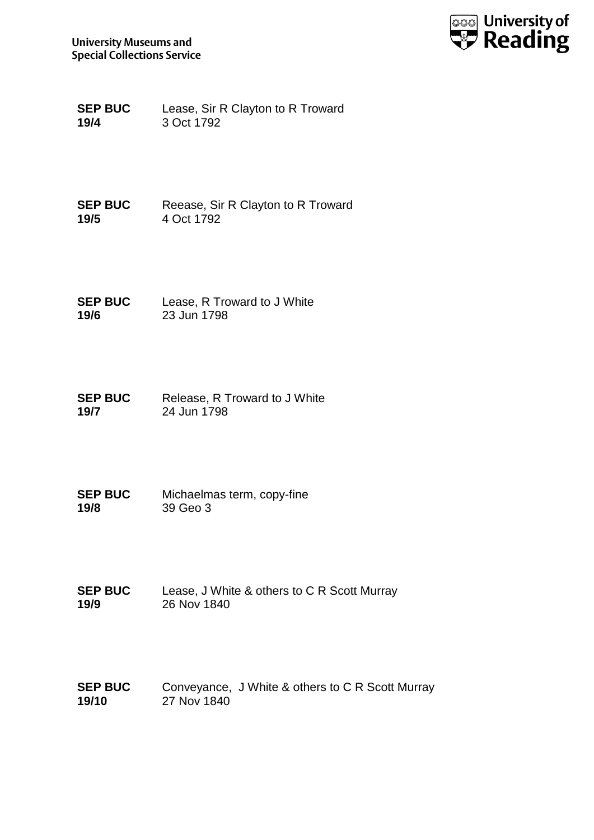

**SEP BUC 19/4** Lease, Sir R Clayton to R Troward 3 Oct 1792

**SEP BUC 19/5** Reease, Sir R Clayton to R Troward 4 Oct 1792

**SEP BUC 19/6** Lease, R Troward to J White 23 Jun 1798

**SEP BUC 19/7** Release, R Troward to J White 24 Jun 1798

**SEP BUC 19/8** Michaelmas term, copy-fine 39 Geo 3

**SEP BUC 19/9** Lease, J White & others to C R Scott Murray 26 Nov 1840

**SEP BUC 19/10** Conveyance, J White & others to C R Scott Murray 27 Nov 1840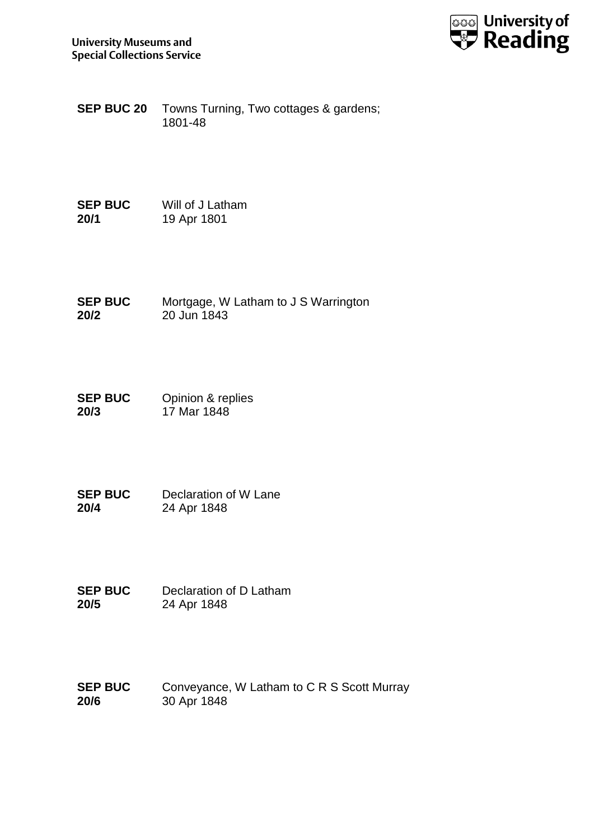

**SEP BUC 20** Towns Turning, Two cottages & gardens; 1801-48

**SEP BUC 20/1** Will of J Latham 19 Apr 1801

**SEP BUC 20/2** Mortgage, W Latham to J S Warrington 20 Jun 1843

**SEP BUC 20/3** Opinion & replies 17 Mar 1848

**SEP BUC 20/4** Declaration of W Lane 24 Apr 1848

**SEP BUC 20/5** Declaration of D Latham 24 Apr 1848

**SEP BUC 20/6** Conveyance, W Latham to C R S Scott Murray 30 Apr 1848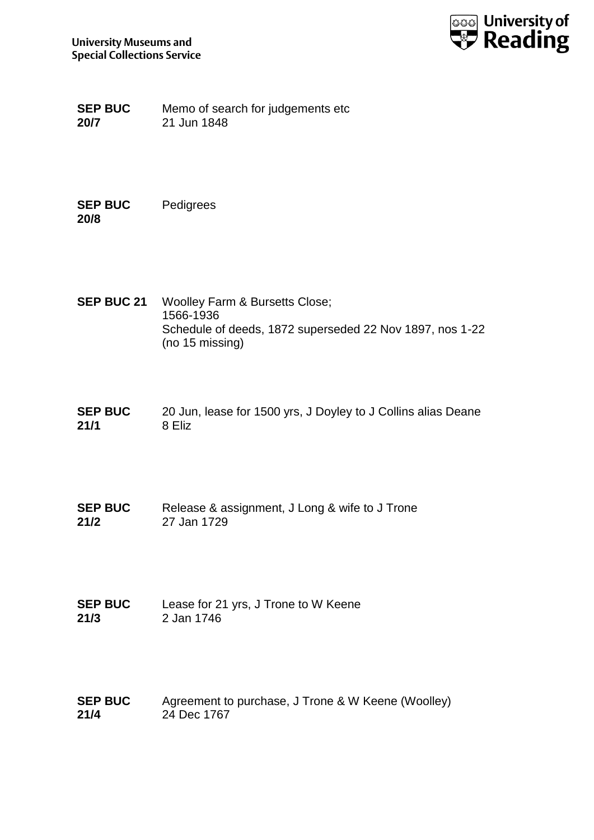

**SEP BUC 20/7** Memo of search for judgements etc 21 Jun 1848

**SEP BUC 20/8** Pedigrees

- **SEP BUC 21** Woolley Farm & Bursetts Close; 1566-1936 Schedule of deeds, 1872 superseded 22 Nov 1897, nos 1-22 (no 15 missing)
- **SEP BUC 21/1** 20 Jun, lease for 1500 yrs, J Doyley to J Collins alias Deane 8 Eliz
- **SEP BUC 21/2** Release & assignment, J Long & wife to J Trone 27 Jan 1729
- **SEP BUC 21/3** Lease for 21 yrs, J Trone to W Keene 2 Jan 1746
- **SEP BUC 21/4** Agreement to purchase, J Trone & W Keene (Woolley) 24 Dec 1767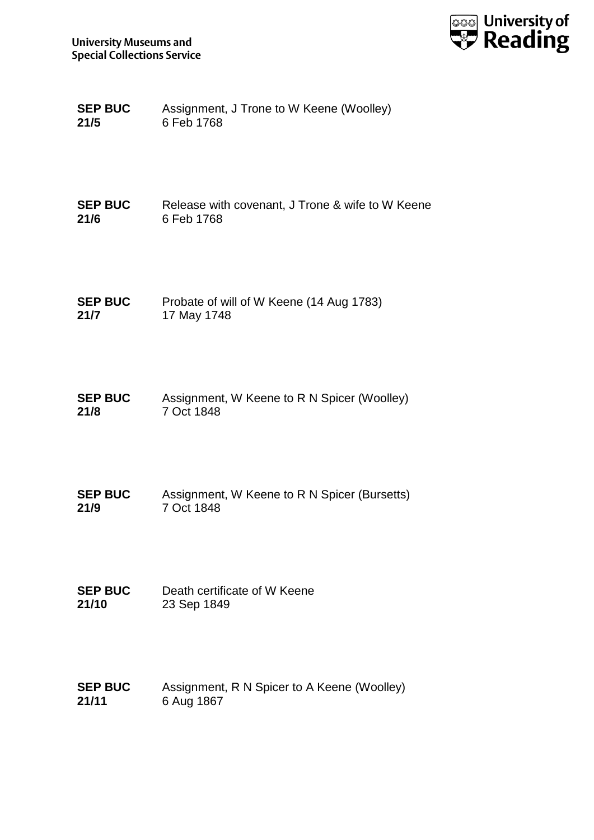

| <b>SEP BUC</b> | Assignment, J Trone to W Keene (Woolley) |
|----------------|------------------------------------------|
| 21/5           | 6 Feb 1768                               |

| <b>SEP BUC</b> | Release with covenant, J Trone & wife to W Keene |
|----------------|--------------------------------------------------|
| 21/6           | 6 Feb 1768                                       |

| <b>SEP BUC</b> | Probate of will of W Keene (14 Aug 1783) |
|----------------|------------------------------------------|
| 21/7           | 17 May 1748                              |

| <b>SEP BUC</b> | Assignment, W Keene to R N Spicer (Woolley) |
|----------------|---------------------------------------------|
| 21/8           | 7 Oct 1848                                  |

- **SEP BUC 21/9** Assignment, W Keene to R N Spicer (Bursetts) 7 Oct 1848
- **SEP BUC 21/10** Death certificate of W Keene 23 Sep 1849
- **SEP BUC 21/11** Assignment, R N Spicer to A Keene (Woolley) 6 Aug 1867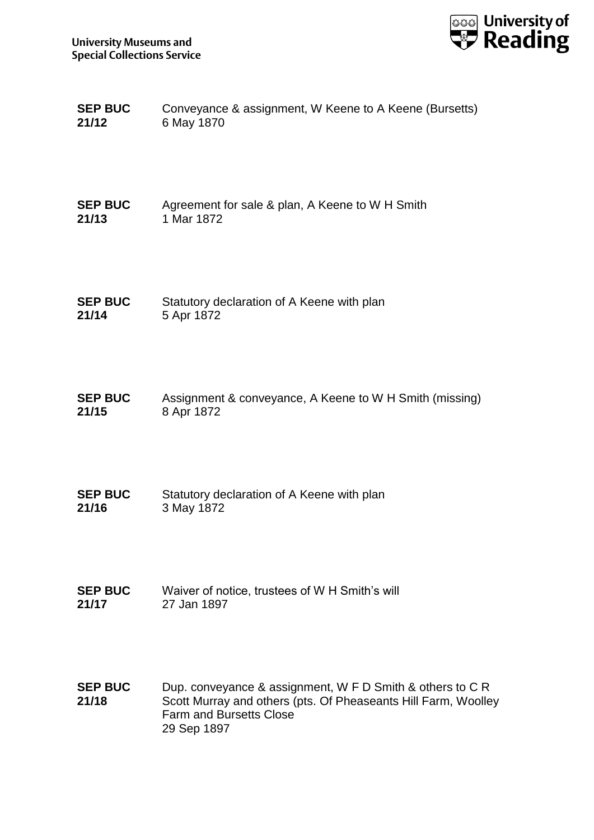

| <b>SEP BUC</b> | Conveyance & assignment, W Keene to A Keene (Bursetts) |
|----------------|--------------------------------------------------------|
| 21/12          | 6 May 1870                                             |

| <b>SEP BUC</b> | Agreement for sale & plan, A Keene to W H Smith |
|----------------|-------------------------------------------------|
| 21/13          | 1 Mar 1872                                      |

- **SEP BUC 21/14** Statutory declaration of A Keene with plan 5 Apr 1872
- **SEP BUC 21/15** Assignment & conveyance, A Keene to W H Smith (missing) 8 Apr 1872
- **SEP BUC 21/16** Statutory declaration of A Keene with plan 3 May 1872
- **SEP BUC 21/17** Waiver of notice, trustees of W H Smith's will 27 Jan 1897
- **SEP BUC 21/18** Dup. conveyance & assignment, W F D Smith & others to C R Scott Murray and others (pts. Of Pheaseants Hill Farm, Woolley Farm and Bursetts Close 29 Sep 1897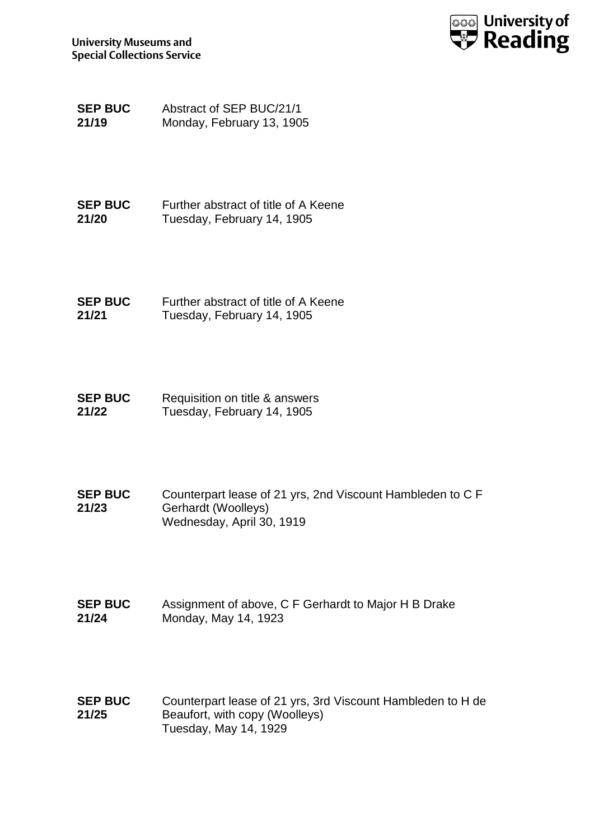

**SEP BUC 21/19** Abstract of SEP BUC/21/1 Monday, February 13, 1905

**SEP BUC 21/20** Further abstract of title of A Keene Tuesday, February 14, 1905

**SEP BUC 21/21** Further abstract of title of A Keene Tuesday, February 14, 1905

**SEP BUC 21/22** Requisition on title & answers Tuesday, February 14, 1905

- **SEP BUC 21/23** Counterpart lease of 21 yrs, 2nd Viscount Hambleden to C F Gerhardt (Woolleys) Wednesday, April 30, 1919
- **SEP BUC 21/24** Assignment of above, C F Gerhardt to Major H B Drake Monday, May 14, 1923

**SEP BUC 21/25** Counterpart lease of 21 yrs, 3rd Viscount Hambleden to H de Beaufort, with copy (Woolleys) Tuesday, May 14, 1929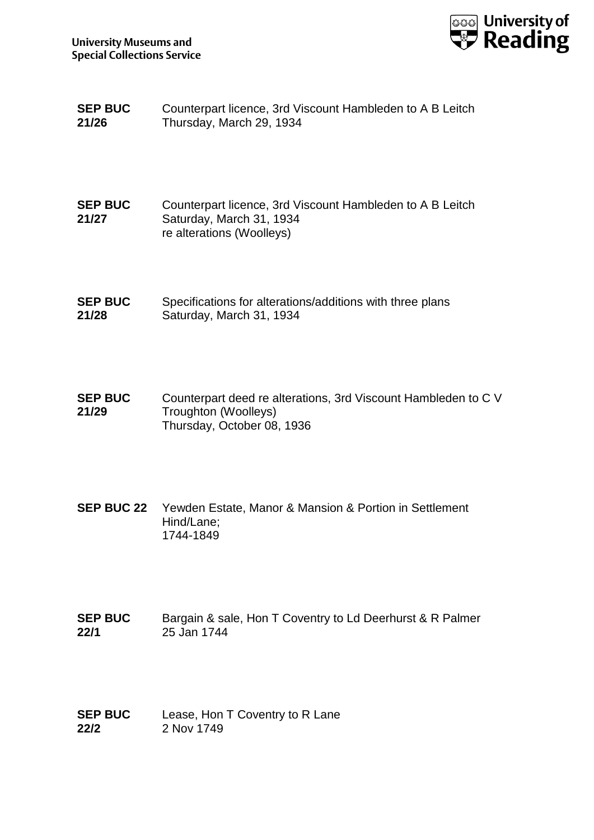

| <b>SEP BUC</b> | Counterpart licence, 3rd Viscount Hambleden to A B Leitch |
|----------------|-----------------------------------------------------------|
| 21/26          | Thursday, March 29, 1934                                  |

**SEP BUC 21/27** Counterpart licence, 3rd Viscount Hambleden to A B Leitch Saturday, March 31, 1934 re alterations (Woolleys)

**SEP BUC 21/28** Specifications for alterations/additions with three plans Saturday, March 31, 1934

**SEP BUC 21/29** Counterpart deed re alterations, 3rd Viscount Hambleden to C V Troughton (Woolleys) Thursday, October 08, 1936

- **SEP BUC 22** Yewden Estate, Manor & Mansion & Portion in Settlement Hind/Lane; 1744-1849
- **SEP BUC 22/1** Bargain & sale, Hon T Coventry to Ld Deerhurst & R Palmer 25 Jan 1744
- **SEP BUC 22/2** Lease, Hon T Coventry to R Lane 2 Nov 1749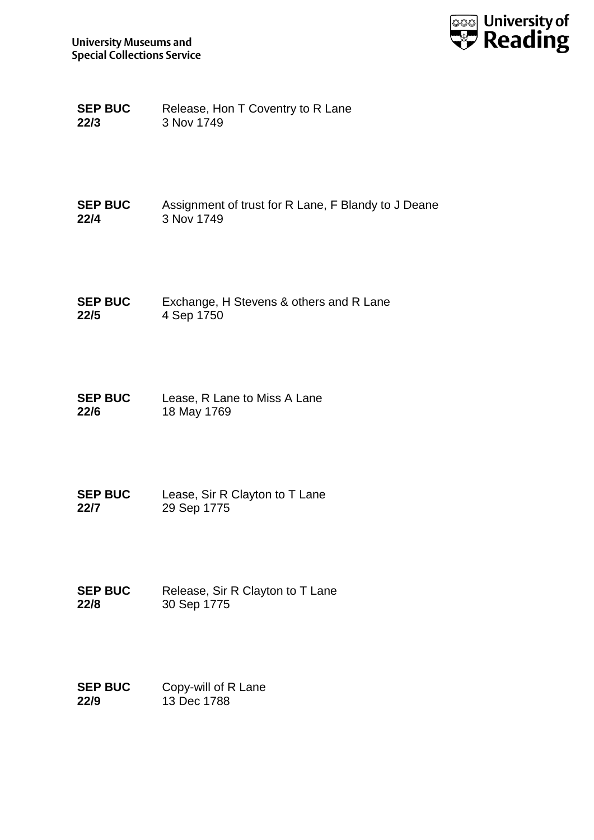

**SEP BUC 22/3** Release, Hon T Coventry to R Lane 3 Nov 1749

**SEP BUC 22/4** Assignment of trust for R Lane, F Blandy to J Deane 3 Nov 1749

**SEP BUC 22/5** Exchange, H Stevens & others and R Lane 4 Sep 1750

**SEP BUC 22/6** Lease, R Lane to Miss A Lane 18 May 1769

**SEP BUC 22/7** Lease, Sir R Clayton to T Lane 29 Sep 1775

**SEP BUC 22/8** Release, Sir R Clayton to T Lane 30 Sep 1775

**SEP BUC 22/9** Copy-will of R Lane 13 Dec 1788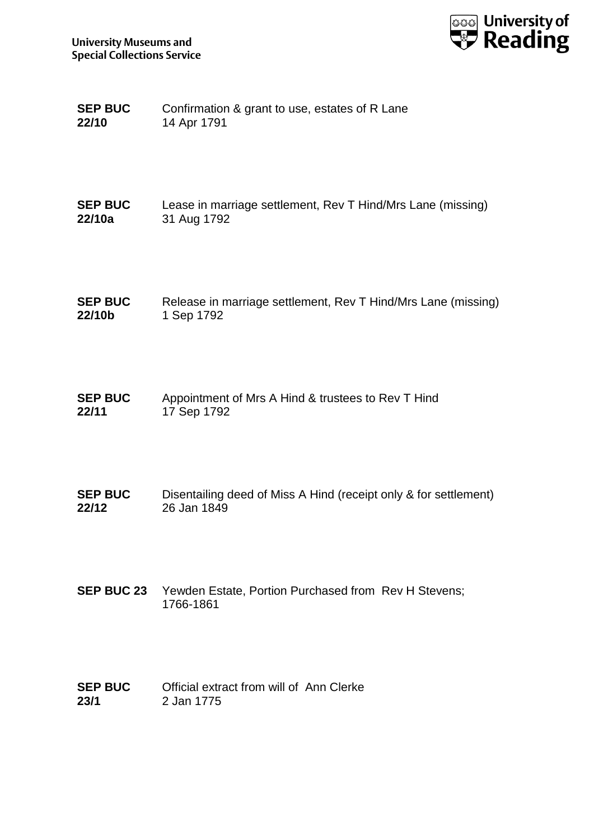

| <b>SEP BUC</b> | Confirmation & grant to use, estates of R Lane |
|----------------|------------------------------------------------|
| 22/10          | 14 Apr 1791                                    |

| <b>SEP BUC</b> | Lease in marriage settlement, Rev T Hind/Mrs Lane (missing) |
|----------------|-------------------------------------------------------------|
| 22/10a         | 31 Aug 1792                                                 |

**SEP BUC 22/10b** Release in marriage settlement, Rev T Hind/Mrs Lane (missing) 1 Sep 1792

**SEP BUC 22/11** Appointment of Mrs A Hind & trustees to Rev T Hind 17 Sep 1792

**SEP BUC 22/12** Disentailing deed of Miss A Hind (receipt only & for settlement) 26 Jan 1849

**SEP BUC 23** Yewden Estate, Portion Purchased from Rev H Stevens; 1766-1861

| <b>SEP BUC</b> | Official extract from will of Ann Clerke |  |
|----------------|------------------------------------------|--|
| 23/1           | 2 Jan 1775                               |  |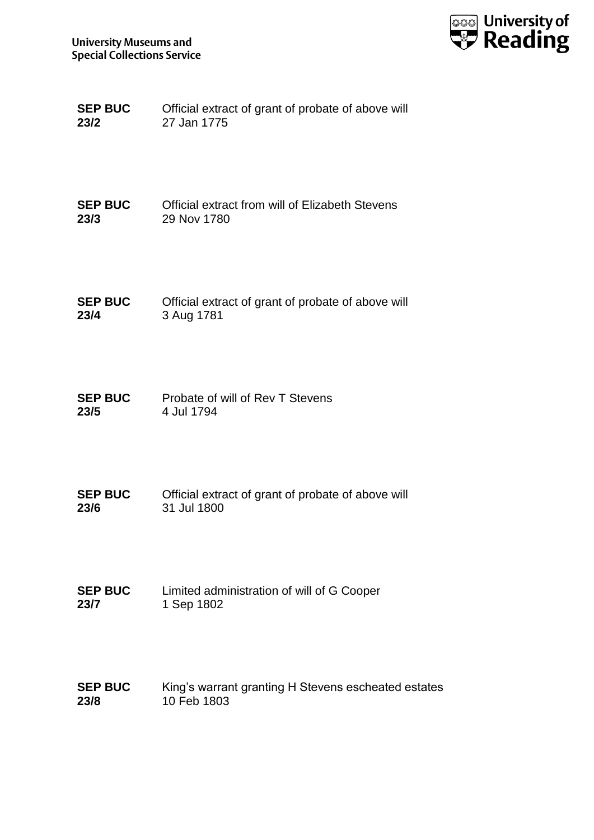

| <b>SEP BUC</b> | Official extract of grant of probate of above will |
|----------------|----------------------------------------------------|
| 23/2           | 27 Jan 1775                                        |

| <b>SEP BUC</b> | Official extract from will of Elizabeth Stevens |
|----------------|-------------------------------------------------|
| 23/3           | 29 Nov 1780                                     |

| <b>SEP BUC</b> | Official extract of grant of probate of above will |
|----------------|----------------------------------------------------|
| 23/4           | 3 Aug 1781                                         |

- **SEP BUC 23/5** Probate of will of Rev T Stevens 4 Jul 1794
- **SEP BUC 23/6** Official extract of grant of probate of above will 31 Jul 1800
- **SEP BUC 23/7** Limited administration of will of G Cooper 1 Sep 1802
- **SEP BUC 23/8** King's warrant granting H Stevens escheated estates 10 Feb 1803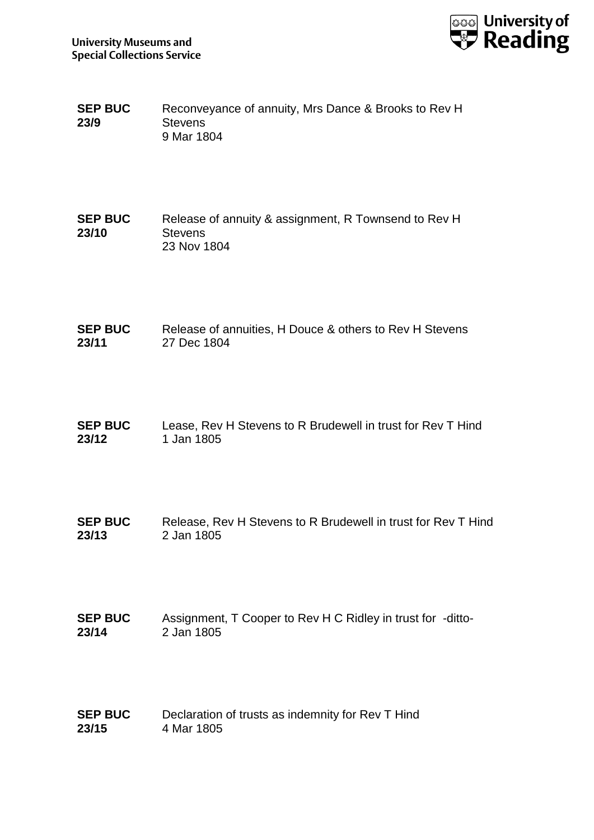

- **SEP BUC 23/9** Reconveyance of annuity, Mrs Dance & Brooks to Rev H **Stevens** 9 Mar 1804
- **SEP BUC 23/10** Release of annuity & assignment, R Townsend to Rev H **Stevens** 23 Nov 1804
- **SEP BUC 23/11** Release of annuities, H Douce & others to Rev H Stevens 27 Dec 1804
- **SEP BUC 23/12** Lease, Rev H Stevens to R Brudewell in trust for Rev T Hind 1 Jan 1805
- **SEP BUC 23/13** Release, Rev H Stevens to R Brudewell in trust for Rev T Hind 2 Jan 1805
- **SEP BUC 23/14** Assignment, T Cooper to Rev H C Ridley in trust for -ditto-2 Jan 1805
- **SEP BUC 23/15** Declaration of trusts as indemnity for Rev T Hind 4 Mar 1805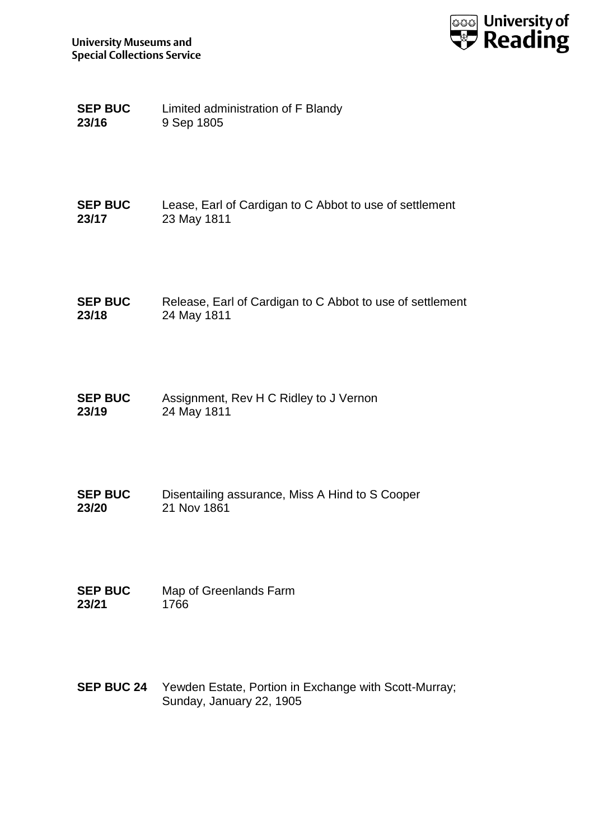

| <b>SEP BUC</b> | Limited administration of F Blandy |
|----------------|------------------------------------|
| 23/16          | 9 Sep 1805                         |

| <b>SEP BUC</b> | Lease, Earl of Cardigan to C Abbot to use of settlement |
|----------------|---------------------------------------------------------|
| 23/17          | 23 May 1811                                             |

| <b>SEP BUC</b> | Release, Earl of Cardigan to C Abbot to use of settlement |
|----------------|-----------------------------------------------------------|
| 23/18          | 24 May 1811                                               |

- **SEP BUC 23/19** Assignment, Rev H C Ridley to J Vernon 24 May 1811
- **SEP BUC 23/20** Disentailing assurance, Miss A Hind to S Cooper 21 Nov 1861
- **SEP BUC 23/21** Map of Greenlands Farm 1766
- **SEP BUC 24** Yewden Estate, Portion in Exchange with Scott-Murray; Sunday, January 22, 1905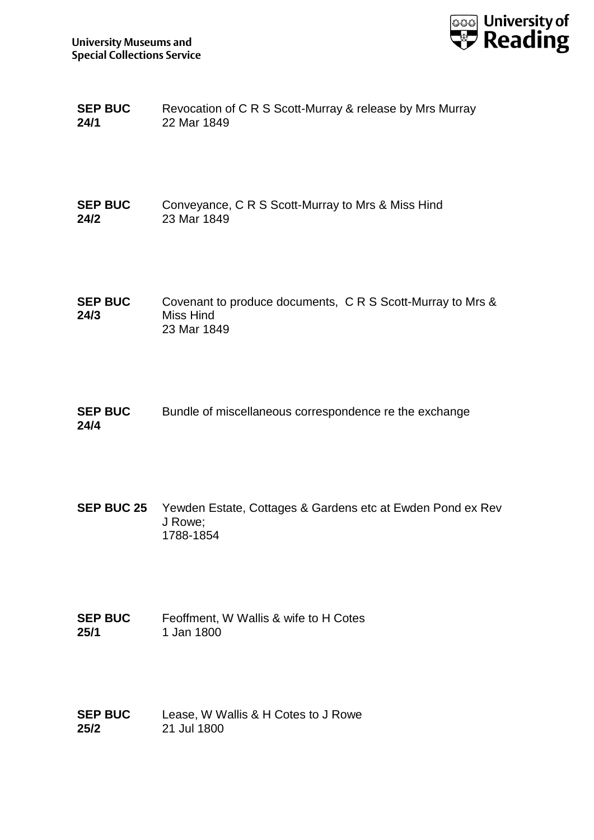

| <b>SEP BUC</b> | Revocation of C R S Scott-Murray & release by Mrs Murray |
|----------------|----------------------------------------------------------|
| 24/1           | 22 Mar 1849                                              |

**SEP BUC 24/2** Conveyance, C R S Scott-Murray to Mrs & Miss Hind 23 Mar 1849

**SEP BUC 24/3** Covenant to produce documents, C R S Scott-Murray to Mrs & Miss Hind 23 Mar 1849

**SEP BUC 24/4** Bundle of miscellaneous correspondence re the exchange

**SEP BUC 25** Yewden Estate, Cottages & Gardens etc at Ewden Pond ex Rev J Rowe; 1788-1854

**SEP BUC 25/1** Feoffment, W Wallis & wife to H Cotes 1 Jan 1800

**SEP BUC 25/2** Lease, W Wallis & H Cotes to J Rowe 21 Jul 1800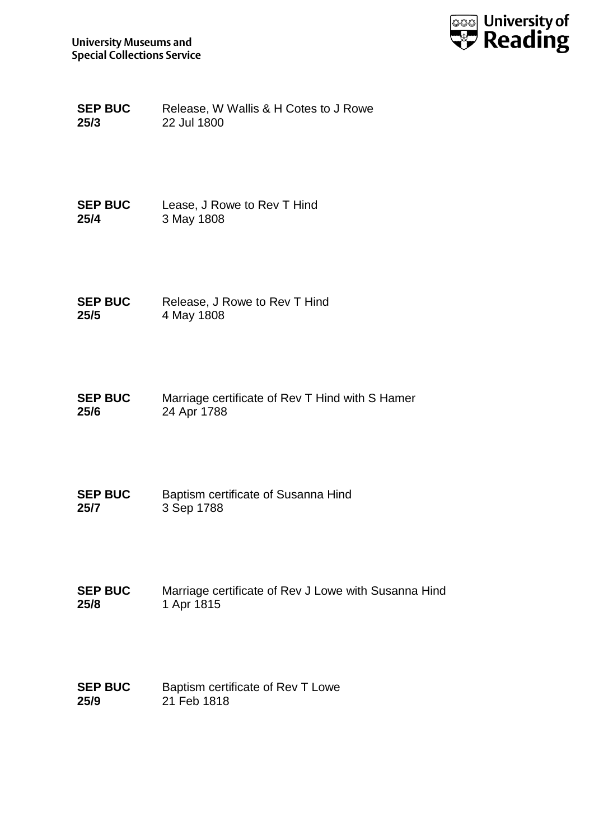

**SEP BUC 25/3** Release, W Wallis & H Cotes to J Rowe 22 Jul 1800

**SEP BUC 25/4** Lease, J Rowe to Rev T Hind 3 May 1808

**SEP BUC 25/5** Release, J Rowe to Rev T Hind 4 May 1808

**SEP BUC 25/6** Marriage certificate of Rev T Hind with S Hamer 24 Apr 1788

**SEP BUC 25/7** Baptism certificate of Susanna Hind 3 Sep 1788

**SEP BUC 25/8** Marriage certificate of Rev J Lowe with Susanna Hind 1 Apr 1815

**SEP BUC 25/9** Baptism certificate of Rev T Lowe 21 Feb 1818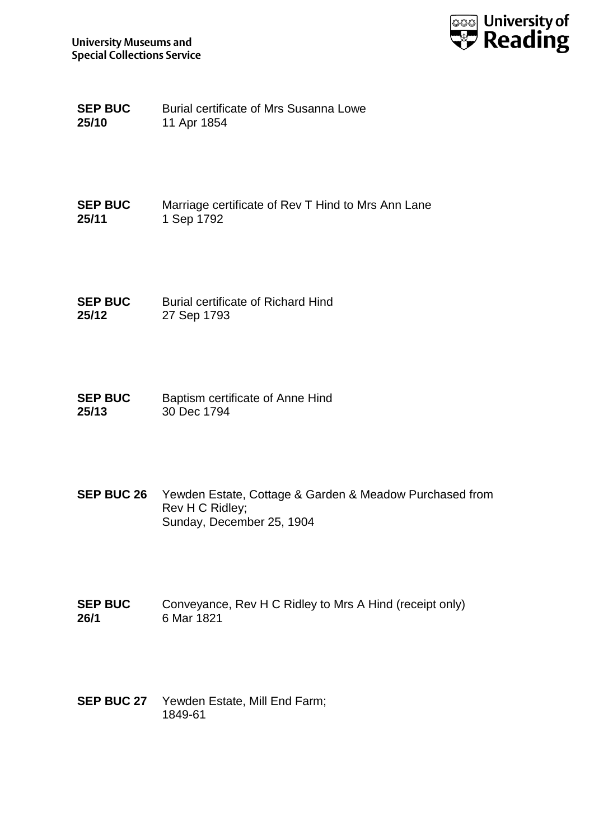

| <b>SEP BUC</b> | Burial certificate of Mrs Susanna Lowe |
|----------------|----------------------------------------|
| 25/10          | 11 Apr 1854                            |

**SEP BUC 25/11** Marriage certificate of Rev T Hind to Mrs Ann Lane 1 Sep 1792

**SEP BUC 25/12** Burial certificate of Richard Hind 27 Sep 1793

**SEP BUC 25/13** Baptism certificate of Anne Hind 30 Dec 1794

**SEP BUC 26** Yewden Estate, Cottage & Garden & Meadow Purchased from Rev H C Ridley; Sunday, December 25, 1904

**SEP BUC 26/1** Conveyance, Rev H C Ridley to Mrs A Hind (receipt only) 6 Mar 1821

**SEP BUC 27** Yewden Estate, Mill End Farm; 1849-61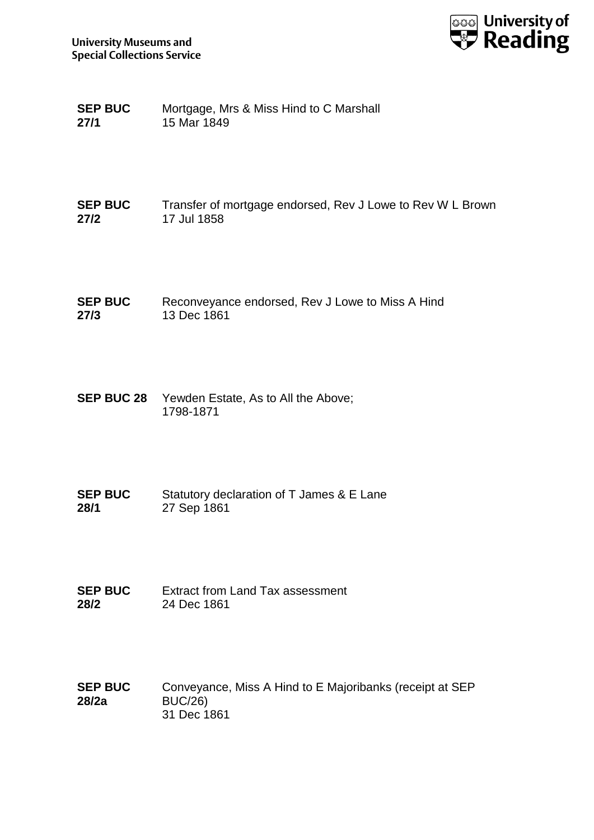

| <b>SEP BUC</b> | Mortgage, Mrs & Miss Hind to C Marshall |
|----------------|-----------------------------------------|
| 27/1           | 15 Mar 1849                             |

#### **SEP BUC 27/2** Transfer of mortgage endorsed, Rev J Lowe to Rev W L Brown 17 Jul 1858

- **SEP BUC 27/3** Reconveyance endorsed, Rev J Lowe to Miss A Hind 13 Dec 1861
- **SEP BUC 28** Yewden Estate, As to All the Above; 1798-1871
- **SEP BUC 28/1** Statutory declaration of T James & E Lane 27 Sep 1861
- **SEP BUC 28/2** Extract from Land Tax assessment 24 Dec 1861
- **SEP BUC 28/2a** Conveyance, Miss A Hind to E Majoribanks (receipt at SEP BUC/26) 31 Dec 1861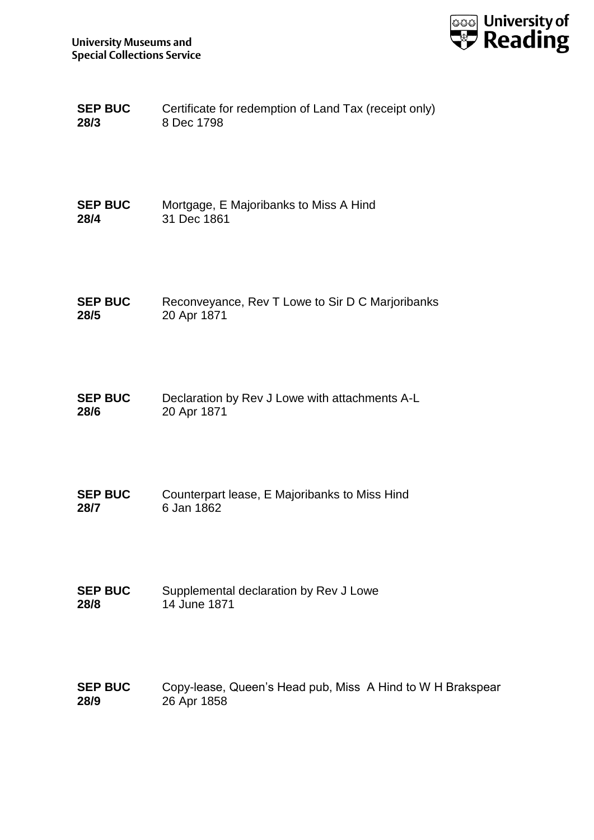

| <b>SEP BUC</b> | Certificate for redemption of Land Tax (receipt only) |
|----------------|-------------------------------------------------------|
| 28/3           | 8 Dec 1798                                            |

| <b>SEP BUC</b> | Mortgage, E Majoribanks to Miss A Hind |
|----------------|----------------------------------------|
| 28/4           | 31 Dec 1861                            |

| <b>SEP BUC</b> | Reconveyance, Rev T Lowe to Sir D C Marjoribanks |
|----------------|--------------------------------------------------|
| 28/5           | 20 Apr 1871                                      |

**SEP BUC 28/6** Declaration by Rev J Lowe with attachments A-L 20 Apr 1871

**SEP BUC 28/7** Counterpart lease, E Majoribanks to Miss Hind 6 Jan 1862

**SEP BUC 28/8** Supplemental declaration by Rev J Lowe 14 June 1871

**SEP BUC 28/9** Copy-lease, Queen's Head pub, Miss A Hind to W H Brakspear 26 Apr 1858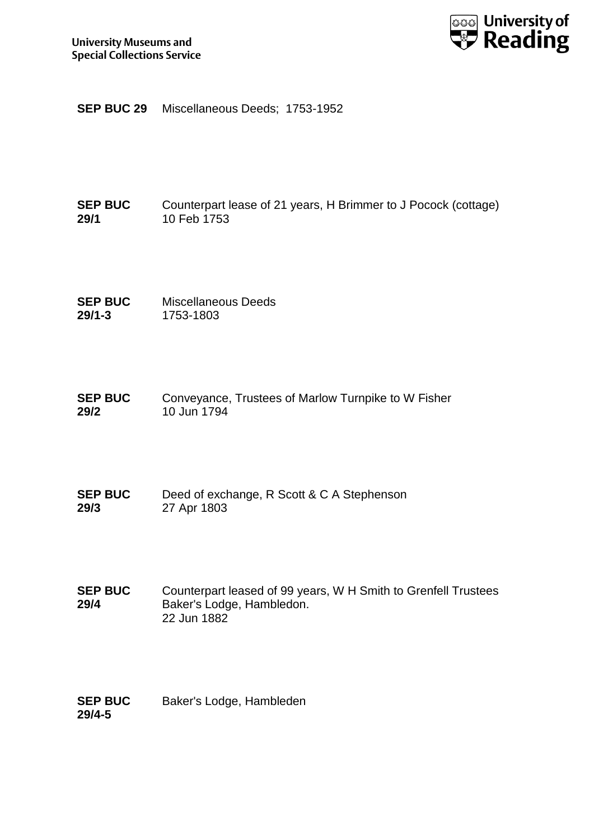

**SEP BUC 29** Miscellaneous Deeds; 1753-1952

### **SEP BUC 29/1** Counterpart lease of 21 years, H Brimmer to J Pocock (cottage) 10 Feb 1753

**SEP BUC 29/1-3** Miscellaneous Deeds 1753-1803

**SEP BUC 29/2** Conveyance, Trustees of Marlow Turnpike to W Fisher 10 Jun 1794

**SEP BUC 29/3** Deed of exchange, R Scott & C A Stephenson 27 Apr 1803

**SEP BUC 29/4** Counterpart leased of 99 years, W H Smith to Grenfell Trustees Baker's Lodge, Hambledon. 22 Jun 1882

| <b>SEP BUC</b> | Baker's Lodge, Hambleden |
|----------------|--------------------------|
| 29/4-5         |                          |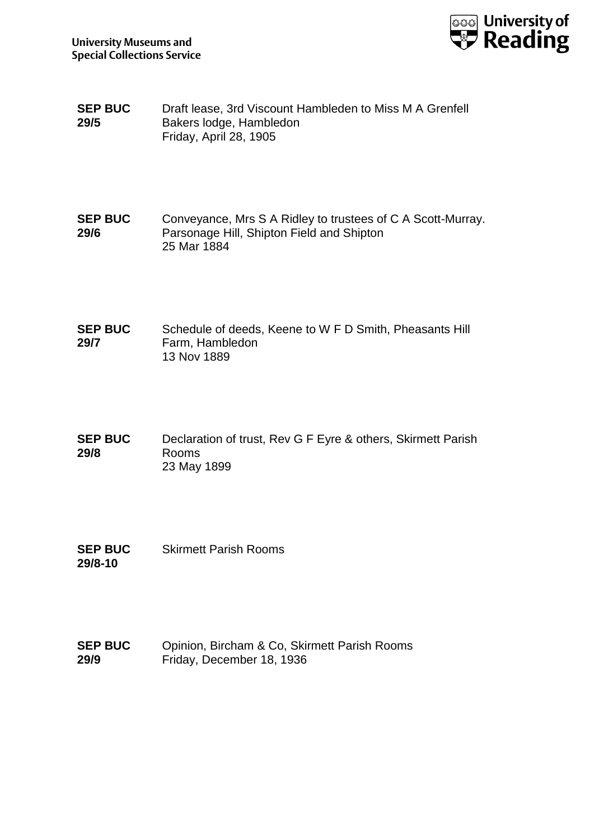**SEP BUC 29/5** Draft lease, 3rd Viscount Hambleden to Miss M A Grenfell Bakers lodge, Hambledon Friday, April 28, 1905

**SEP BUC 29/6** Conveyance, Mrs S A Ridley to trustees of C A Scott-Murray. Parsonage Hill, Shipton Field and Shipton 25 Mar 1884

**SEP BUC 29/7** Schedule of deeds, Keene to W F D Smith, Pheasants Hill Farm, Hambledon 13 Nov 1889

- **SEP BUC 29/8** Declaration of trust, Rev G F Eyre & others, Skirmett Parish Rooms 23 May 1899
- **SEP BUC 29/8-10** Skirmett Parish Rooms
- **SEP BUC 29/9** Opinion, Bircham & Co, Skirmett Parish Rooms Friday, December 18, 1936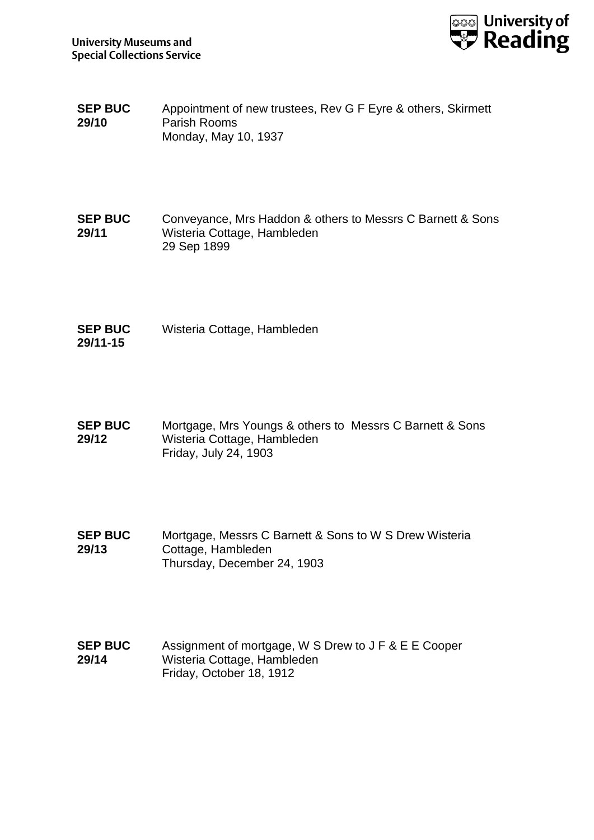

- **SEP BUC 29/10** Appointment of new trustees, Rev G F Eyre & others, Skirmett Parish Rooms Monday, May 10, 1937
- **SEP BUC 29/11** Conveyance, Mrs Haddon & others to Messrs C Barnett & Sons Wisteria Cottage, Hambleden 29 Sep 1899
- **SEP BUC 29/11-15** Wisteria Cottage, Hambleden
- **SEP BUC 29/12** Mortgage, Mrs Youngs & others to Messrs C Barnett & Sons Wisteria Cottage, Hambleden Friday, July 24, 1903
- **SEP BUC 29/13** Mortgage, Messrs C Barnett & Sons to W S Drew Wisteria Cottage, Hambleden Thursday, December 24, 1903
- **SEP BUC 29/14** Assignment of mortgage, W S Drew to J F & E E Cooper Wisteria Cottage, Hambleden Friday, October 18, 1912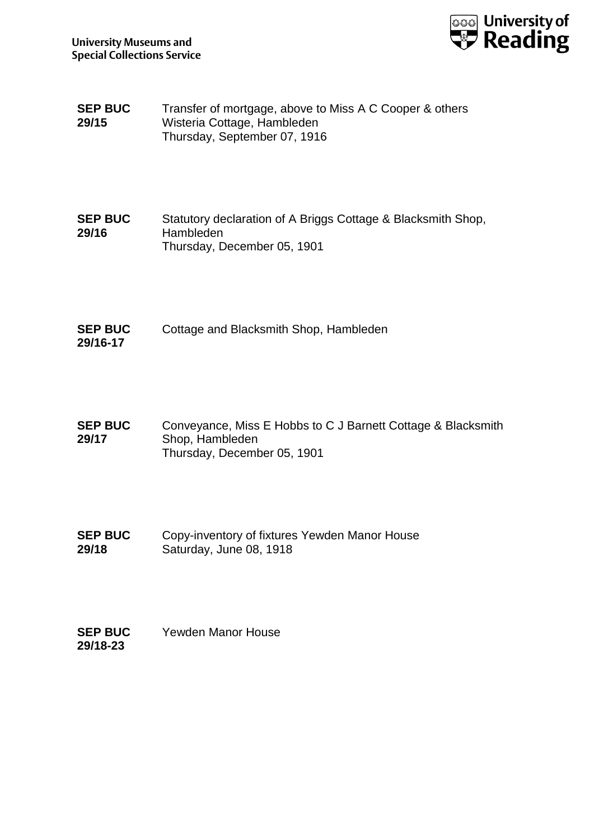

**SEP BUC 29/15** Transfer of mortgage, above to Miss A C Cooper & others Wisteria Cottage, Hambleden Thursday, September 07, 1916

**SEP BUC 29/16** Statutory declaration of A Briggs Cottage & Blacksmith Shop, Hambleden Thursday, December 05, 1901

**SEP BUC 29/16-17** Cottage and Blacksmith Shop, Hambleden

**SEP BUC 29/17** Conveyance, Miss E Hobbs to C J Barnett Cottage & Blacksmith Shop, Hambleden Thursday, December 05, 1901

**SEP BUC 29/18** Copy-inventory of fixtures Yewden Manor House Saturday, June 08, 1918

**SEP BUC 29/18-23** Yewden Manor House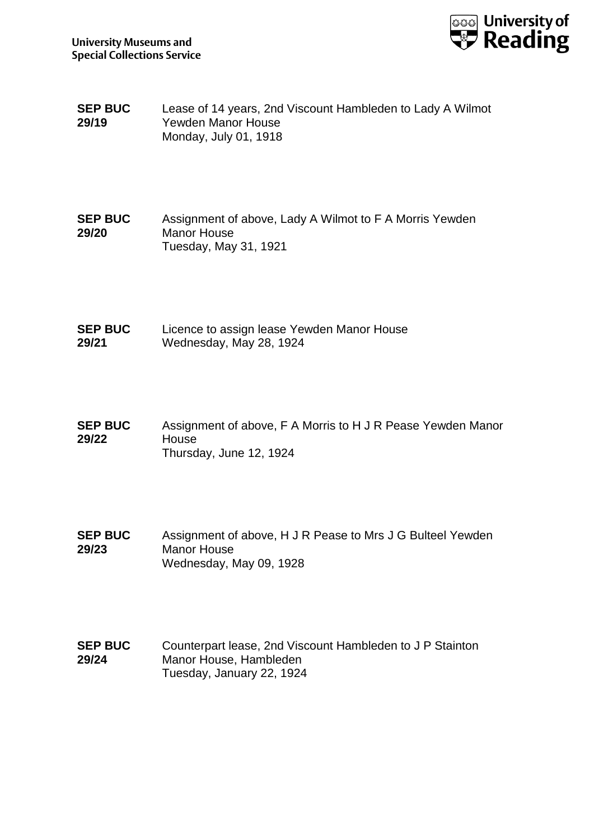

- **SEP BUC 29/19** Lease of 14 years, 2nd Viscount Hambleden to Lady A Wilmot Yewden Manor House Monday, July 01, 1918
- **SEP BUC 29/20** Assignment of above, Lady A Wilmot to F A Morris Yewden Manor House Tuesday, May 31, 1921
- **SEP BUC 29/21** Licence to assign lease Yewden Manor House Wednesday, May 28, 1924
- **SEP BUC 29/22** Assignment of above, F A Morris to H J R Pease Yewden Manor House Thursday, June 12, 1924
- **SEP BUC 29/23** Assignment of above, H J R Pease to Mrs J G Bulteel Yewden Manor House Wednesday, May 09, 1928
- **SEP BUC 29/24** Counterpart lease, 2nd Viscount Hambleden to J P Stainton Manor House, Hambleden Tuesday, January 22, 1924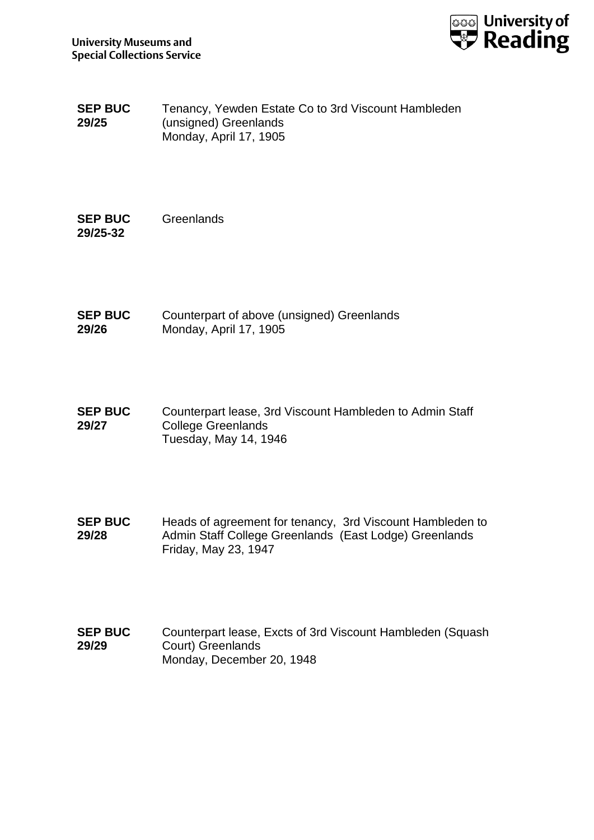

**SEP BUC 29/25** Tenancy, Yewden Estate Co to 3rd Viscount Hambleden (unsigned) Greenlands Monday, April 17, 1905

**SEP BUC 29/25-32 Greenlands** 

**SEP BUC 29/26** Counterpart of above (unsigned) Greenlands Monday, April 17, 1905

**SEP BUC 29/27** Counterpart lease, 3rd Viscount Hambleden to Admin Staff College Greenlands Tuesday, May 14, 1946

**SEP BUC 29/28** Heads of agreement for tenancy, 3rd Viscount Hambleden to Admin Staff College Greenlands (East Lodge) Greenlands Friday, May 23, 1947

**SEP BUC 29/29** Counterpart lease, Excts of 3rd Viscount Hambleden (Squash Court) Greenlands Monday, December 20, 1948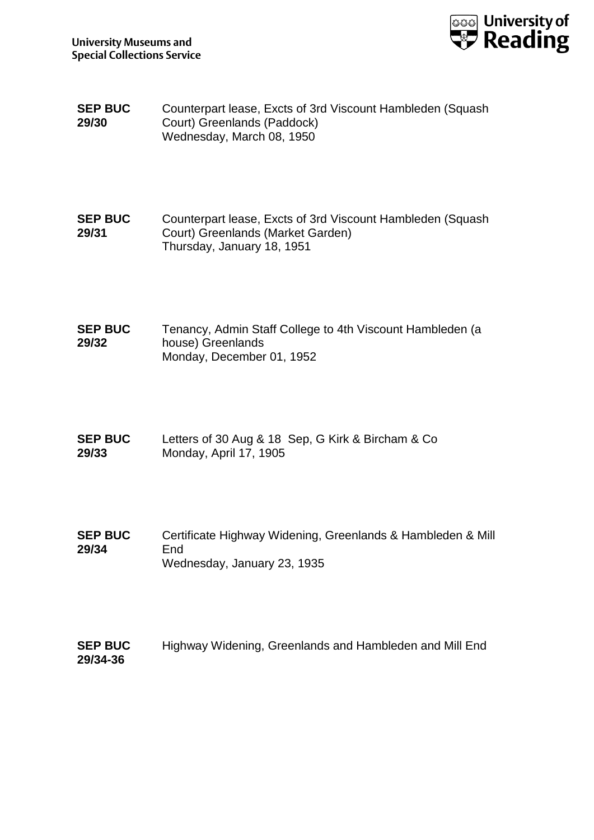

**SEP BUC 29/30** Counterpart lease, Excts of 3rd Viscount Hambleden (Squash Court) Greenlands (Paddock) Wednesday, March 08, 1950

**SEP BUC 29/31** Counterpart lease, Excts of 3rd Viscount Hambleden (Squash Court) Greenlands (Market Garden) Thursday, January 18, 1951

**SEP BUC 29/32** Tenancy, Admin Staff College to 4th Viscount Hambleden (a house) Greenlands Monday, December 01, 1952

- **SEP BUC 29/33** Letters of 30 Aug & 18 Sep, G Kirk & Bircham & Co Monday, April 17, 1905
- **SEP BUC 29/34** Certificate Highway Widening, Greenlands & Hambleden & Mill End Wednesday, January 23, 1935

**SEP BUC 29/34-36** Highway Widening, Greenlands and Hambleden and Mill End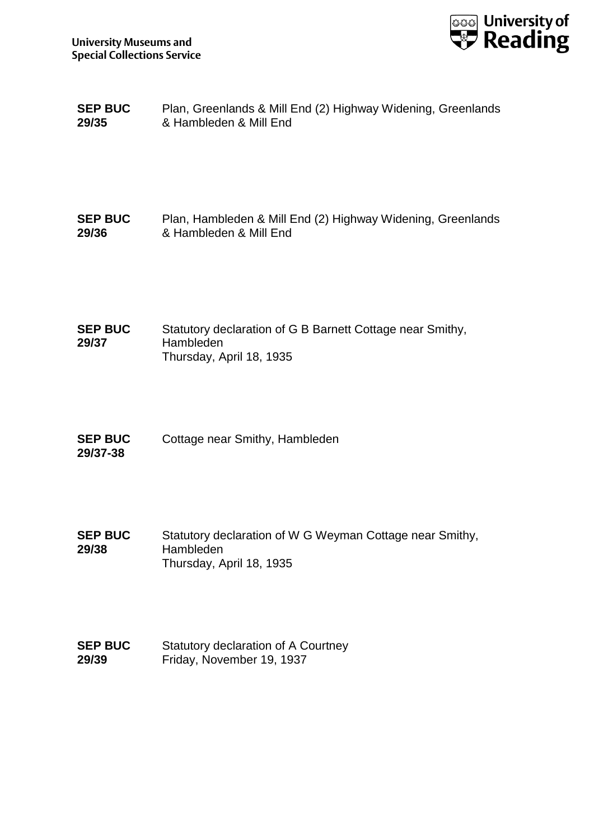

**SEP BUC 29/35** Plan, Greenlands & Mill End (2) Highway Widening, Greenlands & Hambleden & Mill End

### **SEP BUC 29/36** Plan, Hambleden & Mill End (2) Highway Widening, Greenlands & Hambleden & Mill End

**SEP BUC 29/37** Statutory declaration of G B Barnett Cottage near Smithy, Hambleden Thursday, April 18, 1935

- **SEP BUC 29/37-38** Cottage near Smithy, Hambleden
- **SEP BUC 29/38** Statutory declaration of W G Weyman Cottage near Smithy, Hambleden Thursday, April 18, 1935
- **SEP BUC 29/39** Statutory declaration of A Courtney Friday, November 19, 1937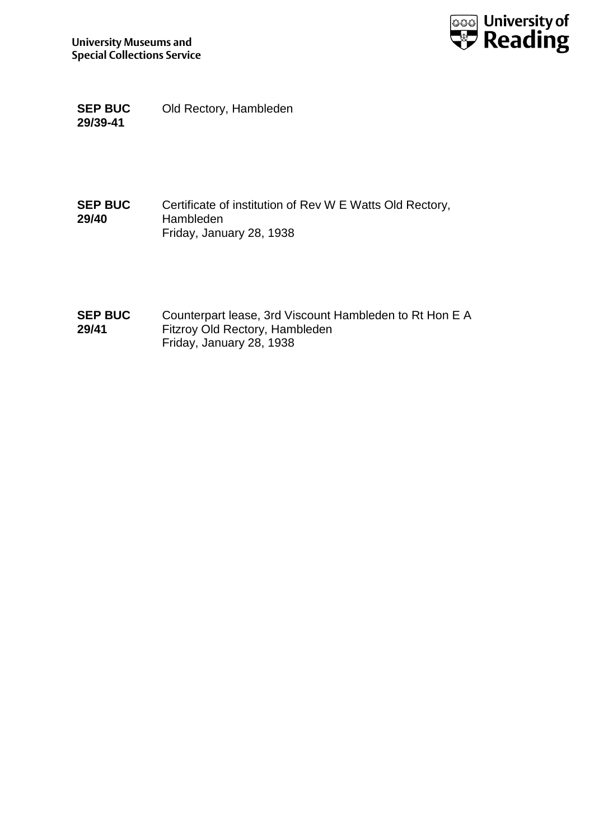

**SEP BUC 29/39-41** Old Rectory, Hambleden

### **SEP BUC 29/40** Certificate of institution of Rev W E Watts Old Rectory, Hambleden Friday, January 28, 1938

**SEP BUC 29/41** Counterpart lease, 3rd Viscount Hambleden to Rt Hon E A Fitzroy Old Rectory, Hambleden Friday, January 28, 1938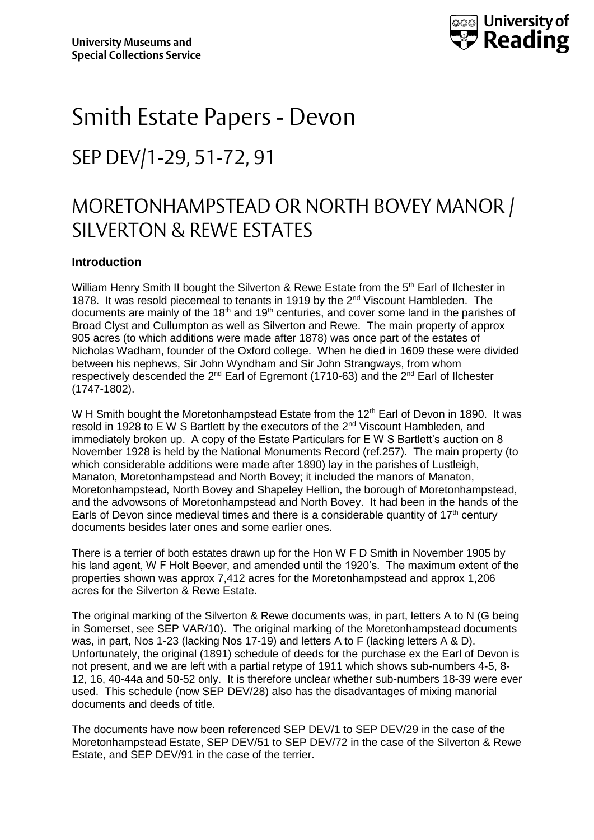

# Smith Estate Papers - Devon SEP DEV/1-29, 51-72, 91

## MORETONHAMPSTEAD OR NORTH BOVEY MANOR / SILVERTON & REWE ESTATES

### **Introduction**

William Henry Smith II bought the Silverton & Rewe Estate from the 5<sup>th</sup> Earl of Ilchester in 1878. It was resold piecemeal to tenants in 1919 by the 2<sup>nd</sup> Viscount Hambleden. The documents are mainly of the 18<sup>th</sup> and 19<sup>th</sup> centuries, and cover some land in the parishes of Broad Clyst and Cullumpton as well as Silverton and Rewe. The main property of approx 905 acres (to which additions were made after 1878) was once part of the estates of Nicholas Wadham, founder of the Oxford college. When he died in 1609 these were divided between his nephews, Sir John Wyndham and Sir John Strangways, from whom respectively descended the  $2^{nd}$  Earl of Egremont (1710-63) and the  $2^{nd}$  Earl of Ilchester (1747-1802).

W H Smith bought the Moretonhampstead Estate from the 12<sup>th</sup> Earl of Devon in 1890. It was resold in 1928 to E W S Bartlett by the executors of the 2nd Viscount Hambleden, and immediately broken up. A copy of the Estate Particulars for E W S Bartlett's auction on 8 November 1928 is held by the National Monuments Record (ref.257). The main property (to which considerable additions were made after 1890) lay in the parishes of Lustleigh, Manaton, Moretonhampstead and North Bovey; it included the manors of Manaton, Moretonhampstead, North Bovey and Shapeley Hellion, the borough of Moretonhampstead, and the advowsons of Moretonhampstead and North Bovey. It had been in the hands of the Earls of Devon since medieval times and there is a considerable quantity of  $17<sup>th</sup>$  century documents besides later ones and some earlier ones.

There is a terrier of both estates drawn up for the Hon W F D Smith in November 1905 by his land agent, W F Holt Beever, and amended until the 1920's. The maximum extent of the properties shown was approx 7,412 acres for the Moretonhampstead and approx 1,206 acres for the Silverton & Rewe Estate.

The original marking of the Silverton & Rewe documents was, in part, letters A to N (G being in Somerset, see SEP VAR/10). The original marking of the Moretonhampstead documents was, in part, Nos 1-23 (lacking Nos 17-19) and letters A to F (lacking letters A & D). Unfortunately, the original (1891) schedule of deeds for the purchase ex the Earl of Devon is not present, and we are left with a partial retype of 1911 which shows sub-numbers 4-5, 8- 12, 16, 40-44a and 50-52 only. It is therefore unclear whether sub-numbers 18-39 were ever used. This schedule (now SEP DEV/28) also has the disadvantages of mixing manorial documents and deeds of title.

The documents have now been referenced SEP DEV/1 to SEP DEV/29 in the case of the Moretonhampstead Estate, SEP DEV/51 to SEP DEV/72 in the case of the Silverton & Rewe Estate, and SEP DEV/91 in the case of the terrier.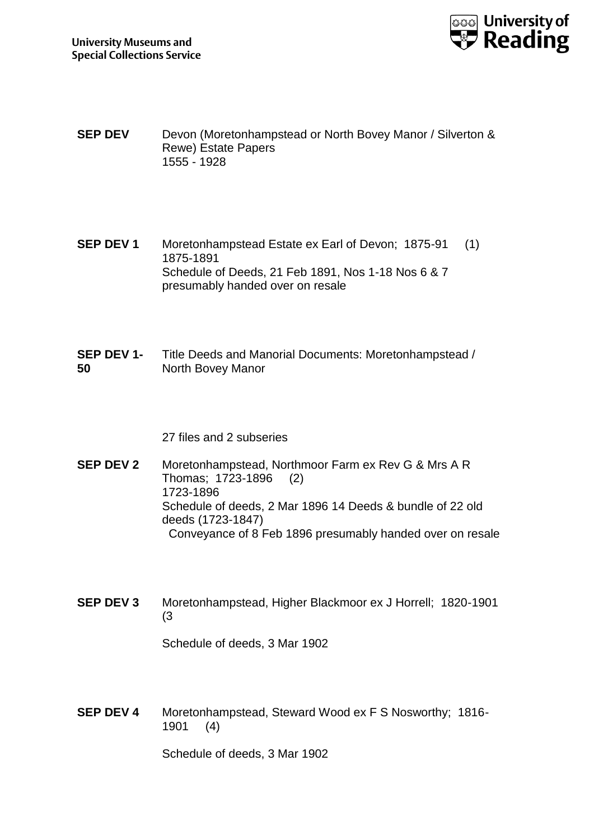

- **SEP DEV** Devon (Moretonhampstead or North Bovey Manor / Silverton & Rewe) Estate Papers 1555 - 1928
- **SEP DEV 1** Moretonhampstead Estate ex Earl of Devon; 1875-91 (1) 1875-1891 Schedule of Deeds, 21 Feb 1891, Nos 1-18 Nos 6 & 7 presumably handed over on resale
- **SEP DEV 1- 50** Title Deeds and Manorial Documents: Moretonhampstead / North Bovey Manor

27 files and 2 subseries

**SEP DEV 2** Moretonhampstead, Northmoor Farm ex Rev G & Mrs A R Thomas; 1723-1896 (2) 1723-1896 Schedule of deeds, 2 Mar 1896 14 Deeds & bundle of 22 old deeds (1723-1847) Conveyance of 8 Feb 1896 presumably handed over on resale

**SEP DEV 3** Moretonhampstead, Higher Blackmoor ex J Horrell; 1820-1901 (3

Schedule of deeds, 3 Mar 1902

**SEP DEV 4** Moretonhampstead, Steward Wood ex F S Nosworthy; 1816- 1901 (4)

Schedule of deeds, 3 Mar 1902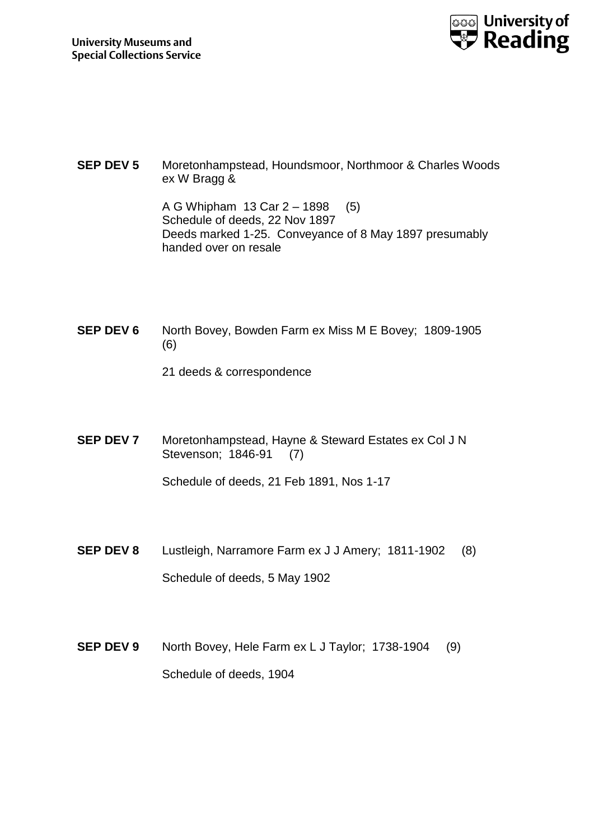

**SEP DEV 5** Moretonhampstead, Houndsmoor, Northmoor & Charles Woods ex W Bragg &

> A G Whipham 13 Car 2 – 1898 (5) Schedule of deeds, 22 Nov 1897 Deeds marked 1-25. Conveyance of 8 May 1897 presumably handed over on resale

**SEP DEV 6** North Bovey, Bowden Farm ex Miss M E Bovey; 1809-1905 (6)

- 21 deeds & correspondence
- **SEP DEV 7** Moretonhampstead, Hayne & Steward Estates ex Col J N Stevenson; 1846-91 (7)

Schedule of deeds, 21 Feb 1891, Nos 1-17

- **SEP DEV 8** Lustleigh, Narramore Farm ex J J Amery; 1811-1902 (8) Schedule of deeds, 5 May 1902
- **SEP DEV 9** North Bovey, Hele Farm ex L J Taylor; 1738-1904 (9) Schedule of deeds, 1904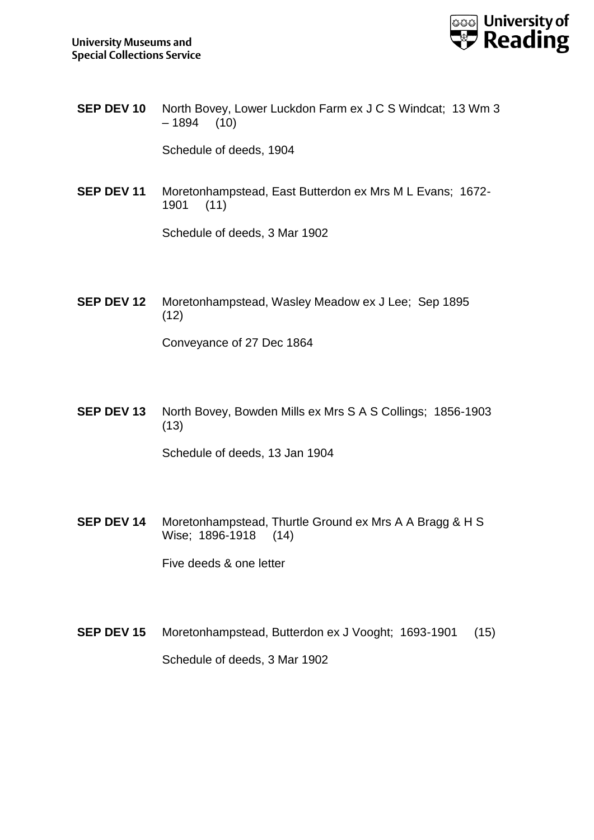

**SEP DEV 10** North Bovey, Lower Luckdon Farm ex J C S Windcat; 13 Wm 3  $-1894$  (10)

Schedule of deeds, 1904

**SEP DEV 11** Moretonhampstead, East Butterdon ex Mrs M L Evans; 1672- 1901 (11)

Schedule of deeds, 3 Mar 1902

**SEP DEV 12** Moretonhampstead, Wasley Meadow ex J Lee; Sep 1895 (12)

Conveyance of 27 Dec 1864

**SEP DEV 13** North Bovey, Bowden Mills ex Mrs S A S Collings; 1856-1903 (13)

Schedule of deeds, 13 Jan 1904

**SEP DEV 14** Moretonhampstead, Thurtle Ground ex Mrs A A Bragg & H S Wise; 1896-1918 (14)

Five deeds & one letter

**SEP DEV 15** Moretonhampstead, Butterdon ex J Vooght; 1693-1901 (15) Schedule of deeds, 3 Mar 1902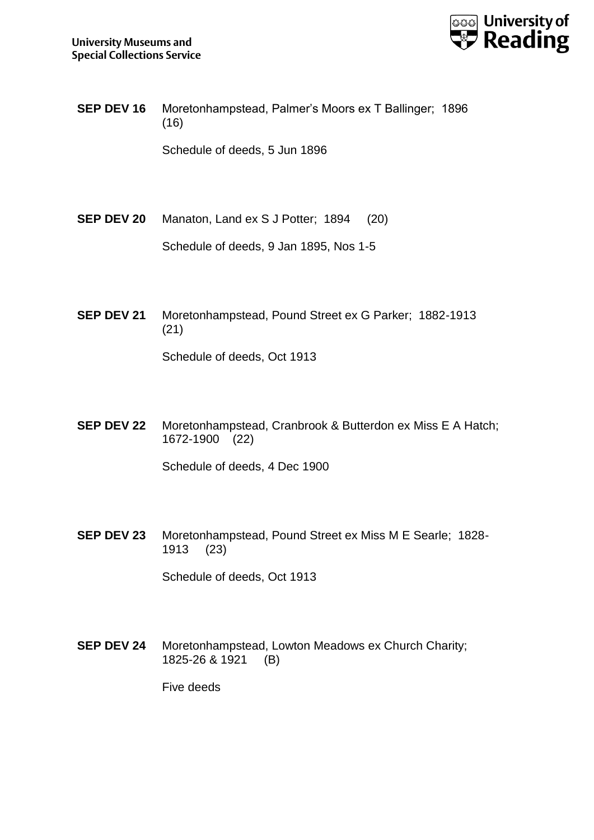

**SEP DEV 16** Moretonhampstead, Palmer's Moors ex T Ballinger; 1896 (16)

Schedule of deeds, 5 Jun 1896

**SEP DEV 20** Manaton, Land ex S J Potter; 1894 (20)

Schedule of deeds, 9 Jan 1895, Nos 1-5

**SEP DEV 21** Moretonhampstead, Pound Street ex G Parker; 1882-1913 (21)

Schedule of deeds, Oct 1913

**SEP DEV 22** Moretonhampstead, Cranbrook & Butterdon ex Miss E A Hatch; 1672-1900 (22)

Schedule of deeds, 4 Dec 1900

**SEP DEV 23** Moretonhampstead, Pound Street ex Miss M E Searle; 1828- 1913 (23)

Schedule of deeds, Oct 1913

**SEP DEV 24** Moretonhampstead, Lowton Meadows ex Church Charity; 1825-26 & 1921 (B)

Five deeds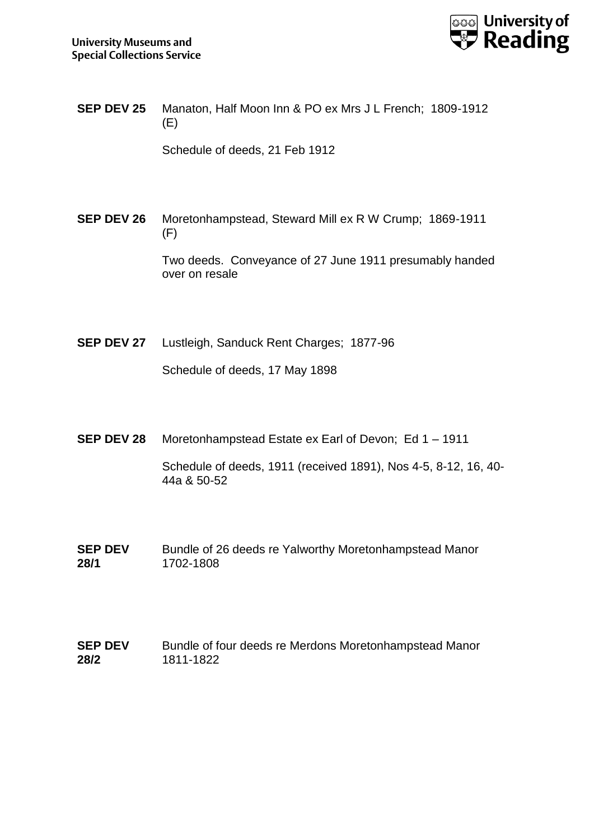

**SEP DEV 25** Manaton, Half Moon Inn & PO ex Mrs J L French; 1809-1912 (E)

Schedule of deeds, 21 Feb 1912

**SEP DEV 26** Moretonhampstead, Steward Mill ex R W Crump; 1869-1911 (F)

> Two deeds. Conveyance of 27 June 1911 presumably handed over on resale

**SEP DEV 27** Lustleigh, Sanduck Rent Charges; 1877-96

Schedule of deeds, 17 May 1898

**SEP DEV 28** Moretonhampstead Estate ex Earl of Devon; Ed 1 – 1911

Schedule of deeds, 1911 (received 1891), Nos 4-5, 8-12, 16, 40- 44a & 50-52

- **SEP DEV 28/1** Bundle of 26 deeds re Yalworthy Moretonhampstead Manor 1702-1808
- **SEP DEV 28/2** Bundle of four deeds re Merdons Moretonhampstead Manor 1811-1822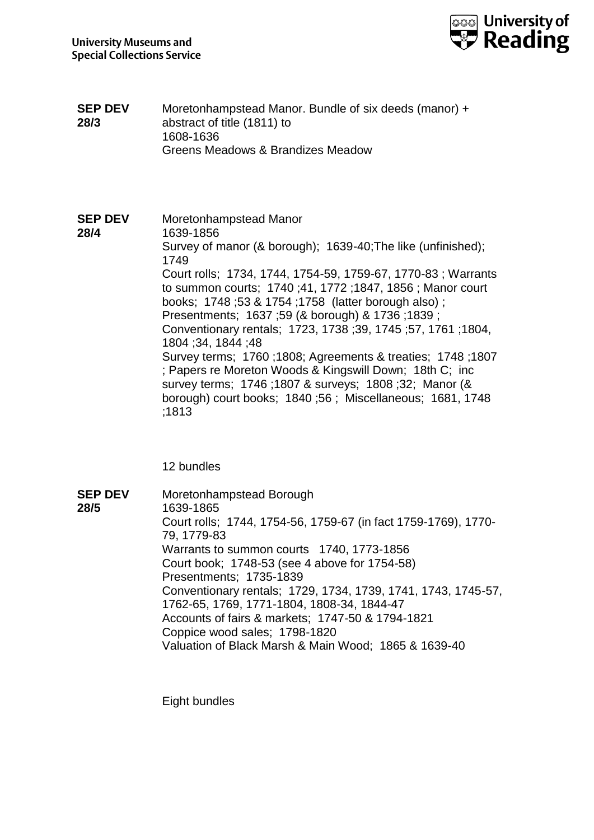

**SEP DEV 28/3** Moretonhampstead Manor. Bundle of six deeds (manor) + abstract of title (1811) to 1608-1636 Greens Meadows & Brandizes Meadow

**SEP DEV 28/4** Moretonhampstead Manor 1639-1856 Survey of manor (& borough); 1639-40;The like (unfinished); 1749 Court rolls; 1734, 1744, 1754-59, 1759-67, 1770-83 ; Warrants to summon courts; 1740 ;41, 1772 ;1847, 1856 ; Manor court books; 1748 ;53 & 1754 ;1758 (latter borough also) ; Presentments; 1637 ;59 (& borough) & 1736 ;1839 ; Conventionary rentals; 1723, 1738 ;39, 1745 ;57, 1761 ;1804, 1804 ;34, 1844 ;48 Survey terms; 1760 ;1808; Agreements & treaties; 1748 ;1807 ; Papers re Moreton Woods & Kingswill Down; 18th C; inc survey terms; 1746 ;1807 & surveys; 1808 ;32; Manor (& borough) court books; 1840 ;56 ; Miscellaneous; 1681, 1748 ;1813

12 bundles

**SEP DEV 28/5** Moretonhampstead Borough 1639-1865 Court rolls; 1744, 1754-56, 1759-67 (in fact 1759-1769), 1770- 79, 1779-83 Warrants to summon courts 1740, 1773-1856 Court book; 1748-53 (see 4 above for 1754-58) Presentments; 1735-1839 Conventionary rentals; 1729, 1734, 1739, 1741, 1743, 1745-57, 1762-65, 1769, 1771-1804, 1808-34, 1844-47 Accounts of fairs & markets; 1747-50 & 1794-1821 Coppice wood sales; 1798-1820 Valuation of Black Marsh & Main Wood; 1865 & 1639-40

Eight bundles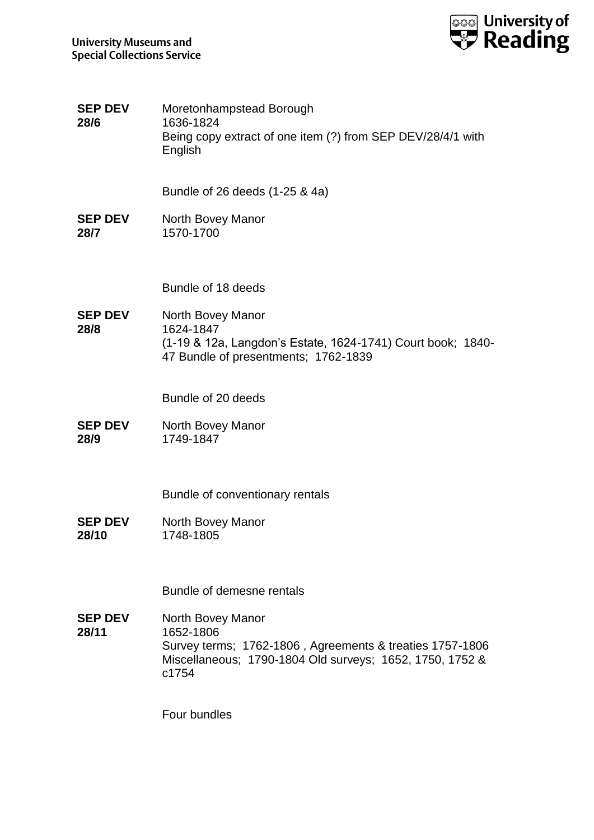

| <b>SEP DEV</b><br>28/6  | Moretonhampstead Borough<br>1636-1824<br>Being copy extract of one item (?) from SEP DEV/28/4/1 with<br>English                                                 |
|-------------------------|-----------------------------------------------------------------------------------------------------------------------------------------------------------------|
|                         | Bundle of 26 deeds (1-25 & 4a)                                                                                                                                  |
| <b>SEP DEV</b><br>28/7  | North Bovey Manor<br>1570-1700                                                                                                                                  |
|                         | Bundle of 18 deeds                                                                                                                                              |
| <b>SEP DEV</b><br>28/8  | North Bovey Manor<br>1624-1847<br>(1-19 & 12a, Langdon's Estate, 1624-1741) Court book; 1840-<br>47 Bundle of presentments; 1762-1839                           |
|                         | Bundle of 20 deeds                                                                                                                                              |
| <b>SEP DEV</b><br>28/9  | North Bovey Manor<br>1749-1847                                                                                                                                  |
|                         | Bundle of conventionary rentals                                                                                                                                 |
| <b>SEP DEV</b><br>28/10 | North Bovey Manor<br>1748-1805                                                                                                                                  |
|                         | Bundle of demesne rentals                                                                                                                                       |
| <b>SEP DEV</b><br>28/11 | North Bovey Manor<br>1652-1806<br>Survey terms; 1762-1806, Agreements & treaties 1757-1806<br>Miscellaneous; 1790-1804 Old surveys; 1652, 1750, 1752 &<br>c1754 |
|                         | Four bundles                                                                                                                                                    |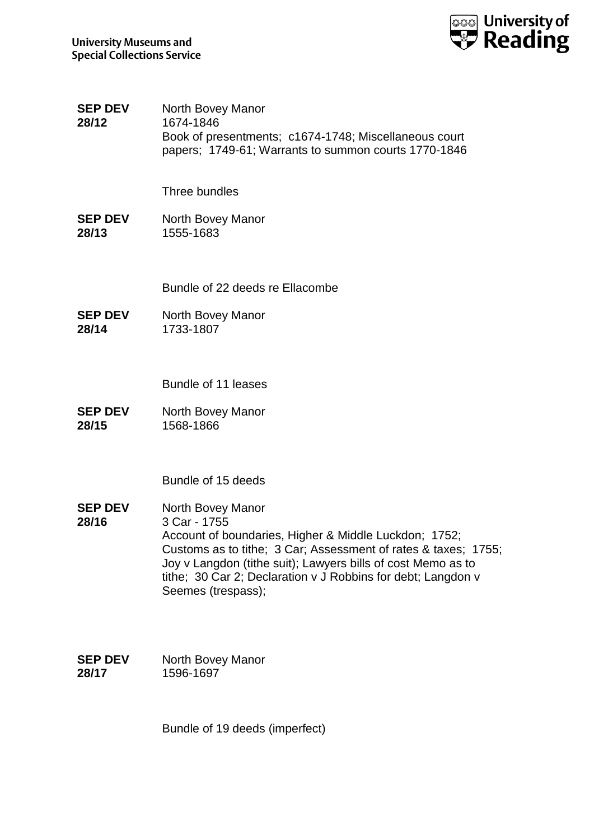

**SEP DEV 28/12** North Bovey Manor 1674-1846 Book of presentments; c1674-1748; Miscellaneous court papers; 1749-61; Warrants to summon courts 1770-1846

Three bundles

**SEP DEV 28/13** North Bovey Manor 1555-1683

Bundle of 22 deeds re Ellacombe

**SEP DEV 28/14** North Bovey Manor 1733-1807

Bundle of 11 leases

**SEP DEV 28/15** North Bovey Manor 1568-1866

Bundle of 15 deeds

**SEP DEV 28/16** North Bovey Manor 3 Car - 1755 Account of boundaries, Higher & Middle Luckdon; 1752; Customs as to tithe; 3 Car; Assessment of rates & taxes; 1755; Joy v Langdon (tithe suit); Lawyers bills of cost Memo as to tithe; 30 Car 2; Declaration v J Robbins for debt; Langdon v Seemes (trespass);

| <b>SEP DEV</b> | North Bovey Manor |
|----------------|-------------------|
| 28/17          | 1596-1697         |

Bundle of 19 deeds (imperfect)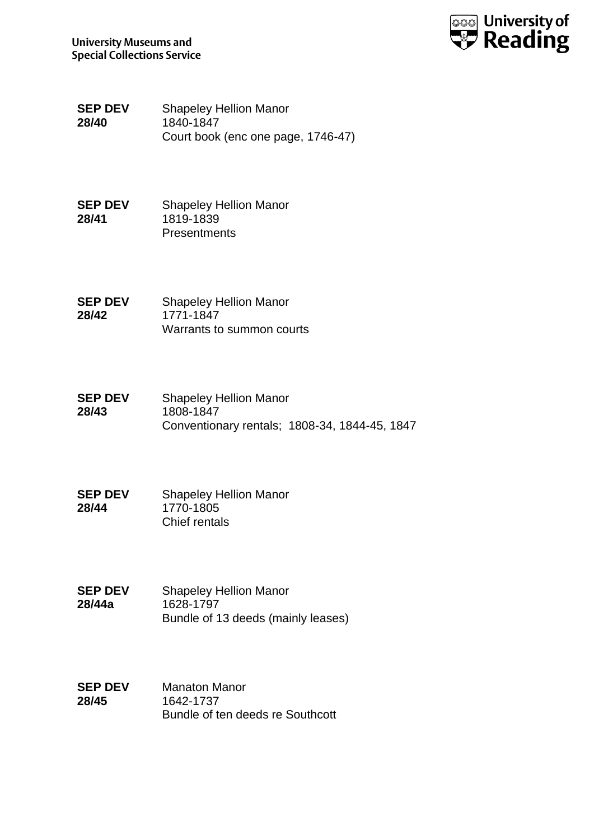



**SEP DEV 28/40** Shapeley Hellion Manor 1840-1847 Court book (enc one page, 1746-47)

**SEP DEV 28/41** Shapeley Hellion Manor 1819-1839 Presentments

**SEP DEV 28/42** Shapeley Hellion Manor 1771-1847 Warrants to summon courts

- **SEP DEV 28/43** Shapeley Hellion Manor 1808-1847 Conventionary rentals; 1808-34, 1844-45, 1847
- **SEP DEV 28/44** Shapeley Hellion Manor 1770-1805 Chief rentals
- **SEP DEV 28/44a** Shapeley Hellion Manor 1628-1797 Bundle of 13 deeds (mainly leases)
- **SEP DEV 28/45** Manaton Manor 1642-1737 Bundle of ten deeds re Southcott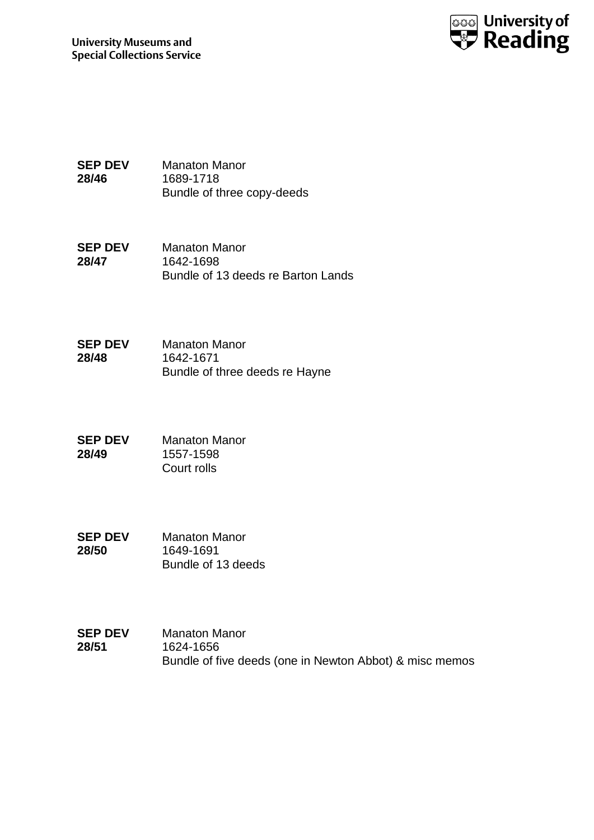

**SEP DEV 28/46** Manaton Manor 1689-1718 Bundle of three copy-deeds

- **SEP DEV 28/47** Manaton Manor 1642-1698 Bundle of 13 deeds re Barton Lands
- **SEP DEV 28/48** Manaton Manor 1642-1671 Bundle of three deeds re Hayne
- **SEP DEV 28/49** Manaton Manor 1557-1598 Court rolls
- **SEP DEV 28/50** Manaton Manor 1649-1691 Bundle of 13 deeds
- **SEP DEV 28/51** Manaton Manor 1624-1656 Bundle of five deeds (one in Newton Abbot) & misc memos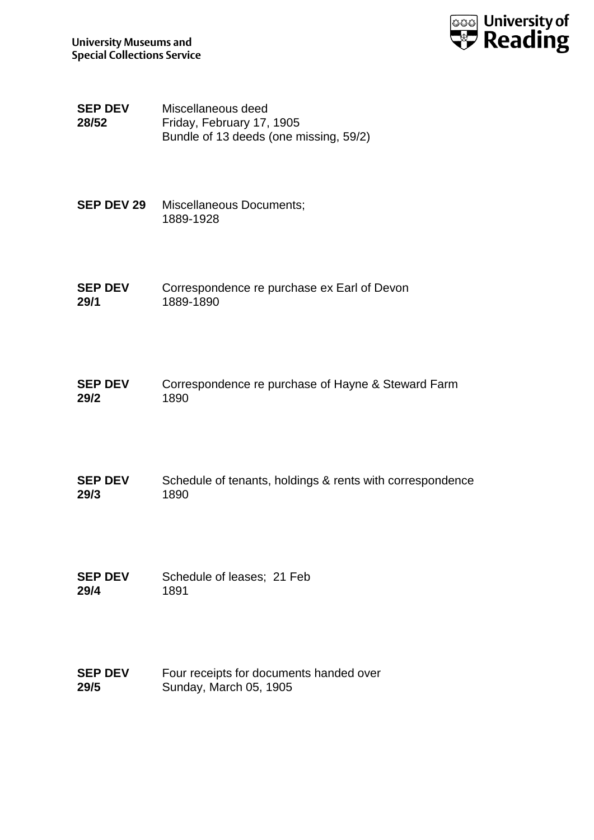

**SEP DEV 28/52** Miscellaneous deed Friday, February 17, 1905 Bundle of 13 deeds (one missing, 59/2)

- **SEP DEV 29** Miscellaneous Documents; 1889-1928
- **SEP DEV 29/1** Correspondence re purchase ex Earl of Devon 1889-1890
- **SEP DEV 29/2** Correspondence re purchase of Hayne & Steward Farm 1890
- **SEP DEV 29/3** Schedule of tenants, holdings & rents with correspondence 1890
- **SEP DEV 29/4** Schedule of leases; 21 Feb 1891
- **SEP DEV 29/5** Four receipts for documents handed over Sunday, March 05, 1905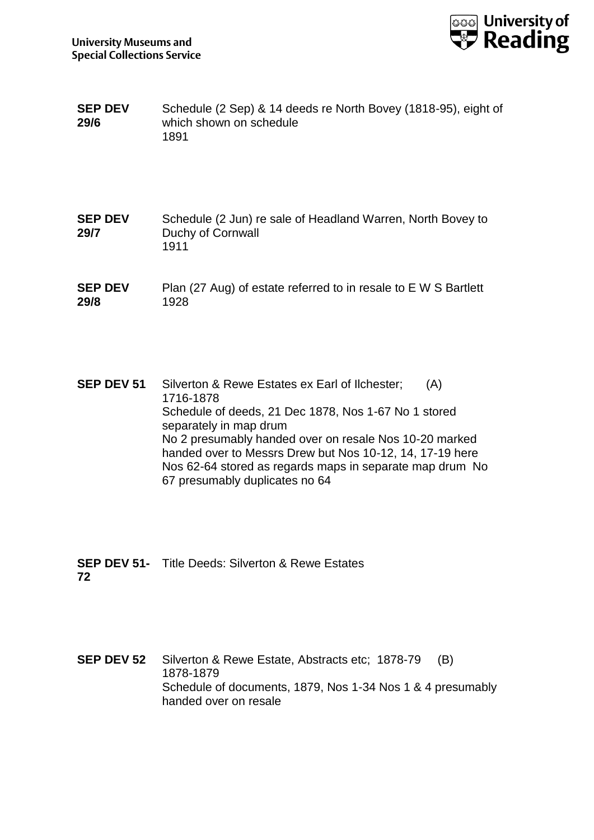

- **SEP DEV 29/6** Schedule (2 Sep) & 14 deeds re North Bovey (1818-95), eight of which shown on schedule 1891
- **SEP DEV 29/7** Schedule (2 Jun) re sale of Headland Warren, North Bovey to Duchy of Cornwall 1911
- **SEP DEV 29/8** Plan (27 Aug) of estate referred to in resale to E W S Bartlett 1928

**SEP DEV 51** Silverton & Rewe Estates ex Earl of Ilchester; (A) 1716-1878 Schedule of deeds, 21 Dec 1878, Nos 1-67 No 1 stored separately in map drum No 2 presumably handed over on resale Nos 10-20 marked handed over to Messrs Drew but Nos 10-12, 14, 17-19 here Nos 62-64 stored as regards maps in separate map drum No 67 presumably duplicates no 64

**SEP DEV 51-** Title Deeds: Silverton & Rewe Estates **72**

**SEP DEV 52** Silverton & Rewe Estate, Abstracts etc; 1878-79 (B) 1878-1879 Schedule of documents, 1879, Nos 1-34 Nos 1 & 4 presumably handed over on resale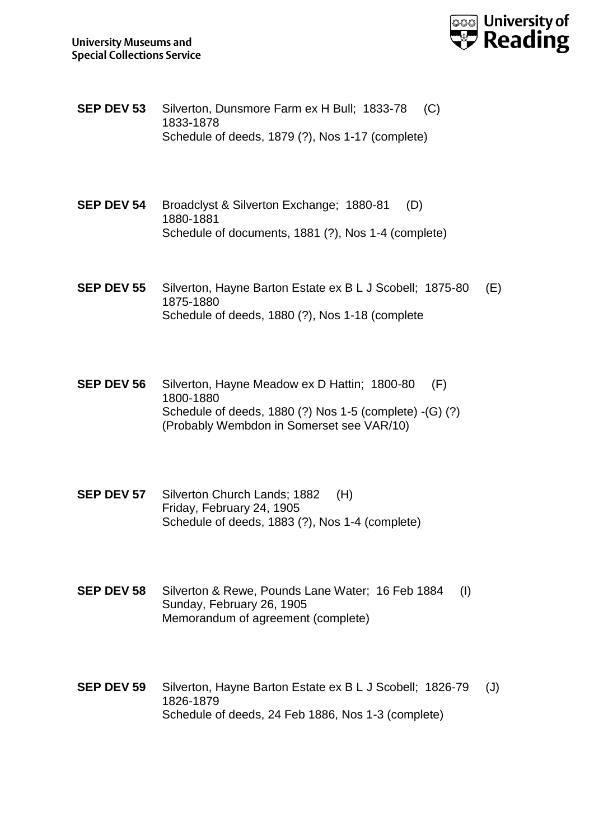

- **SEP DEV 53** Silverton, Dunsmore Farm ex H Bull; 1833-78 (C) 1833-1878 Schedule of deeds, 1879 (?), Nos 1-17 (complete)
- **SEP DEV 54** Broadclyst & Silverton Exchange; 1880-81 (D) 1880-1881 Schedule of documents, 1881 (?), Nos 1-4 (complete)
- **SEP DEV 55** Silverton, Hayne Barton Estate ex B L J Scobell; 1875-80 (E) 1875-1880 Schedule of deeds, 1880 (?), Nos 1-18 (complete
- **SEP DEV 56** Silverton, Hayne Meadow ex D Hattin; 1800-80 (F) 1800-1880 Schedule of deeds, 1880 (?) Nos 1-5 (complete) -(G) (?) (Probably Wembdon in Somerset see VAR/10)
- **SEP DEV 57** Silverton Church Lands; 1882 (H) Friday, February 24, 1905 Schedule of deeds, 1883 (?), Nos 1-4 (complete)
- **SEP DEV 58** Silverton & Rewe, Pounds Lane Water; 16 Feb 1884 (I) Sunday, February 26, 1905 Memorandum of agreement (complete)
- **SEP DEV 59** Silverton, Hayne Barton Estate ex B L J Scobell; 1826-79 (J) 1826-1879 Schedule of deeds, 24 Feb 1886, Nos 1-3 (complete)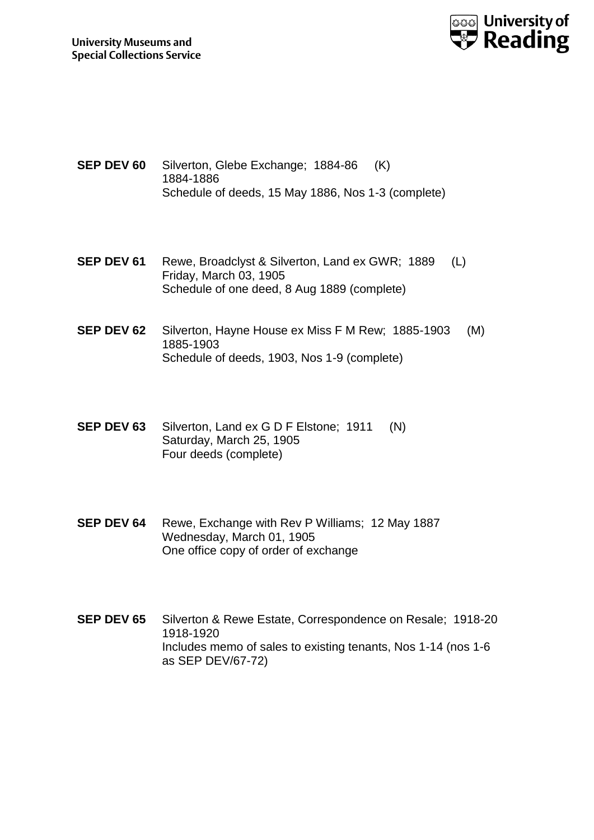

- **SEP DEV 60** Silverton, Glebe Exchange; 1884-86 (K) 1884-1886 Schedule of deeds, 15 May 1886, Nos 1-3 (complete)
- **SEP DEV 61** Rewe, Broadclyst & Silverton, Land ex GWR; 1889 (L) Friday, March 03, 1905 Schedule of one deed, 8 Aug 1889 (complete)
- **SEP DEV 62** Silverton, Hayne House ex Miss F M Rew; 1885-1903 (M) 1885-1903 Schedule of deeds, 1903, Nos 1-9 (complete)
- **SEP DEV 63** Silverton, Land ex G D F Elstone; 1911 (N) Saturday, March 25, 1905 Four deeds (complete)
- **SEP DEV 64** Rewe, Exchange with Rev P Williams; 12 May 1887 Wednesday, March 01, 1905 One office copy of order of exchange
- **SEP DEV 65** Silverton & Rewe Estate, Correspondence on Resale; 1918-20 1918-1920 Includes memo of sales to existing tenants, Nos 1-14 (nos 1-6 as SEP DEV/67-72)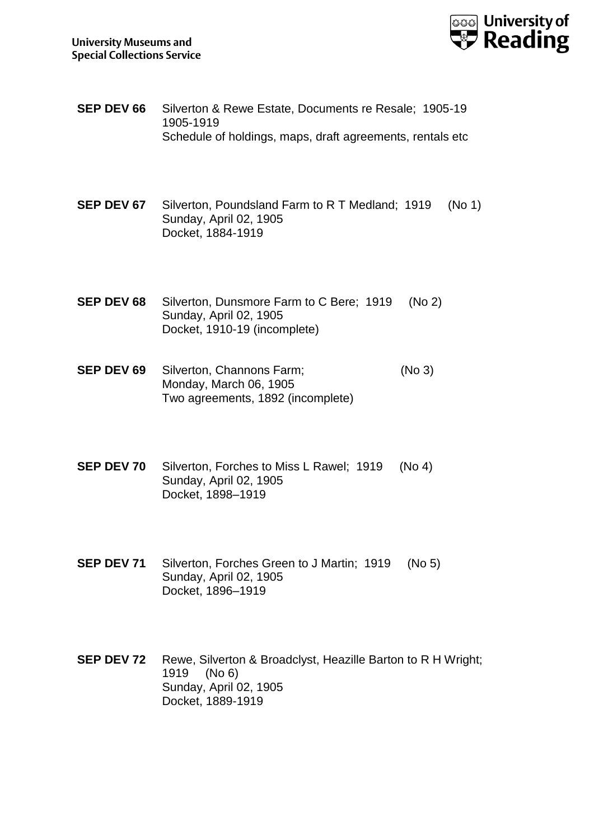

- **SEP DEV 66** Silverton & Rewe Estate, Documents re Resale; 1905-19 1905-1919 Schedule of holdings, maps, draft agreements, rentals etc
- **SEP DEV 67** Silverton, Poundsland Farm to R T Medland; 1919 (No 1) Sunday, April 02, 1905 Docket, 1884-1919
- **SEP DEV 68** Silverton, Dunsmore Farm to C Bere; 1919 (No 2) Sunday, April 02, 1905 Docket, 1910-19 (incomplete)
- **SEP DEV 69** Silverton, Channons Farm; (No 3) Monday, March 06, 1905 Two agreements, 1892 (incomplete)
- **SEP DEV 70** Silverton, Forches to Miss L Rawel; 1919 (No 4) Sunday, April 02, 1905 Docket, 1898–1919
- **SEP DEV 71** Silverton, Forches Green to J Martin; 1919 (No 5) Sunday, April 02, 1905 Docket, 1896–1919

**SEP DEV 72** Rewe, Silverton & Broadclyst, Heazille Barton to R H Wright; 1919 (No 6) Sunday, April 02, 1905 Docket, 1889-1919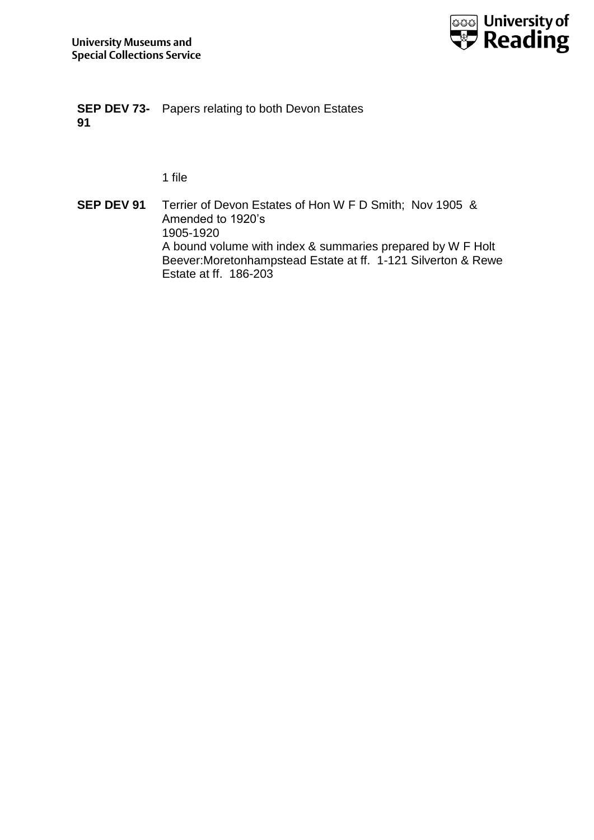

**SEP DEV 73-** Papers relating to both Devon Estates **91**

1 file

**SEP DEV 91** Terrier of Devon Estates of Hon W F D Smith; Nov 1905 & Amended to 1920's 1905-1920 A bound volume with index & summaries prepared by W F Holt Beever:Moretonhampstead Estate at ff. 1-121 Silverton & Rewe Estate at ff. 186-203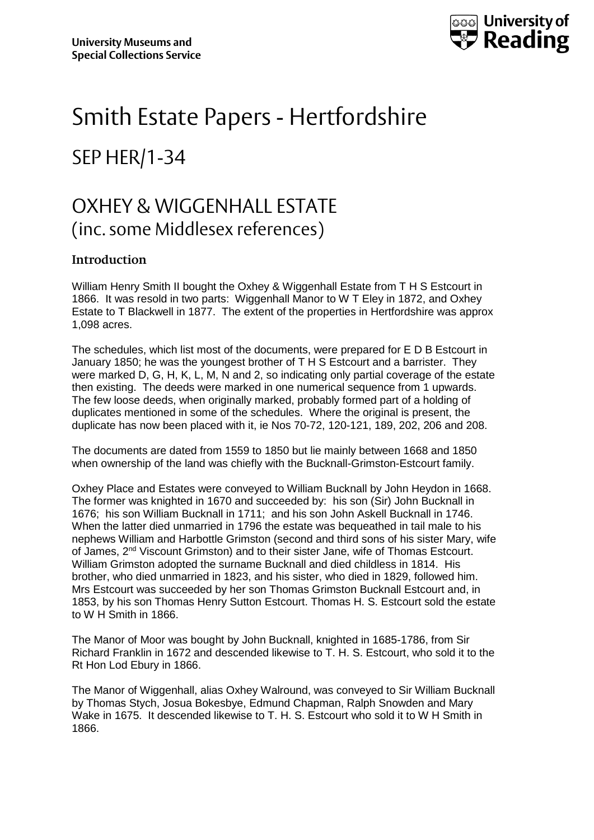

# Smith Estate Papers - Hertfordshire SEP HER/1-34

## OXHEY & WIGGENHALL ESTATE (inc. some Middlesex references)

### **Introduction**

William Henry Smith II bought the Oxhey & Wiggenhall Estate from T H S Estcourt in 1866. It was resold in two parts: Wiggenhall Manor to W T Eley in 1872, and Oxhey Estate to T Blackwell in 1877. The extent of the properties in Hertfordshire was approx 1,098 acres.

The schedules, which list most of the documents, were prepared for E D B Estcourt in January 1850; he was the youngest brother of T H S Estcourt and a barrister. They were marked D, G, H, K, L, M, N and 2, so indicating only partial coverage of the estate then existing. The deeds were marked in one numerical sequence from 1 upwards. The few loose deeds, when originally marked, probably formed part of a holding of duplicates mentioned in some of the schedules. Where the original is present, the duplicate has now been placed with it, ie Nos 70-72, 120-121, 189, 202, 206 and 208.

The documents are dated from 1559 to 1850 but lie mainly between 1668 and 1850 when ownership of the land was chiefly with the Bucknall-Grimston-Estcourt family.

Oxhey Place and Estates were conveyed to William Bucknall by John Heydon in 1668. The former was knighted in 1670 and succeeded by: his son (Sir) John Bucknall in 1676; his son William Bucknall in 1711; and his son John Askell Bucknall in 1746. When the latter died unmarried in 1796 the estate was bequeathed in tail male to his nephews William and Harbottle Grimston (second and third sons of his sister Mary, wife of James, 2nd Viscount Grimston) and to their sister Jane, wife of Thomas Estcourt. William Grimston adopted the surname Bucknall and died childless in 1814. His brother, who died unmarried in 1823, and his sister, who died in 1829, followed him. Mrs Estcourt was succeeded by her son Thomas Grimston Bucknall Estcourt and, in 1853, by his son Thomas Henry Sutton Estcourt. Thomas H. S. Estcourt sold the estate to W H Smith in 1866.

The Manor of Moor was bought by John Bucknall, knighted in 1685-1786, from Sir Richard Franklin in 1672 and descended likewise to T. H. S. Estcourt, who sold it to the Rt Hon Lod Ebury in 1866.

The Manor of Wiggenhall, alias Oxhey Walround, was conveyed to Sir William Bucknall by Thomas Stych, Josua Bokesbye, Edmund Chapman, Ralph Snowden and Mary Wake in 1675. It descended likewise to T. H. S. Estcourt who sold it to W H Smith in 1866.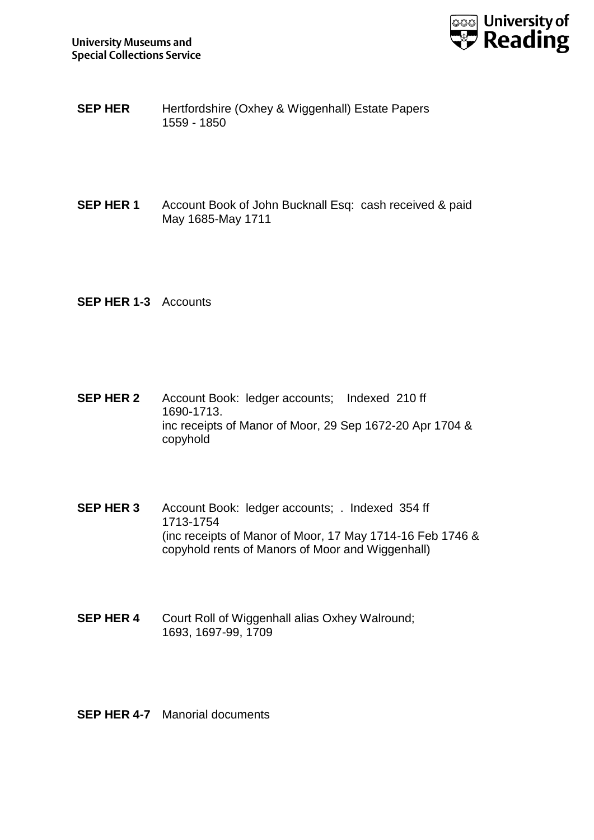

- **SEP HER** Hertfordshire (Oxhey & Wiggenhall) Estate Papers 1559 - 1850
- **SEP HER 1** Account Book of John Bucknall Esq: cash received & paid May 1685-May 1711
- **SEP HER 1-3** Accounts
- **SEP HER 2** Account Book: ledger accounts; Indexed 210 ff 1690-1713. inc receipts of Manor of Moor, 29 Sep 1672-20 Apr 1704 & copyhold
- **SEP HER 3** Account Book: ledger accounts; . Indexed 354 ff 1713-1754 (inc receipts of Manor of Moor, 17 May 1714-16 Feb 1746 & copyhold rents of Manors of Moor and Wiggenhall)
- **SEP HER 4** Court Roll of Wiggenhall alias Oxhey Walround; 1693, 1697-99, 1709
- **SEP HER 4-7** Manorial documents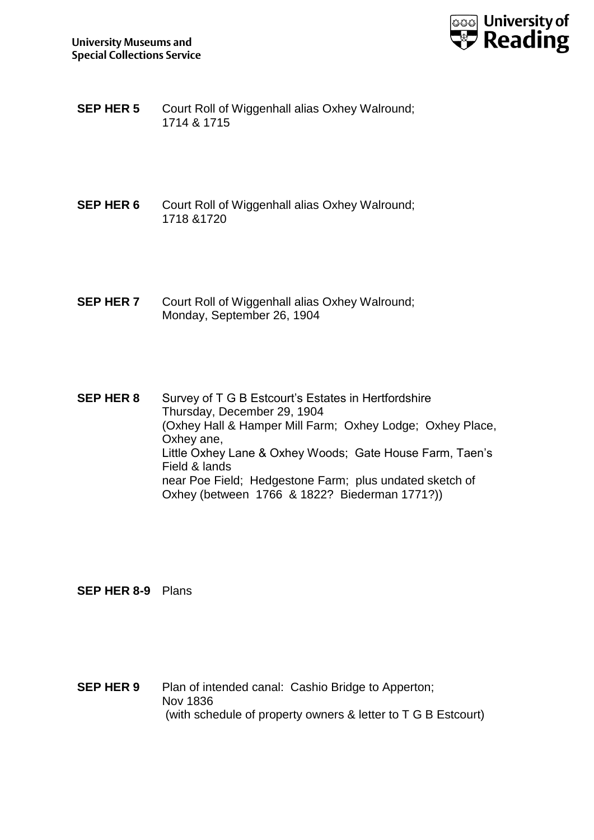

**SEP HER 5** Court Roll of Wiggenhall alias Oxhey Walround; 1714 & 1715

- **SEP HER 6** Court Roll of Wiggenhall alias Oxhey Walround; 1718 &1720
- **SEP HER 7** Court Roll of Wiggenhall alias Oxhey Walround; Monday, September 26, 1904

**SEP HER 8** Survey of T G B Estcourt's Estates in Hertfordshire Thursday, December 29, 1904 (Oxhey Hall & Hamper Mill Farm; Oxhey Lodge; Oxhey Place, Oxhey ane, Little Oxhey Lane & Oxhey Woods; Gate House Farm, Taen's Field & lands near Poe Field; Hedgestone Farm; plus undated sketch of Oxhey (between 1766 & 1822? Biederman 1771?))

**SEP HER 8-9** Plans

**SEP HER 9** Plan of intended canal: Cashio Bridge to Apperton; Nov 1836 (with schedule of property owners & letter to T G B Estcourt)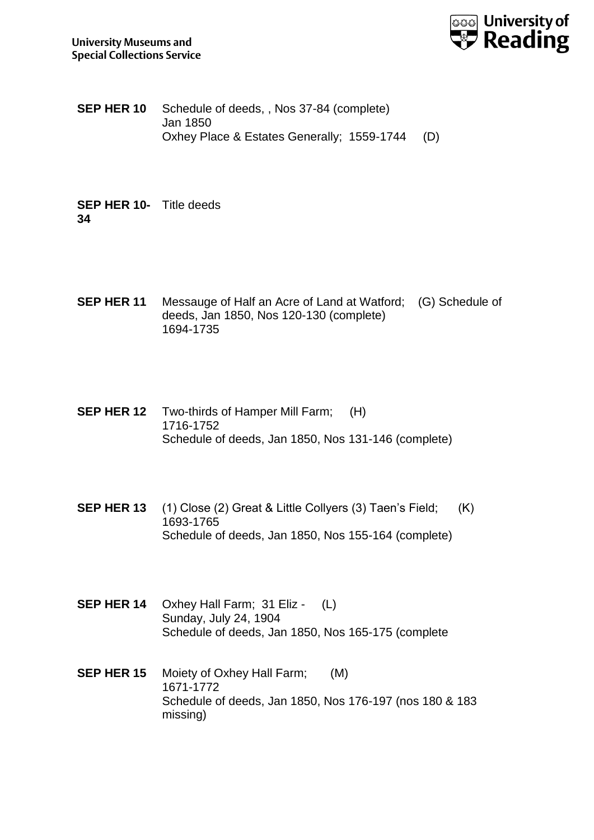

**SEP HER 10** Schedule of deeds, , Nos 37-84 (complete) Jan 1850 Oxhey Place & Estates Generally; 1559-1744 (D)

**SEP HER 10-** Title deeds **34**

- **SEP HER 11** Messauge of Half an Acre of Land at Watford; (G) Schedule of deeds, Jan 1850, Nos 120-130 (complete) 1694-1735
- **SEP HER 12** Two-thirds of Hamper Mill Farm; (H) 1716-1752 Schedule of deeds, Jan 1850, Nos 131-146 (complete)
- **SEP HER 13** (1) Close (2) Great & Little Collyers (3) Taen's Field; (K) 1693-1765 Schedule of deeds, Jan 1850, Nos 155-164 (complete)
- **SEP HER 14** Oxhey Hall Farm; 31 Eliz (L) Sunday, July 24, 1904 Schedule of deeds, Jan 1850, Nos 165-175 (complete
- **SEP HER 15** Moiety of Oxhey Hall Farm; (M) 1671-1772 Schedule of deeds, Jan 1850, Nos 176-197 (nos 180 & 183 missing)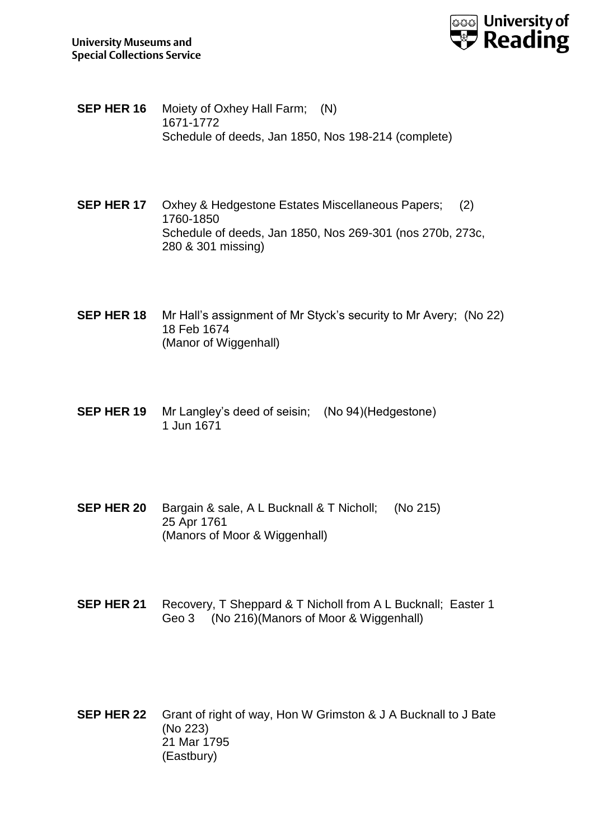

- **SEP HER 16** Moiety of Oxhey Hall Farm; (N) 1671-1772 Schedule of deeds, Jan 1850, Nos 198-214 (complete)
- **SEP HER 17** Oxhey & Hedgestone Estates Miscellaneous Papers; (2) 1760-1850 Schedule of deeds, Jan 1850, Nos 269-301 (nos 270b, 273c, 280 & 301 missing)
- **SEP HER 18** Mr Hall's assignment of Mr Styck's security to Mr Avery; (No 22) 18 Feb 1674 (Manor of Wiggenhall)
- **SEP HER 19** Mr Langley's deed of seisin; (No 94)(Hedgestone) 1 Jun 1671
- **SEP HER 20** Bargain & sale, A L Bucknall & T Nicholl; (No 215) 25 Apr 1761 (Manors of Moor & Wiggenhall)
- **SEP HER 21** Recovery, T Sheppard & T Nicholl from A L Bucknall; Easter 1 Geo 3 (No 216)(Manors of Moor & Wiggenhall)
- **SEP HER 22** Grant of right of way, Hon W Grimston & J A Bucknall to J Bate (No 223) 21 Mar 1795 (Eastbury)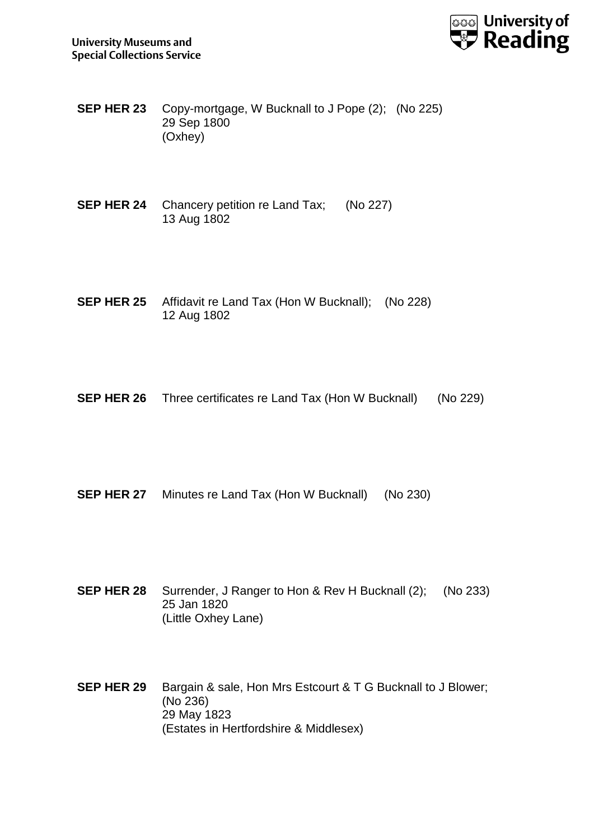

- **SEP HER 23** Copy-mortgage, W Bucknall to J Pope (2); (No 225) 29 Sep 1800 (Oxhey)
- **SEP HER 24** Chancery petition re Land Tax; (No 227) 13 Aug 1802
- **SEP HER 25** Affidavit re Land Tax (Hon W Bucknall); (No 228) 12 Aug 1802
- **SEP HER 26** Three certificates re Land Tax (Hon W Bucknall) (No 229)
- **SEP HER 27** Minutes re Land Tax (Hon W Bucknall) (No 230)
- **SEP HER 28** Surrender, J Ranger to Hon & Rev H Bucknall (2); (No 233) 25 Jan 1820 (Little Oxhey Lane)
- **SEP HER 29** Bargain & sale, Hon Mrs Estcourt & T G Bucknall to J Blower; (No 236) 29 May 1823 (Estates in Hertfordshire & Middlesex)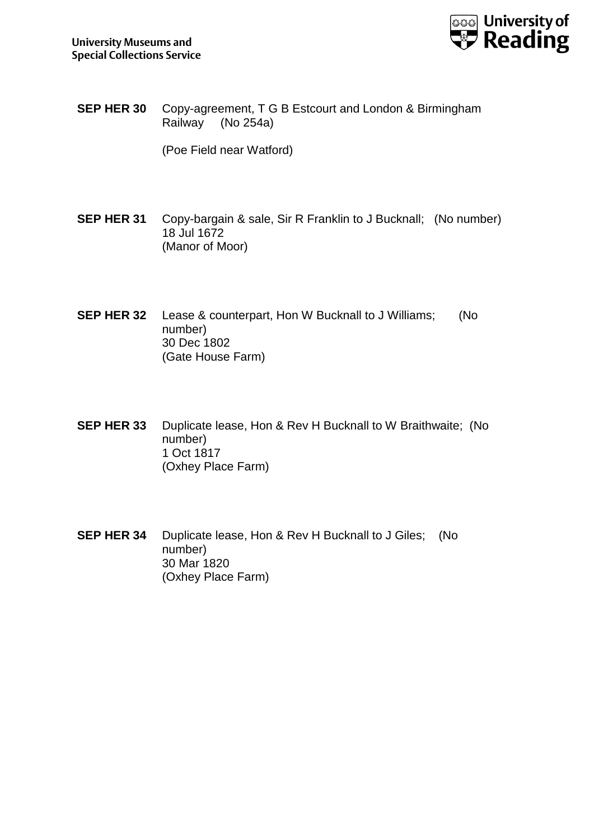

**SEP HER 30** Copy-agreement, T G B Estcourt and London & Birmingham Railway (No 254a)

(Poe Field near Watford)

- **SEP HER 31** Copy-bargain & sale, Sir R Franklin to J Bucknall; (No number) 18 Jul 1672 (Manor of Moor)
- **SEP HER 32** Lease & counterpart, Hon W Bucknall to J Williams; (No number) 30 Dec 1802 (Gate House Farm)
- **SEP HER 33** Duplicate lease, Hon & Rev H Bucknall to W Braithwaite; (No number) 1 Oct 1817 (Oxhey Place Farm)
- **SEP HER 34** Duplicate lease, Hon & Rev H Bucknall to J Giles; (No number) 30 Mar 1820 (Oxhey Place Farm)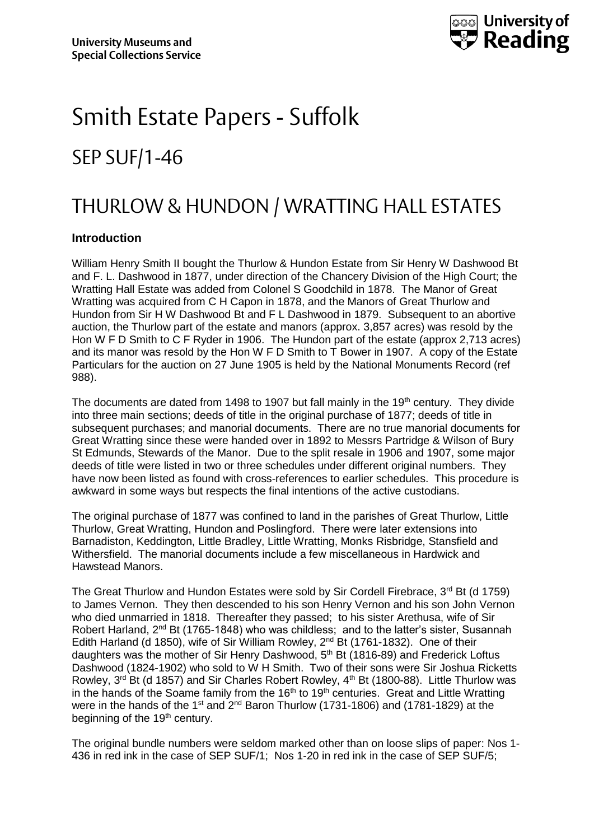

# Smith Estate Papers - Suffolk SEP SUF/1-46

## THURLOW & HUNDON / WRATTING HALL ESTATES

#### **Introduction**

William Henry Smith II bought the Thurlow & Hundon Estate from Sir Henry W Dashwood Bt and F. L. Dashwood in 1877, under direction of the Chancery Division of the High Court; the Wratting Hall Estate was added from Colonel S Goodchild in 1878. The Manor of Great Wratting was acquired from C H Capon in 1878, and the Manors of Great Thurlow and Hundon from Sir H W Dashwood Bt and F L Dashwood in 1879. Subsequent to an abortive auction, the Thurlow part of the estate and manors (approx. 3,857 acres) was resold by the Hon W F D Smith to C F Ryder in 1906. The Hundon part of the estate (approx 2,713 acres) and its manor was resold by the Hon W F D Smith to T Bower in 1907. A copy of the Estate Particulars for the auction on 27 June 1905 is held by the National Monuments Record (ref 988).

The documents are dated from 1498 to 1907 but fall mainly in the 19<sup>th</sup> century. They divide into three main sections; deeds of title in the original purchase of 1877; deeds of title in subsequent purchases; and manorial documents. There are no true manorial documents for Great Wratting since these were handed over in 1892 to Messrs Partridge & Wilson of Bury St Edmunds, Stewards of the Manor. Due to the split resale in 1906 and 1907, some major deeds of title were listed in two or three schedules under different original numbers. They have now been listed as found with cross-references to earlier schedules. This procedure is awkward in some ways but respects the final intentions of the active custodians.

The original purchase of 1877 was confined to land in the parishes of Great Thurlow, Little Thurlow, Great Wratting, Hundon and Poslingford. There were later extensions into Barnadiston, Keddington, Little Bradley, Little Wratting, Monks Risbridge, Stansfield and Withersfield. The manorial documents include a few miscellaneous in Hardwick and Hawstead Manors.

The Great Thurlow and Hundon Estates were sold by Sir Cordell Firebrace, 3rd Bt (d 1759) to James Vernon. They then descended to his son Henry Vernon and his son John Vernon who died unmarried in 1818. Thereafter they passed; to his sister Arethusa, wife of Sir Robert Harland, 2<sup>nd</sup> Bt (1765-1848) who was childless; and to the latter's sister, Susannah Edith Harland (d 1850), wife of Sir William Rowley, 2<sup>nd</sup> Bt (1761-1832). One of their daughters was the mother of Sir Henry Dashwood, 5th Bt (1816-89) and Frederick Loftus Dashwood (1824-1902) who sold to W H Smith. Two of their sons were Sir Joshua Ricketts Rowley, 3<sup>rd</sup> Bt (d 1857) and Sir Charles Robert Rowley, 4<sup>th</sup> Bt (1800-88). Little Thurlow was in the hands of the Soame family from the  $16<sup>th</sup>$  to  $19<sup>th</sup>$  centuries. Great and Little Wratting were in the hands of the 1<sup>st</sup> and  $2^{nd}$  Baron Thurlow (1731-1806) and (1781-1829) at the beginning of the 19<sup>th</sup> century.

The original bundle numbers were seldom marked other than on loose slips of paper: Nos 1- 436 in red ink in the case of SEP SUF/1; Nos 1-20 in red ink in the case of SEP SUF/5;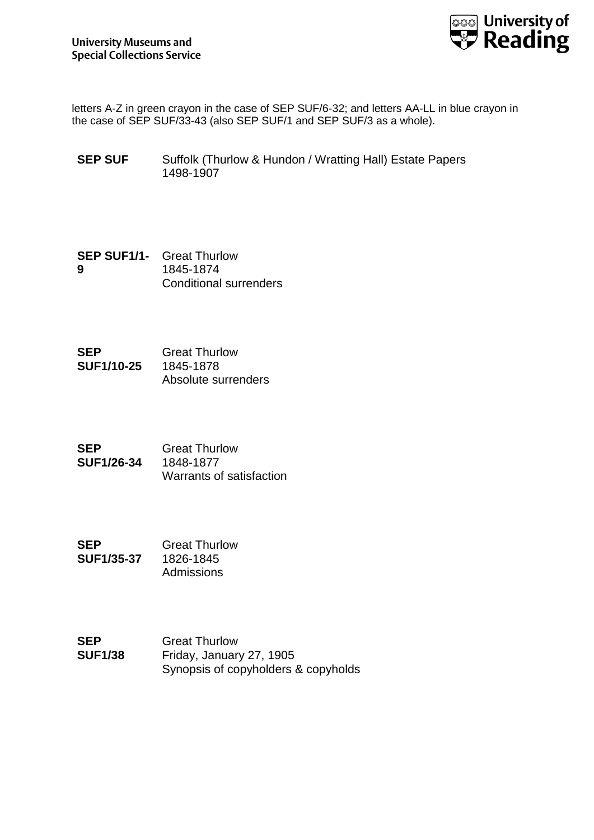

letters A-Z in green crayon in the case of SEP SUF/6-32; and letters AA-LL in blue crayon in the case of SEP SUF/33-43 (also SEP SUF/1 and SEP SUF/3 as a whole).

- **SEP SUF** Suffolk (Thurlow & Hundon / Wratting Hall) Estate Papers 1498-1907
- **SEP SUF1/1-** Great Thurlow **9** 1845-1874 Conditional surrenders
- **SEP SUF1/10-25** Great Thurlow 1845-1878 Absolute surrenders
- **SEP SUF1/26-34** Great Thurlow 1848-1877 Warrants of satisfaction
- **SEP SUF1/35-37** Great Thurlow 1826-1845 Admissions
- **SEP SUF1/38** Great Thurlow Friday, January 27, 1905 Synopsis of copyholders & copyholds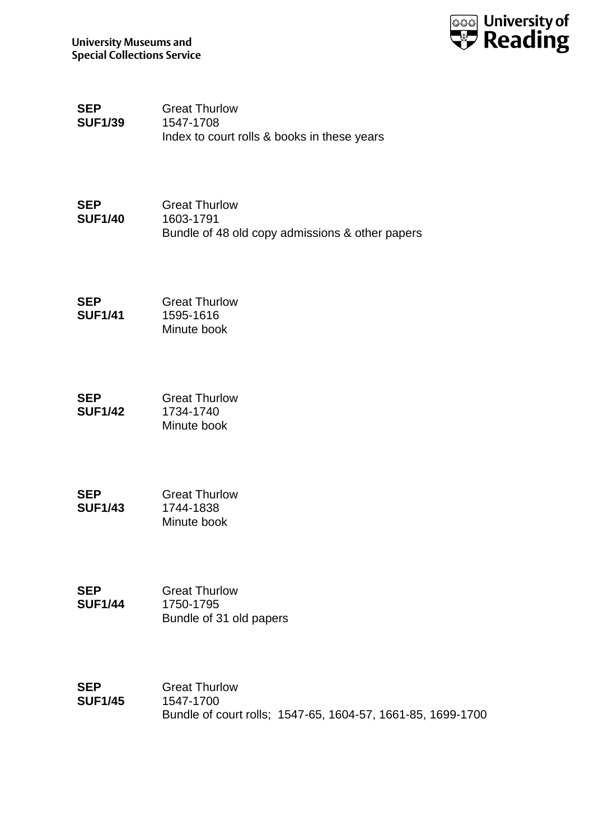

**SEP SUF1/39** Great Thurlow 1547-1708 Index to court rolls & books in these years

| SEP            | <b>Great Thurlow</b>                            |
|----------------|-------------------------------------------------|
| <b>SUF1/40</b> | 1603-1791                                       |
|                | Bundle of 48 old copy admissions & other papers |

| SEP            | <b>Great Thurlow</b> |
|----------------|----------------------|
| <b>SUF1/41</b> | 1595-1616            |
|                | Minute book          |

| SEP            | <b>Great Thurlow</b> |
|----------------|----------------------|
| <b>SUF1/42</b> | 1734-1740            |
|                | Minute book          |

| SEP            | <b>Great Thurlow</b> |
|----------------|----------------------|
| <b>SUF1/43</b> | 1744-1838            |
|                | Minute book          |

| SEP            | <b>Great Thurlow</b>    |
|----------------|-------------------------|
| <b>SUF1/44</b> | 1750-1795               |
|                | Bundle of 31 old papers |

| SEP            | <b>Great Thurlow</b>                                        |
|----------------|-------------------------------------------------------------|
| <b>SUF1/45</b> | 1547-1700                                                   |
|                | Bundle of court rolls: 1547-65, 1604-57, 1661-85, 1699-1700 |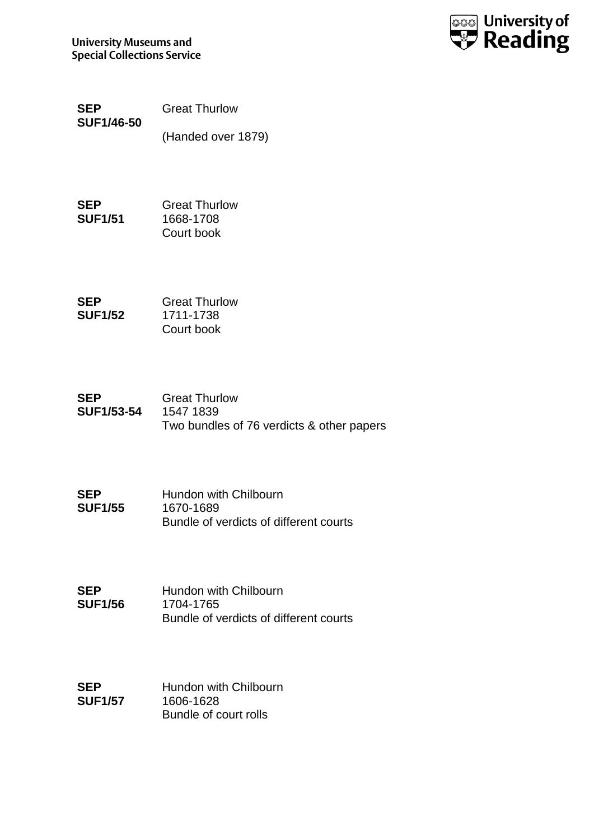

| SEP               | <b>Great Thurlow</b> |
|-------------------|----------------------|
| <b>SUF1/46-50</b> |                      |
|                   | (Handed over 1879)   |

| SEP            | <b>Great Thurlow</b> |
|----------------|----------------------|
| <b>SUF1/51</b> | 1668-1708            |
|                | Court book           |

| SEP            | <b>Great Thurlow</b> |
|----------------|----------------------|
| <b>SUF1/52</b> | 1711-1738            |
|                | Court book           |

| SEP               | <b>Great Thurlow</b>                      |
|-------------------|-------------------------------------------|
| <b>SUF1/53-54</b> | 1547 1839                                 |
|                   | Two bundles of 76 verdicts & other papers |

| SEP            | Hundon with Chilbourn                  |
|----------------|----------------------------------------|
| <b>SUF1/55</b> | 1670-1689                              |
|                | Bundle of verdicts of different courts |

**SEP SUF1/56** Hundon with Chilbourn 1704-1765 Bundle of verdicts of different courts

**SEP SUF1/57** Hundon with Chilbourn 1606-1628 Bundle of court rolls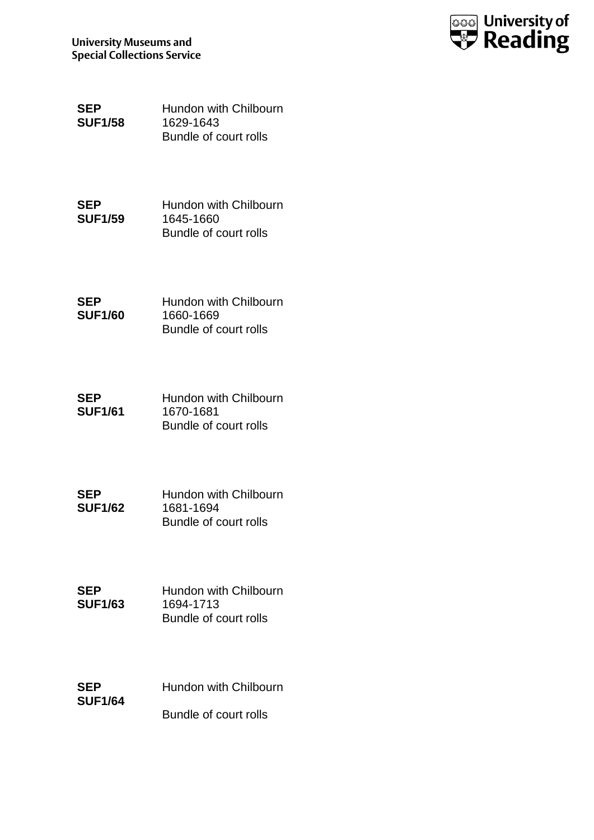

| SEP            | Hundon with Chilbourn |
|----------------|-----------------------|
| <b>SUF1/58</b> | 1629-1643             |
|                | Bundle of court rolls |

| SEP            | Hundon with Chilbourn |
|----------------|-----------------------|
| <b>SUF1/59</b> | 1645-1660             |
|                | Bundle of court rolls |

| SEP            | Hundon with Chilbourn |
|----------------|-----------------------|
| <b>SUF1/60</b> | 1660-1669             |
|                | Bundle of court rolls |

| SEP            | Hundon with Chilbourn |
|----------------|-----------------------|
| <b>SUF1/61</b> | 1670-1681             |
|                | Bundle of court rolls |

| SEP            | Hundon with Chilbourn |
|----------------|-----------------------|
| <b>SUF1/62</b> | 1681-1694             |
|                | Bundle of court rolls |

| SEP            | Hundon with Chilbourn |
|----------------|-----------------------|
| <b>SUF1/63</b> | 1694-1713             |
|                | Bundle of court rolls |

| SEP            | Hundon with Chilbourn |
|----------------|-----------------------|
| <b>SUF1/64</b> |                       |
|                | Bundle of court rolls |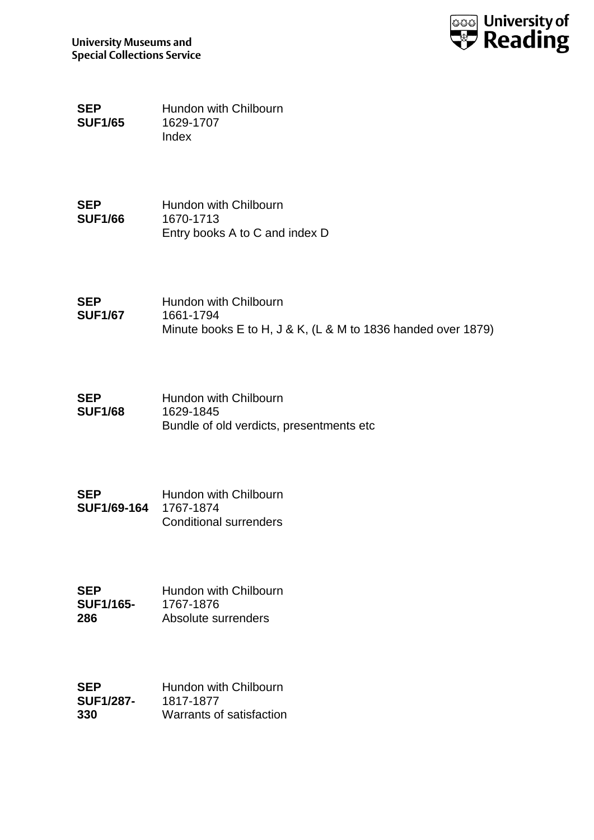

**SEP SUF1/65** Hundon with Chilbourn 1629-1707 Index

**SEP SUF1/66** Hundon with Chilbourn 1670-1713 Entry books A to C and index D

| <b>SEP</b>     | Hundon with Chilbourn                                        |
|----------------|--------------------------------------------------------------|
| <b>SUF1/67</b> | 1661-1794                                                    |
|                | Minute books E to H, J & K, (L & M to 1836 handed over 1879) |

| <b>SEP</b>     | Hundon with Chilbourn                     |
|----------------|-------------------------------------------|
| <b>SUF1/68</b> | 1629-1845                                 |
|                | Bundle of old verdicts, presentments etc. |

| SEP                   | Hundon with Chilbourn         |
|-----------------------|-------------------------------|
| SUF1/69-164 1767-1874 |                               |
|                       | <b>Conditional surrenders</b> |

| SEP              | Hundon with Chilbourn |
|------------------|-----------------------|
| <b>SUF1/165-</b> | 1767-1876             |
| 286              | Absolute surrenders   |

| SEP              | Hundon with Chilbourn    |
|------------------|--------------------------|
| <b>SUF1/287-</b> | 1817-1877                |
| 330              | Warrants of satisfaction |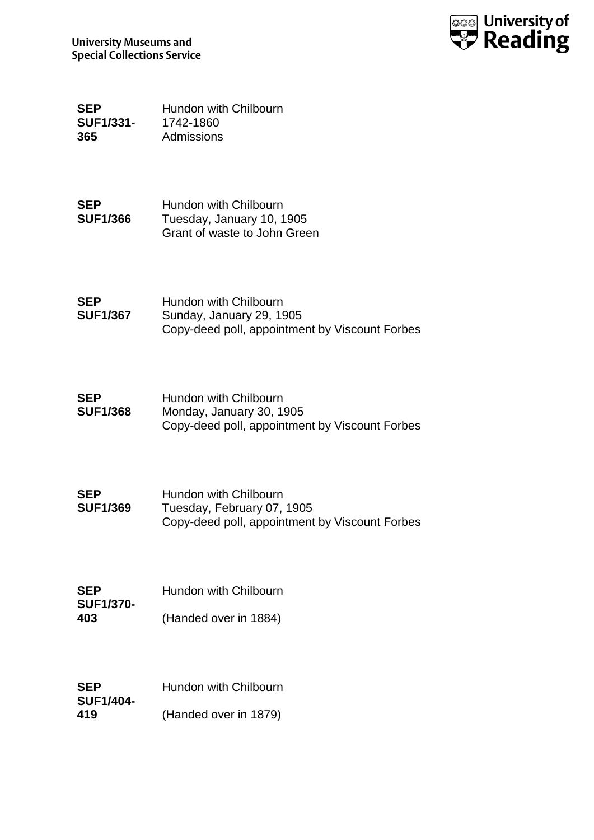

**SEP SUF1/331- 365** Hundon with Chilbourn 1742-1860 Admissions

**SEP SUF1/366** Hundon with Chilbourn Tuesday, January 10, 1905 Grant of waste to John Green

| <b>SEP</b>      | Hundon with Chilbourn                          |
|-----------------|------------------------------------------------|
| <b>SUF1/367</b> | Sunday, January 29, 1905                       |
|                 | Copy-deed poll, appointment by Viscount Forbes |

| <b>SEP</b>      | Hundon with Chilbourn                          |
|-----------------|------------------------------------------------|
| <b>SUF1/368</b> | Monday, January 30, 1905                       |
|                 | Copy-deed poll, appointment by Viscount Forbes |

| SEP             | Hundon with Chilbourn                          |
|-----------------|------------------------------------------------|
| <b>SUF1/369</b> | Tuesday, February 07, 1905                     |
|                 | Copy-deed poll, appointment by Viscount Forbes |

| <b>SEP</b>       | Hundon with Chilbourn |
|------------------|-----------------------|
| <b>SUF1/370-</b> |                       |
| 403              | (Handed over in 1884) |

| <b>SEP</b>       | Hundon with Chilbourn |
|------------------|-----------------------|
| <b>SUF1/404-</b> |                       |
| 419              | (Handed over in 1879) |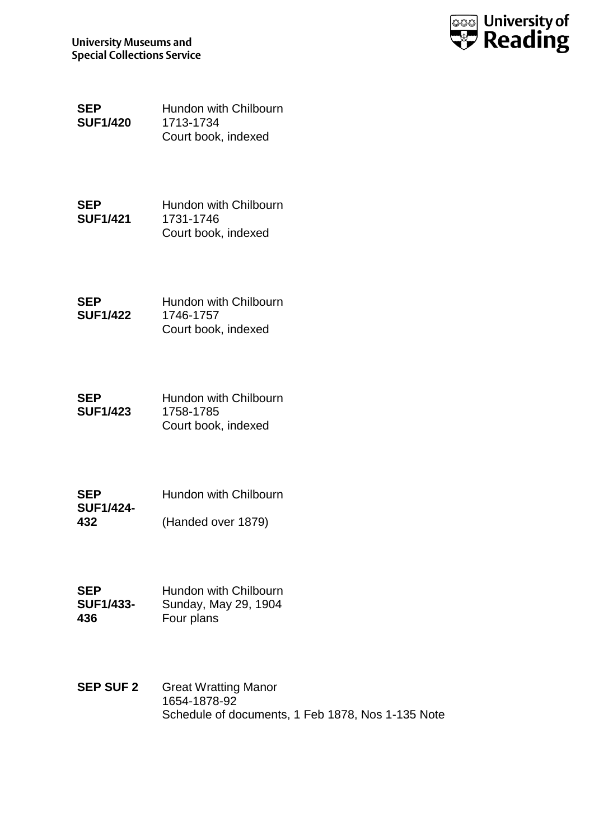

| SEP             | Hundon with Chilbourn |
|-----------------|-----------------------|
| <b>SUF1/420</b> | 1713-1734             |
|                 | Court book, indexed   |

| SEP             | Hundon with Chilbourn |
|-----------------|-----------------------|
| <b>SUF1/421</b> | 1731-1746             |
|                 | Court book, indexed   |

| SEP             | Hundon with Chilbourn |
|-----------------|-----------------------|
| <b>SUF1/422</b> | 1746-1757             |
|                 | Court book, indexed   |

| SEP             | Hundon with Chilbourn |
|-----------------|-----------------------|
| <b>SUF1/423</b> | 1758-1785             |
|                 | Court book, indexed   |

| <b>SEP</b>       | Hundon with Chilbourn |
|------------------|-----------------------|
| <b>SUF1/424-</b> |                       |
| 432              | (Handed over 1879)    |

| <b>SEP</b>       | Hundon with Chilbourn |
|------------------|-----------------------|
| <b>SUF1/433-</b> | Sunday, May 29, 1904  |
| 436              | Four plans            |

**SEP SUF 2** Great Wratting Manor 1654-1878-92 Schedule of documents, 1 Feb 1878, Nos 1-135 Note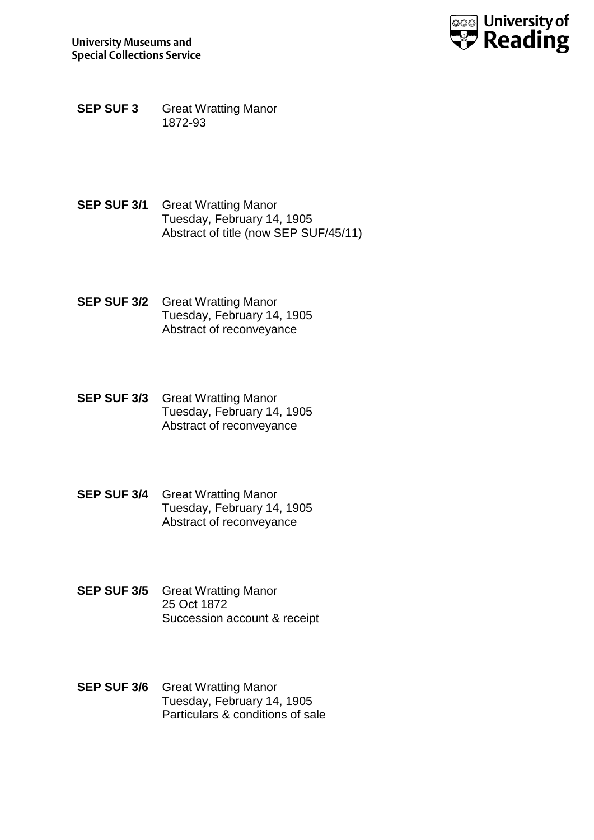

- **SEP SUF 3** Great Wratting Manor 1872-93
- **SEP SUF 3/1 Great Wratting Manor** Tuesday, February 14, 1905 Abstract of title (now SEP SUF/45/11)
- **SEP SUF 3/2** Great Wratting Manor Tuesday, February 14, 1905 Abstract of reconveyance
- **SEP SUF 3/3** Great Wratting Manor Tuesday, February 14, 1905 Abstract of reconveyance
- **SEP SUF 3/4** Great Wratting Manor Tuesday, February 14, 1905 Abstract of reconveyance
- **SEP SUF 3/5** Great Wratting Manor 25 Oct 1872 Succession account & receipt
- **SEP SUF 3/6** Great Wratting Manor Tuesday, February 14, 1905 Particulars & conditions of sale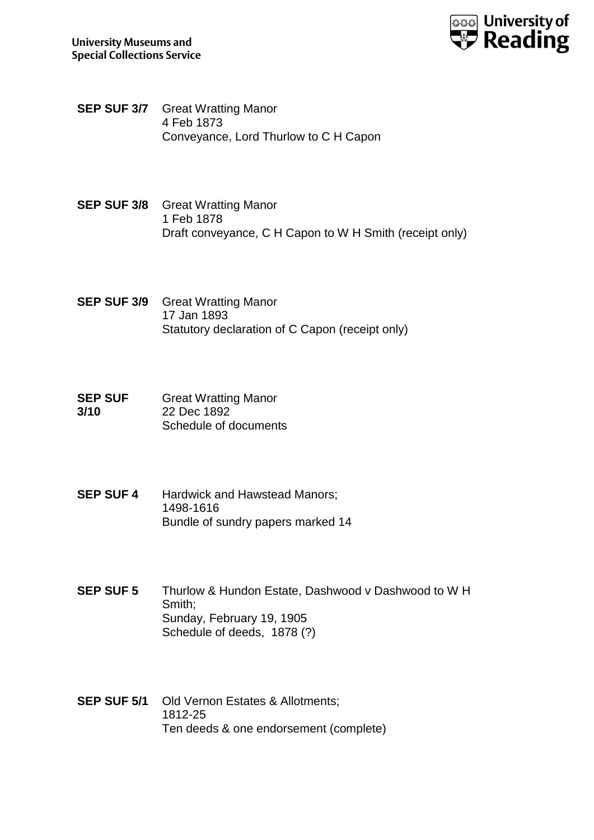

- **SEP SUF 3/7** Great Wratting Manor 4 Feb 1873 Conveyance, Lord Thurlow to C H Capon
- **SEP SUF 3/8** Great Wratting Manor 1 Feb 1878 Draft conveyance, C H Capon to W H Smith (receipt only)
- **SEP SUF 3/9** Great Wratting Manor 17 Jan 1893 Statutory declaration of C Capon (receipt only)
- **SEP SUF 3/10** Great Wratting Manor 22 Dec 1892 Schedule of documents
- **SEP SUF 4** Hardwick and Hawstead Manors; 1498-1616 Bundle of sundry papers marked 14
- **SEP SUF 5** Thurlow & Hundon Estate, Dashwood v Dashwood to W H Smith; Sunday, February 19, 1905 Schedule of deeds, 1878 (?)
- **SEP SUF 5/1** Old Vernon Estates & Allotments; 1812-25 Ten deeds & one endorsement (complete)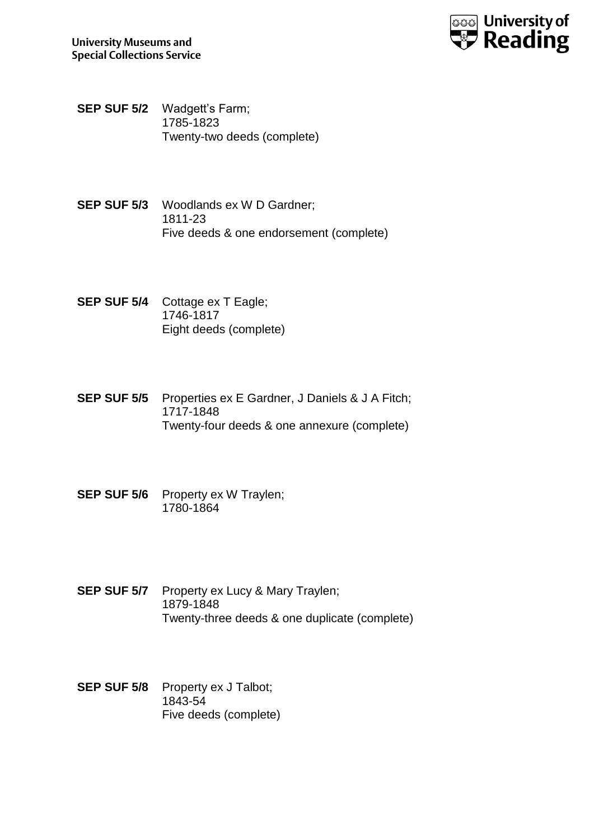

- **SEP SUF 5/2** Wadgett's Farm; 1785-1823 Twenty-two deeds (complete)
- **SEP SUF 5/3** Woodlands ex W D Gardner; 1811-23 Five deeds & one endorsement (complete)
- **SEP SUF 5/4** Cottage ex T Eagle; 1746-1817 Eight deeds (complete)
- **SEP SUF 5/5** Properties ex E Gardner, J Daniels & J A Fitch; 1717-1848 Twenty-four deeds & one annexure (complete)
- **SEP SUF 5/6** Property ex W Traylen; 1780-1864
- **SEP SUF 5/7** Property ex Lucy & Mary Traylen; 1879-1848 Twenty-three deeds & one duplicate (complete)
- **SEP SUF 5/8** Property ex J Talbot; 1843-54 Five deeds (complete)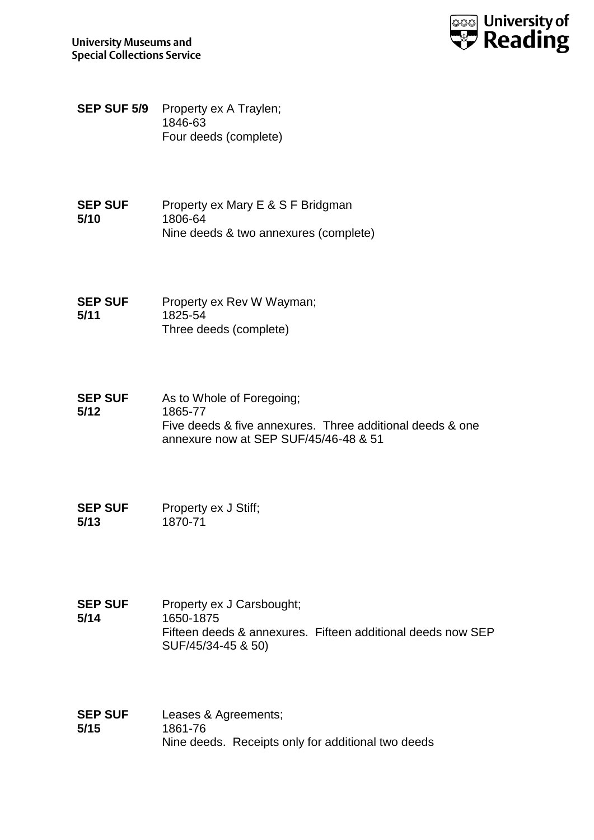

- **SEP SUF 5/9** Property ex A Traylen; 1846-63 Four deeds (complete)
- **SEP SUF 5/10** Property ex Mary E & S F Bridgman 1806-64 Nine deeds & two annexures (complete)

**SEP SUF 5/11** Property ex Rev W Wayman; 1825-54 Three deeds (complete)

**SEP SUF 5/12** As to Whole of Foregoing; 1865-77 Five deeds & five annexures. Three additional deeds & one annexure now at SEP SUF/45/46-48 & 51

**SEP SUF 5/13** Property ex J Stiff; 1870-71

- **SEP SUF 5/14** Property ex J Carsbought; 1650-1875 Fifteen deeds & annexures. Fifteen additional deeds now SEP SUF/45/34-45 & 50)
- **SEP SUF 5/15** Leases & Agreements; 1861-76 Nine deeds. Receipts only for additional two deeds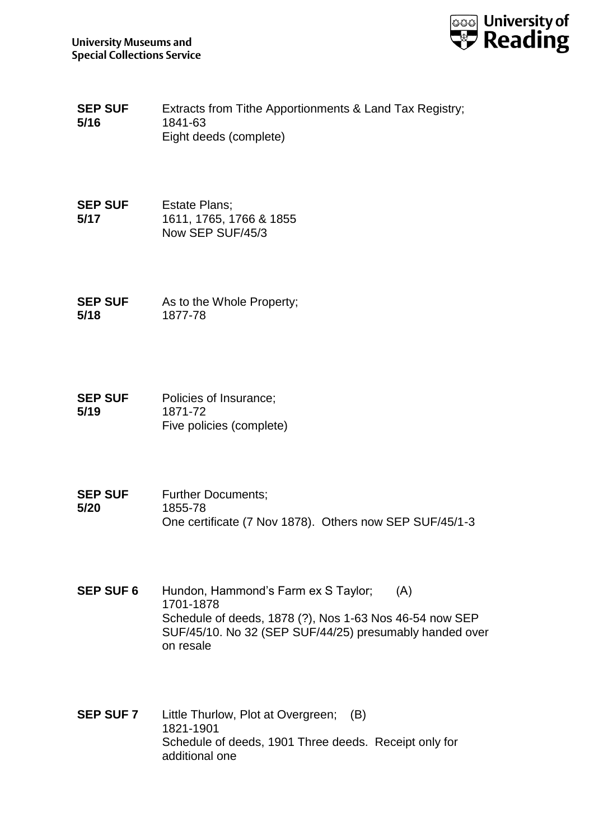

- **SEP SUF 5/16** Extracts from Tithe Apportionments & Land Tax Registry; 1841-63 Eight deeds (complete)
- **SEP SUF 5/17** Estate Plans; 1611, 1765, 1766 & 1855 Now SEP SUF/45/3
- **SEP SUF 5/18** As to the Whole Property; 1877-78
- **SEP SUF 5/19** Policies of Insurance; 1871-72 Five policies (complete)
- **SEP SUF 5/20** Further Documents; 1855-78 One certificate (7 Nov 1878). Others now SEP SUF/45/1-3
- **SEP SUF 6** Hundon, Hammond's Farm ex S Taylor; (A) 1701-1878 Schedule of deeds, 1878 (?), Nos 1-63 Nos 46-54 now SEP SUF/45/10. No 32 (SEP SUF/44/25) presumably handed over on resale
- **SEP SUF 7** Little Thurlow, Plot at Overgreen; (B) 1821-1901 Schedule of deeds, 1901 Three deeds. Receipt only for additional one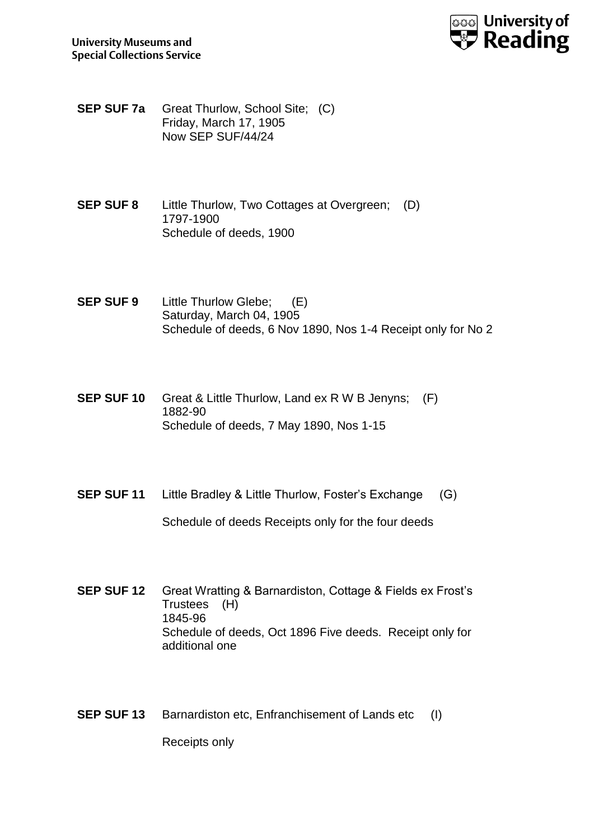

**SEP SUF 7a** Great Thurlow, School Site; (C) Friday, March 17, 1905 Now SEP SUF/44/24

- **SEP SUF 8** Little Thurlow, Two Cottages at Overgreen; (D) 1797-1900 Schedule of deeds, 1900
- **SEP SUF 9** Little Thurlow Glebe; (E) Saturday, March 04, 1905 Schedule of deeds, 6 Nov 1890, Nos 1-4 Receipt only for No 2
- **SEP SUF 10** Great & Little Thurlow, Land ex R W B Jenyns; (F) 1882-90 Schedule of deeds, 7 May 1890, Nos 1-15
- **SEP SUF 11** Little Bradley & Little Thurlow, Foster's Exchange (G)

Schedule of deeds Receipts only for the four deeds

- **SEP SUF 12** Great Wratting & Barnardiston, Cottage & Fields ex Frost's Trustees (H) 1845-96 Schedule of deeds, Oct 1896 Five deeds. Receipt only for additional one
- **SEP SUF 13** Barnardiston etc, Enfranchisement of Lands etc (I)

Receipts only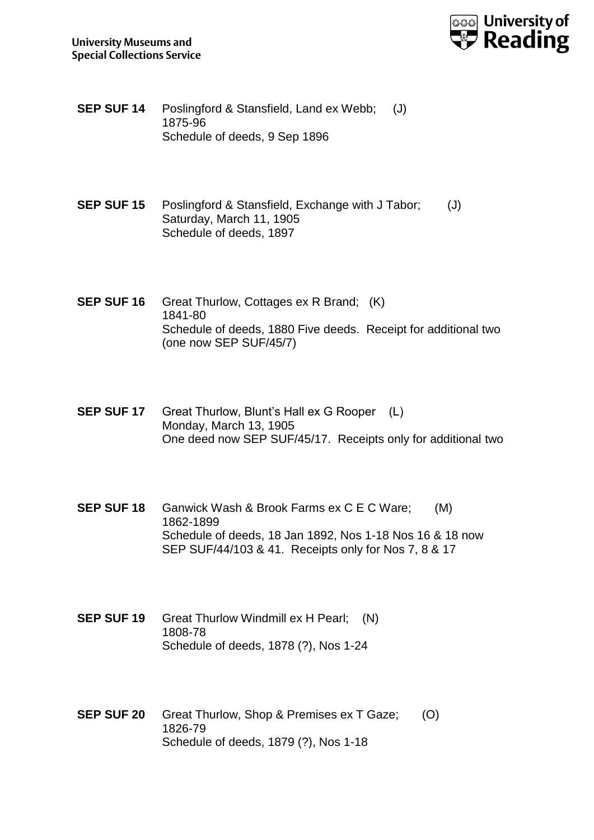

- **SEP SUF 14** Poslingford & Stansfield, Land ex Webb; (J) 1875-96 Schedule of deeds, 9 Sep 1896
- **SEP SUF 15** Poslingford & Stansfield, Exchange with J Tabor; (J) Saturday, March 11, 1905 Schedule of deeds, 1897
- **SEP SUF 16** Great Thurlow, Cottages ex R Brand; (K) 1841-80 Schedule of deeds, 1880 Five deeds. Receipt for additional two (one now SEP SUF/45/7)
- **SEP SUF 17** Great Thurlow, Blunt's Hall ex G Rooper (L) Monday, March 13, 1905 One deed now SEP SUF/45/17. Receipts only for additional two
- **SEP SUF 18** Ganwick Wash & Brook Farms ex C E C Ware; (M) 1862-1899 Schedule of deeds, 18 Jan 1892, Nos 1-18 Nos 16 & 18 now SEP SUF/44/103 & 41. Receipts only for Nos 7, 8 & 17
- **SEP SUF 19** Great Thurlow Windmill ex H Pearl; (N) 1808-78 Schedule of deeds, 1878 (?), Nos 1-24
- **SEP SUF 20** Great Thurlow, Shop & Premises ex T Gaze; (O) 1826-79 Schedule of deeds, 1879 (?), Nos 1-18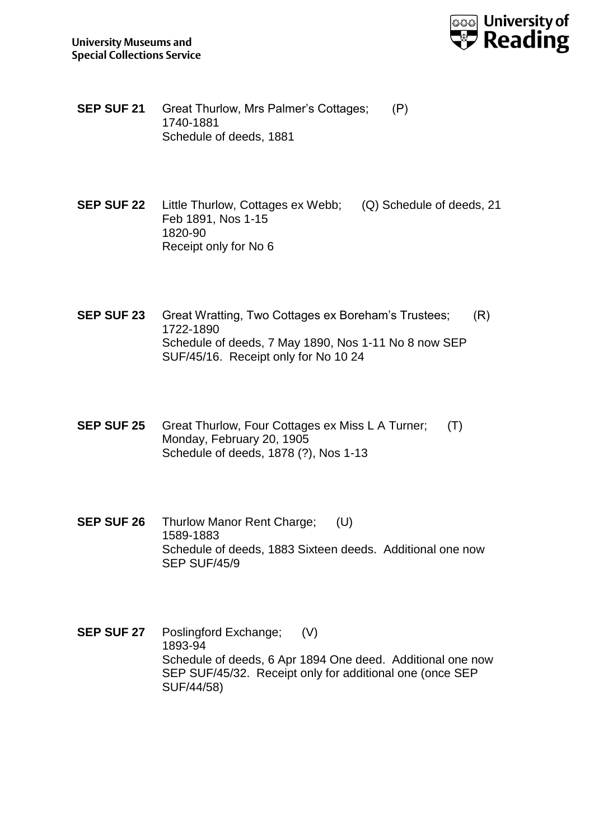

- **SEP SUF 21** Great Thurlow, Mrs Palmer's Cottages; (P) 1740-1881 Schedule of deeds, 1881
- **SEP SUF 22** Little Thurlow, Cottages ex Webb; (Q) Schedule of deeds, 21 Feb 1891, Nos 1-15 1820-90 Receipt only for No 6
- **SEP SUF 23** Great Wratting, Two Cottages ex Boreham's Trustees; (R) 1722-1890 Schedule of deeds, 7 May 1890, Nos 1-11 No 8 now SEP SUF/45/16. Receipt only for No 10 24
- **SEP SUF 25** Great Thurlow, Four Cottages ex Miss L A Turner; (T) Monday, February 20, 1905 Schedule of deeds, 1878 (?), Nos 1-13
- **SEP SUF 26** Thurlow Manor Rent Charge; (U) 1589-1883 Schedule of deeds, 1883 Sixteen deeds. Additional one now SEP SUF/45/9

**SEP SUF 27** Poslingford Exchange; (V) 1893-94 Schedule of deeds, 6 Apr 1894 One deed. Additional one now SEP SUF/45/32. Receipt only for additional one (once SEP SUF/44/58)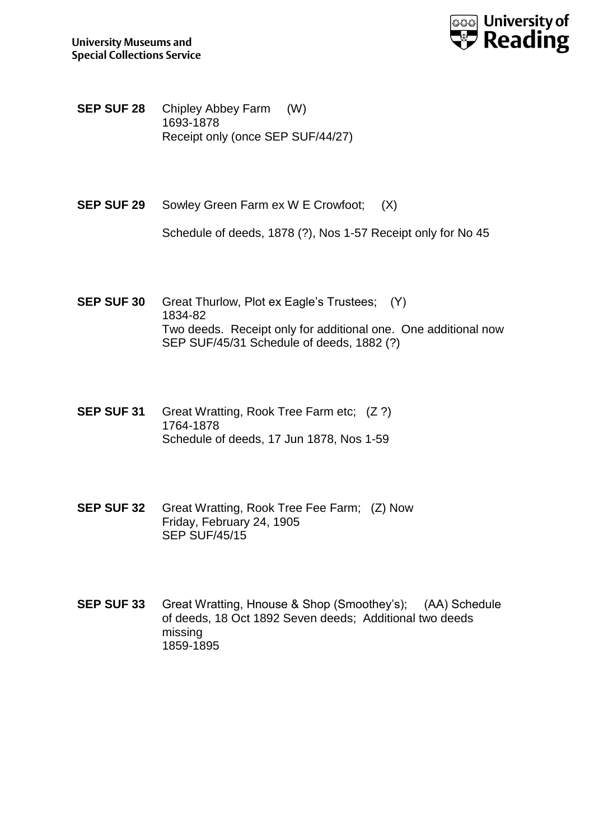

- **SEP SUF 28** Chipley Abbey Farm (W) 1693-1878 Receipt only (once SEP SUF/44/27)
- **SEP SUF 29** Sowley Green Farm ex W E Crowfoot; (X)

Schedule of deeds, 1878 (?), Nos 1-57 Receipt only for No 45

- **SEP SUF 30** Great Thurlow, Plot ex Eagle's Trustees; (Y) 1834-82 Two deeds. Receipt only for additional one. One additional now SEP SUF/45/31 Schedule of deeds, 1882 (?)
- **SEP SUF 31** Great Wratting, Rook Tree Farm etc; (Z ?) 1764-1878 Schedule of deeds, 17 Jun 1878, Nos 1-59
- **SEP SUF 32** Great Wratting, Rook Tree Fee Farm; (Z) Now Friday, February 24, 1905 SEP SUF/45/15
- **SEP SUF 33** Great Wratting, Hnouse & Shop (Smoothey's); (AA) Schedule of deeds, 18 Oct 1892 Seven deeds; Additional two deeds missing 1859-1895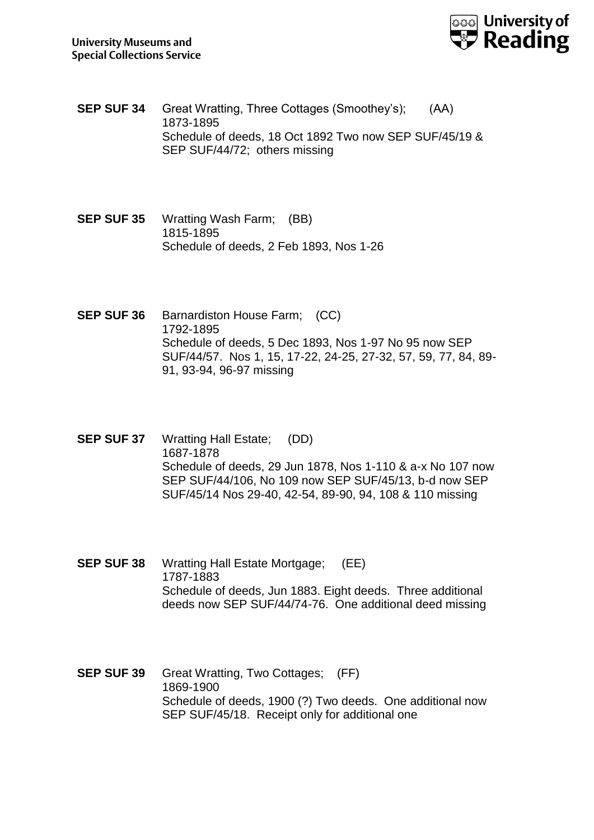

- **SEP SUF 34** Great Wratting, Three Cottages (Smoothey's); (AA) 1873-1895 Schedule of deeds, 18 Oct 1892 Two now SEP SUF/45/19 & SEP SUF/44/72; others missing
- **SEP SUF 35** Wratting Wash Farm; (BB) 1815-1895 Schedule of deeds, 2 Feb 1893, Nos 1-26
- **SEP SUF 36** Barnardiston House Farm; (CC) 1792-1895 Schedule of deeds, 5 Dec 1893, Nos 1-97 No 95 now SEP SUF/44/57. Nos 1, 15, 17-22, 24-25, 27-32, 57, 59, 77, 84, 89- 91, 93-94, 96-97 missing
- **SEP SUF 37** Wratting Hall Estate; (DD) 1687-1878 Schedule of deeds, 29 Jun 1878, Nos 1-110 & a-x No 107 now SEP SUF/44/106, No 109 now SEP SUF/45/13, b-d now SEP SUF/45/14 Nos 29-40, 42-54, 89-90, 94, 108 & 110 missing
- **SEP SUF 38** Wratting Hall Estate Mortgage; (EE) 1787-1883 Schedule of deeds, Jun 1883. Eight deeds. Three additional deeds now SEP SUF/44/74-76. One additional deed missing
- **SEP SUF 39** Great Wratting, Two Cottages; (FF) 1869-1900 Schedule of deeds, 1900 (?) Two deeds. One additional now SEP SUF/45/18. Receipt only for additional one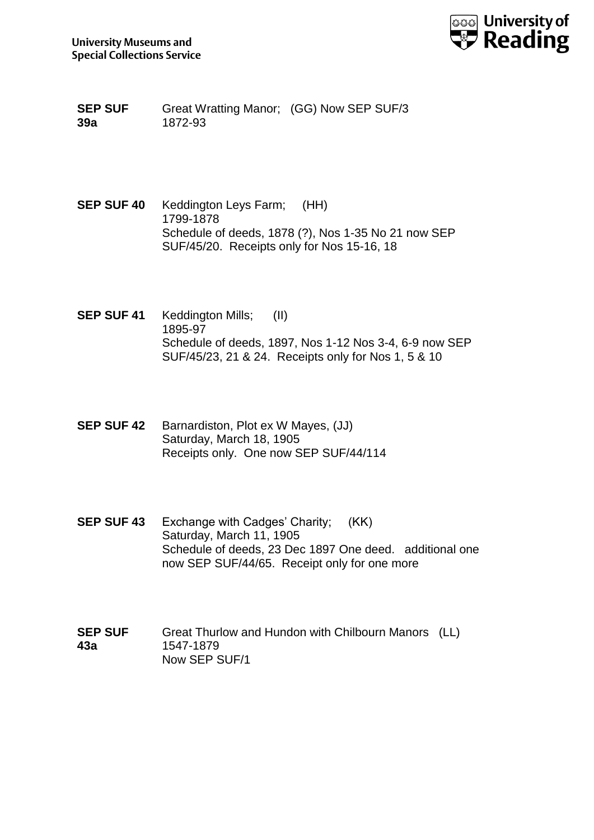

**SEP SUF 39a** Great Wratting Manor; (GG) Now SEP SUF/3 1872-93

- **SEP SUF 40** Keddington Leys Farm; (HH) 1799-1878 Schedule of deeds, 1878 (?), Nos 1-35 No 21 now SEP SUF/45/20. Receipts only for Nos 15-16, 18
- **SEP SUF 41** Keddington Mills; (II) 1895-97 Schedule of deeds, 1897, Nos 1-12 Nos 3-4, 6-9 now SEP SUF/45/23, 21 & 24. Receipts only for Nos 1, 5 & 10
- **SEP SUF 42** Barnardiston, Plot ex W Mayes, (JJ) Saturday, March 18, 1905 Receipts only. One now SEP SUF/44/114
- **SEP SUF 43** Exchange with Cadges' Charity; (KK) Saturday, March 11, 1905 Schedule of deeds, 23 Dec 1897 One deed. additional one now SEP SUF/44/65. Receipt only for one more
- **SEP SUF 43a** Great Thurlow and Hundon with Chilbourn Manors (LL) 1547-1879 Now SEP SUF/1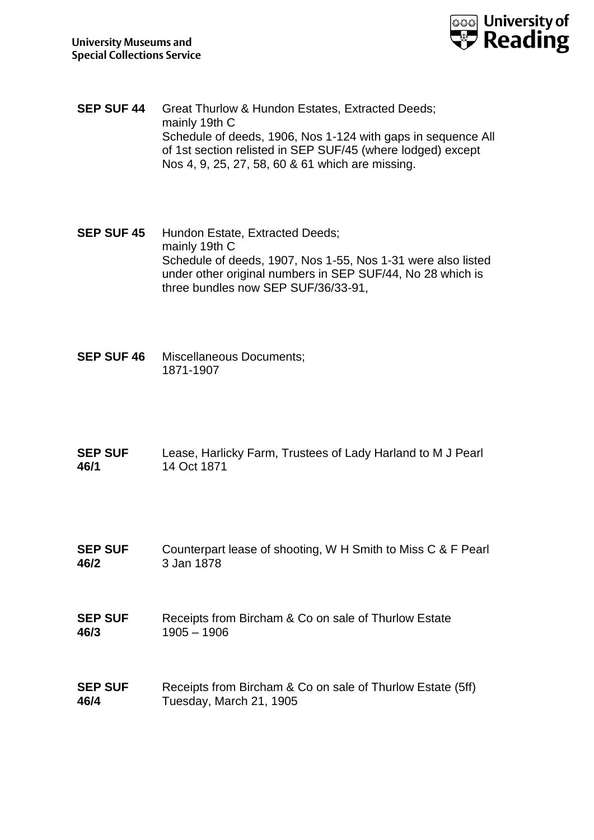

- **SEP SUF 44** Great Thurlow & Hundon Estates, Extracted Deeds; mainly 19th C Schedule of deeds, 1906, Nos 1-124 with gaps in sequence All of 1st section relisted in SEP SUF/45 (where lodged) except Nos 4, 9, 25, 27, 58, 60 & 61 which are missing.
- **SEP SUF 45** Hundon Estate, Extracted Deeds; mainly 19th C Schedule of deeds, 1907, Nos 1-55, Nos 1-31 were also listed under other original numbers in SEP SUF/44, No 28 which is three bundles now SEP SUF/36/33-91,
- **SEP SUF 46** Miscellaneous Documents; 1871-1907
- **SEP SUF 46/1** Lease, Harlicky Farm, Trustees of Lady Harland to M J Pearl 14 Oct 1871
- **SEP SUF 46/2** Counterpart lease of shooting, W H Smith to Miss C & F Pearl 3 Jan 1878
- **SEP SUF 46/3** Receipts from Bircham & Co on sale of Thurlow Estate 1905 – 1906
- **SEP SUF 46/4** Receipts from Bircham & Co on sale of Thurlow Estate (5ff) Tuesday, March 21, 1905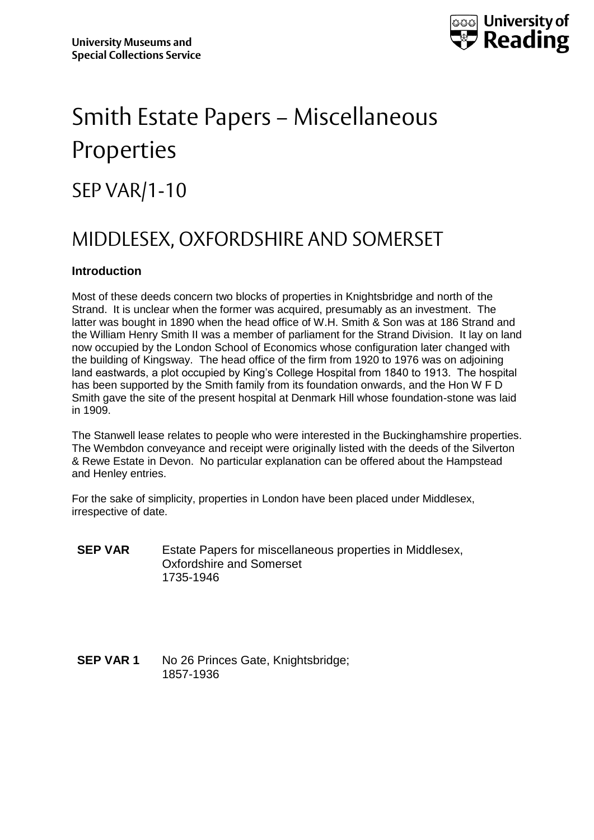

## Smith Estate Papers – Miscellaneous Properties

## SEP VAR/1-10

### MIDDLESEX, OXFORDSHIRE AND SOMERSET

### **Introduction**

Most of these deeds concern two blocks of properties in Knightsbridge and north of the Strand. It is unclear when the former was acquired, presumably as an investment. The latter was bought in 1890 when the head office of W.H. Smith & Son was at 186 Strand and the William Henry Smith II was a member of parliament for the Strand Division. It lay on land now occupied by the London School of Economics whose configuration later changed with the building of Kingsway. The head office of the firm from 1920 to 1976 was on adjoining land eastwards, a plot occupied by King's College Hospital from 1840 to 1913. The hospital has been supported by the Smith family from its foundation onwards, and the Hon W F D Smith gave the site of the present hospital at Denmark Hill whose foundation-stone was laid in 1909.

The Stanwell lease relates to people who were interested in the Buckinghamshire properties. The Wembdon conveyance and receipt were originally listed with the deeds of the Silverton & Rewe Estate in Devon. No particular explanation can be offered about the Hampstead and Henley entries.

For the sake of simplicity, properties in London have been placed under Middlesex, irrespective of date.

- **SEP VAR** Estate Papers for miscellaneous properties in Middlesex, Oxfordshire and Somerset 1735-1946
- **SEP VAR 1** No 26 Princes Gate, Knightsbridge: 1857-1936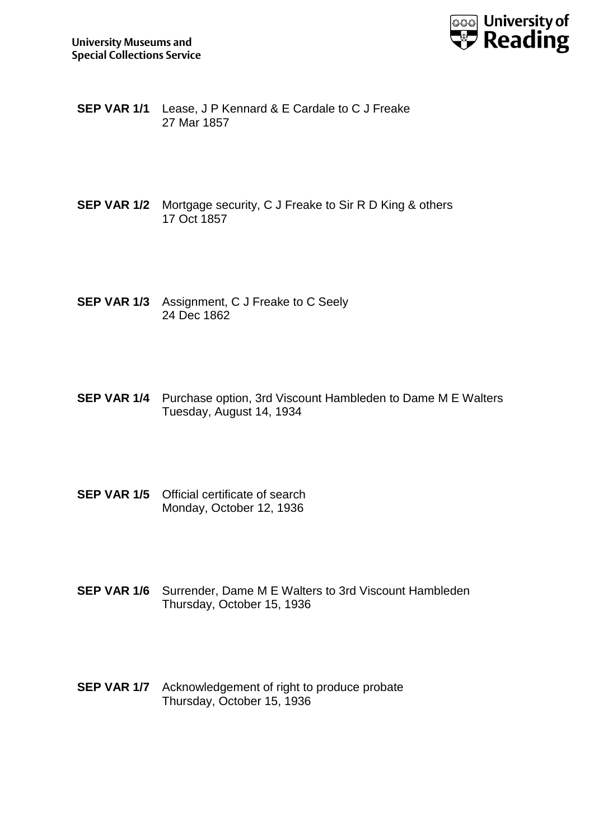

- **SEP VAR 1/1** Lease, J P Kennard & E Cardale to C J Freake 27 Mar 1857
- **SEP VAR 1/2** Mortgage security, C J Freake to Sir R D King & others 17 Oct 1857
- **SEP VAR 1/3** Assignment, C J Freake to C Seely 24 Dec 1862
- **SEP VAR 1/4** Purchase option, 3rd Viscount Hambleden to Dame M E Walters Tuesday, August 14, 1934
- **SEP VAR 1/5** Official certificate of search Monday, October 12, 1936
- **SEP VAR 1/6** Surrender, Dame M E Walters to 3rd Viscount Hambleden Thursday, October 15, 1936
- **SEP VAR 1/7** Acknowledgement of right to produce probate Thursday, October 15, 1936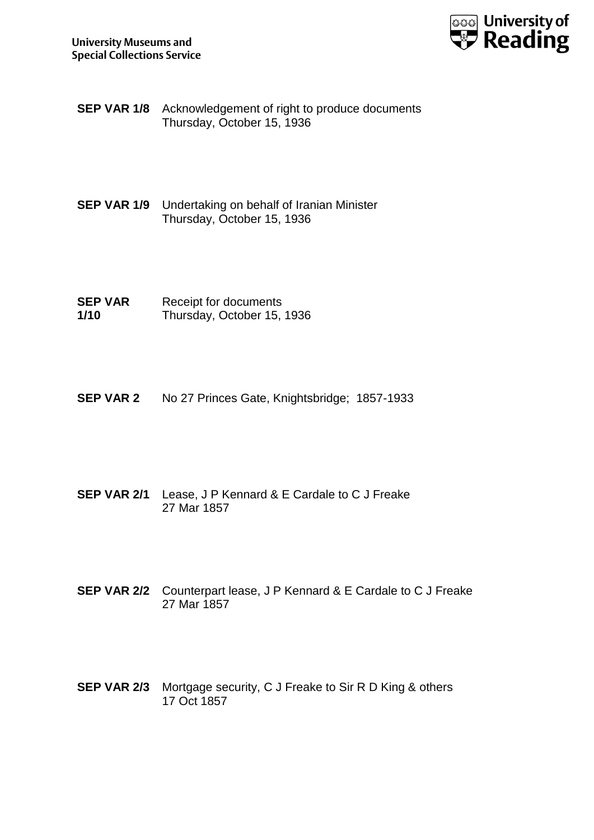

- **SEP VAR 1/8** Acknowledgement of right to produce documents Thursday, October 15, 1936
- **SEP VAR 1/9** Undertaking on behalf of Iranian Minister Thursday, October 15, 1936
- **SEP VAR 1/10** Receipt for documents Thursday, October 15, 1936
- **SEP VAR 2** No 27 Princes Gate, Knightsbridge; 1857-1933
- **SEP VAR 2/1** Lease, J P Kennard & E Cardale to C J Freake 27 Mar 1857
- **SEP VAR 2/2** Counterpart lease, J P Kennard & E Cardale to C J Freake 27 Mar 1857
- **SEP VAR 2/3** Mortgage security, C J Freake to Sir R D King & others 17 Oct 1857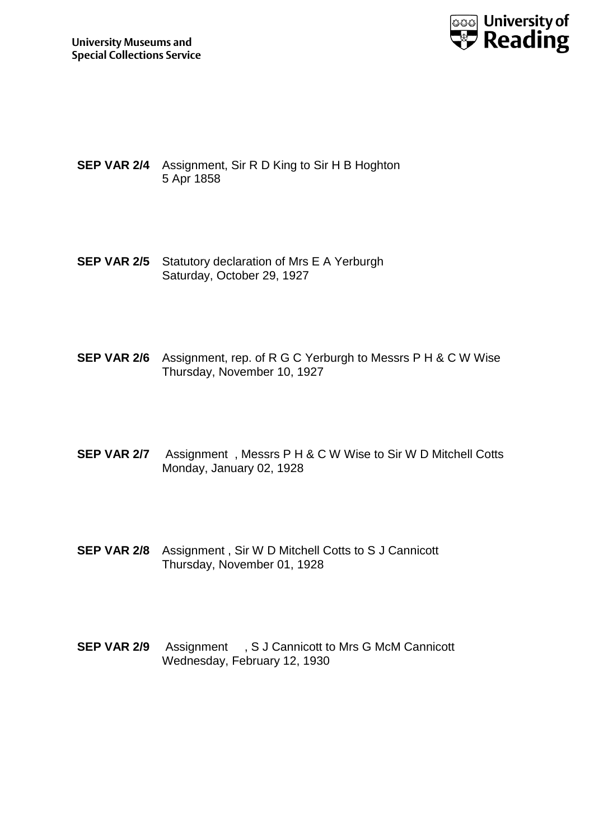

- **SEP VAR 2/4** Assignment, Sir R D King to Sir H B Hoghton 5 Apr 1858
- **SEP VAR 2/5** Statutory declaration of Mrs E A Yerburgh Saturday, October 29, 1927
- **SEP VAR 2/6** Assignment, rep. of R G C Yerburgh to Messrs P H & C W Wise Thursday, November 10, 1927
- **SEP VAR 2/7** Assignment , Messrs P H & C W Wise to Sir W D Mitchell Cotts Monday, January 02, 1928
- **SEP VAR 2/8** Assignment , Sir W D Mitchell Cotts to S J Cannicott Thursday, November 01, 1928
- **SEP VAR 2/9** Assignment , S J Cannicott to Mrs G McM Cannicott Wednesday, February 12, 1930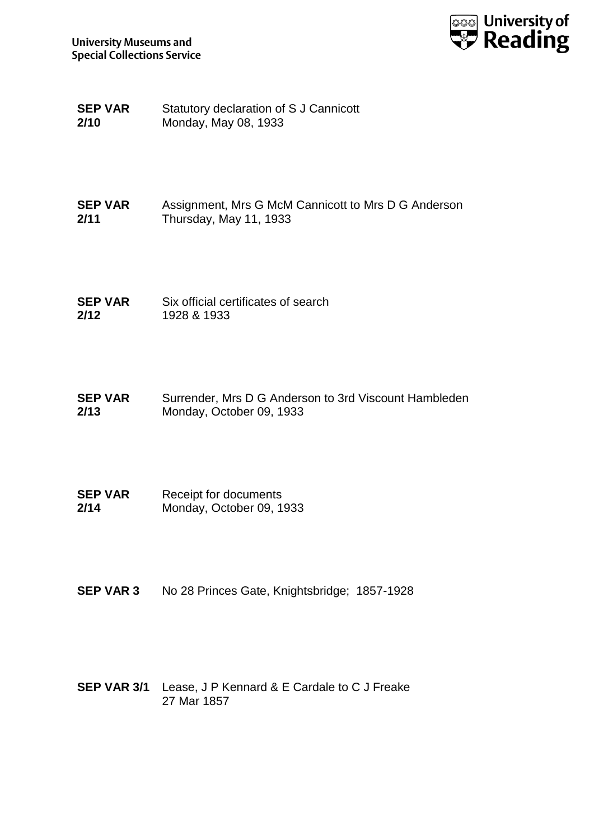

- **SEP VAR 2/10** Statutory declaration of S J Cannicott Monday, May 08, 1933
- **SEP VAR 2/11** Assignment, Mrs G McM Cannicott to Mrs D G Anderson Thursday, May 11, 1933
- **SEP VAR 2/12** Six official certificates of search 1928 & 1933
- **SEP VAR 2/13** Surrender, Mrs D G Anderson to 3rd Viscount Hambleden Monday, October 09, 1933
- **SEP VAR 2/14** Receipt for documents Monday, October 09, 1933
- **SEP VAR 3** No 28 Princes Gate, Knightsbridge; 1857-1928
- **SEP VAR 3/1** Lease, J P Kennard & E Cardale to C J Freake 27 Mar 1857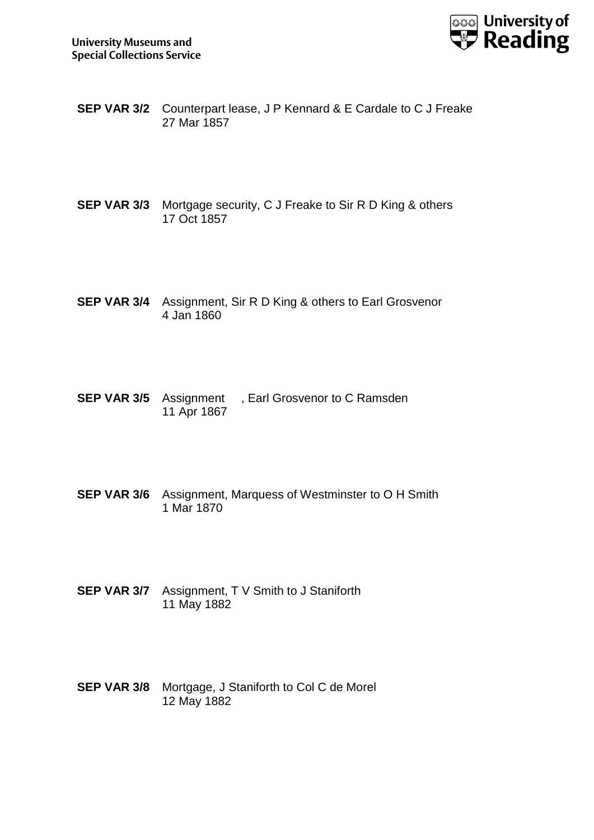

- **SEP VAR 3/2** Counterpart lease, J P Kennard & E Cardale to C J Freake 27 Mar 1857
- **SEP VAR 3/3** Mortgage security, C J Freake to Sir R D King & others 17 Oct 1857
- **SEP VAR 3/4** Assignment, Sir R D King & others to Earl Grosvenor 4 Jan 1860
- **SEP VAR 3/5** Assignment, Earl Grosvenor to C Ramsden 11 Apr 1867
- **SEP VAR 3/6** Assignment, Marquess of Westminster to O H Smith 1 Mar 1870
- **SEP VAR 3/7** Assignment, T V Smith to J Staniforth 11 May 1882
- **SEP VAR 3/8** Mortgage, J Staniforth to Col C de Morel 12 May 1882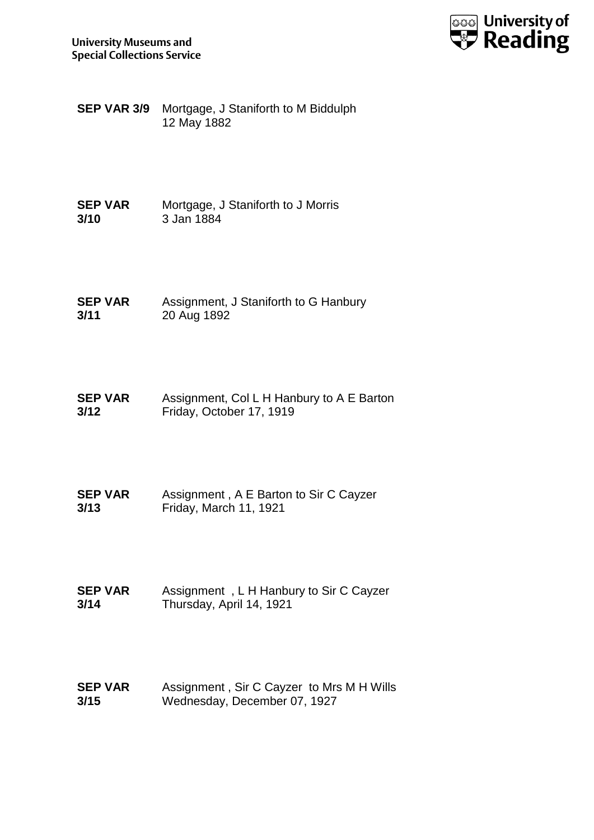

**SEP VAR 3/9** Mortgage, J Staniforth to M Biddulph 12 May 1882

**SEP VAR 3/10** Mortgage, J Staniforth to J Morris 3 Jan 1884

**SEP VAR 3/11** Assignment, J Staniforth to G Hanbury 20 Aug 1892

**SEP VAR 3/12** Assignment, Col L H Hanbury to A E Barton Friday, October 17, 1919

**SEP VAR 3/13** Assignment , A E Barton to Sir C Cayzer Friday, March 11, 1921

**SEP VAR 3/14** Assignment , L H Hanbury to Sir C Cayzer Thursday, April 14, 1921

**SEP VAR 3/15** Assignment , Sir C Cayzer to Mrs M H Wills Wednesday, December 07, 1927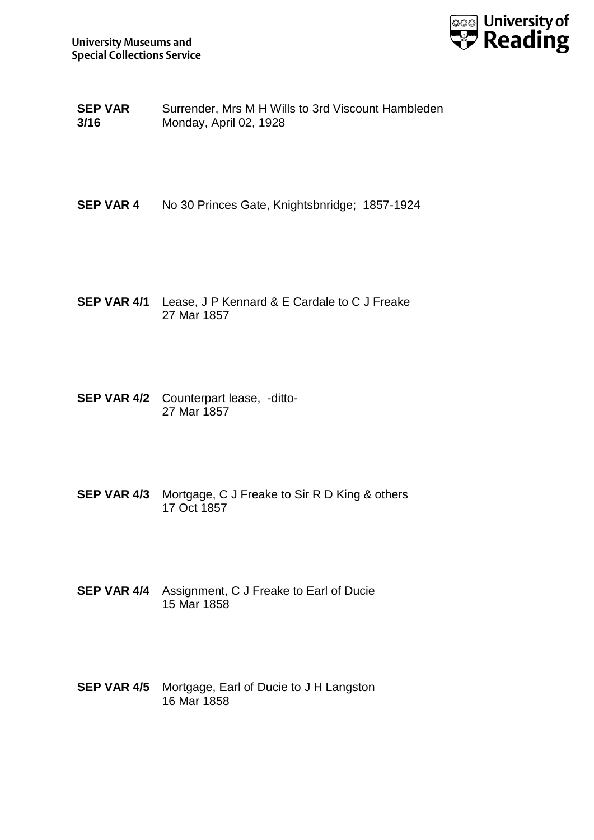

**SEP VAR 3/16** Surrender, Mrs M H Wills to 3rd Viscount Hambleden Monday, April 02, 1928

**SEP VAR 4** No 30 Princes Gate, Knightsbnridge; 1857-1924

- **SEP VAR 4/1** Lease, J P Kennard & E Cardale to C J Freake 27 Mar 1857
- **SEP VAR 4/2** Counterpart lease, -ditto-27 Mar 1857
- **SEP VAR 4/3** Mortgage, C J Freake to Sir R D King & others 17 Oct 1857
- **SEP VAR 4/4** Assignment, C J Freake to Earl of Ducie 15 Mar 1858
- **SEP VAR 4/5** Mortgage, Earl of Ducie to J H Langston 16 Mar 1858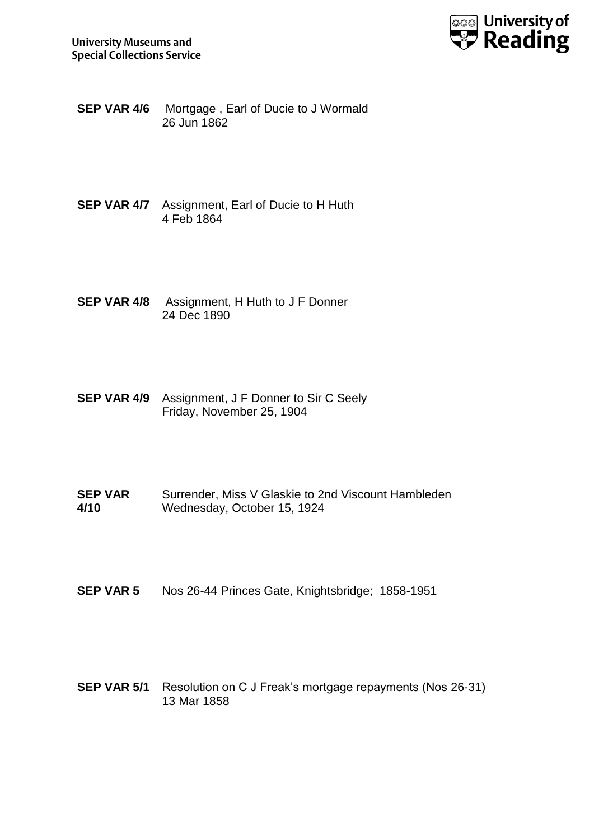

- **SEP VAR 4/6** Mortgage , Earl of Ducie to J Wormald 26 Jun 1862
- **SEP VAR 4/7** Assignment, Earl of Ducie to H Huth 4 Feb 1864
- **SEP VAR 4/8** Assignment, H Huth to J F Donner 24 Dec 1890
- **SEP VAR 4/9** Assignment, J F Donner to Sir C Seely Friday, November 25, 1904
- **SEP VAR 4/10** Surrender, Miss V Glaskie to 2nd Viscount Hambleden Wednesday, October 15, 1924
- **SEP VAR 5** Nos 26-44 Princes Gate, Knightsbridge; 1858-1951
- **SEP VAR 5/1** Resolution on C J Freak's mortgage repayments (Nos 26-31) 13 Mar 1858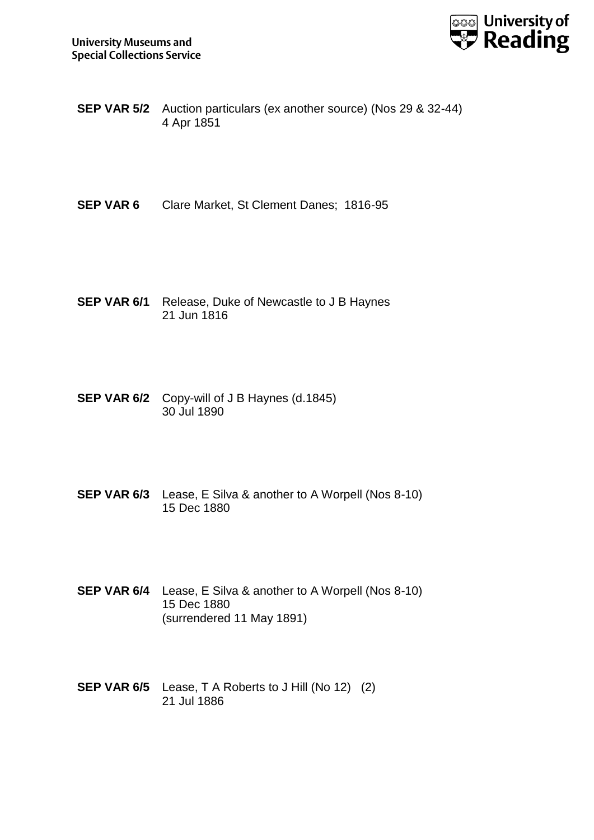

- **SEP VAR 5/2** Auction particulars (ex another source) (Nos 29 & 32-44) 4 Apr 1851
- **SEP VAR 6** Clare Market, St Clement Danes; 1816-95
- **SEP VAR 6/1** Release, Duke of Newcastle to J B Haynes 21 Jun 1816
- **SEP VAR 6/2** Copy-will of J B Haynes (d.1845) 30 Jul 1890
- **SEP VAR 6/3** Lease, E Silva & another to A Worpell (Nos 8-10) 15 Dec 1880
- **SEP VAR 6/4** Lease, E Silva & another to A Worpell (Nos 8-10) 15 Dec 1880 (surrendered 11 May 1891)
- **SEP VAR 6/5** Lease, T A Roberts to J Hill (No 12) (2) 21 Jul 1886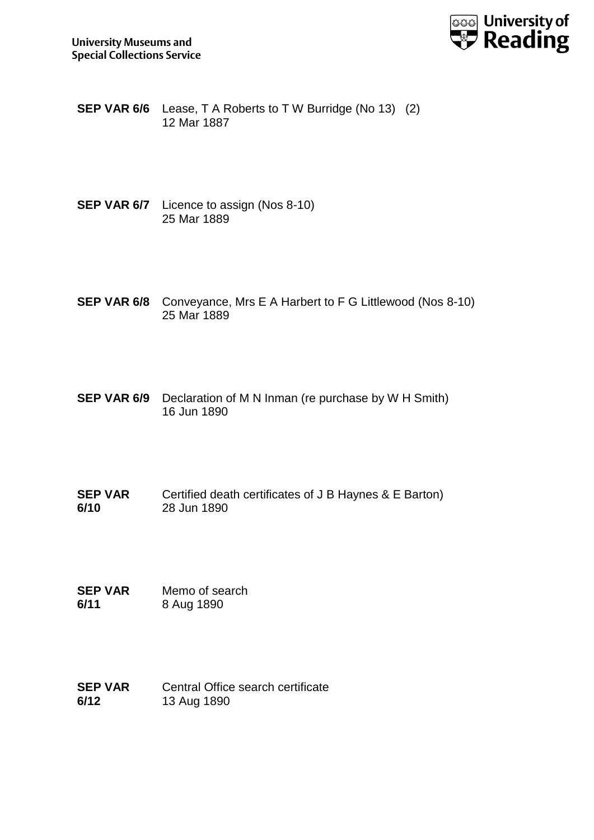

- **SEP VAR 6/6** Lease, T A Roberts to T W Burridge (No 13) (2) 12 Mar 1887
- **SEP VAR 6/7** Licence to assign (Nos 8-10) 25 Mar 1889
- **SEP VAR 6/8** Conveyance, Mrs E A Harbert to F G Littlewood (Nos 8-10) 25 Mar 1889
- **SEP VAR 6/9** Declaration of M N Inman (re purchase by W H Smith) 16 Jun 1890
- **SEP VAR 6/10** Certified death certificates of J B Haynes & E Barton) 28 Jun 1890
- **SEP VAR 6/11** Memo of search 8 Aug 1890
- **SEP VAR 6/12** Central Office search certificate 13 Aug 1890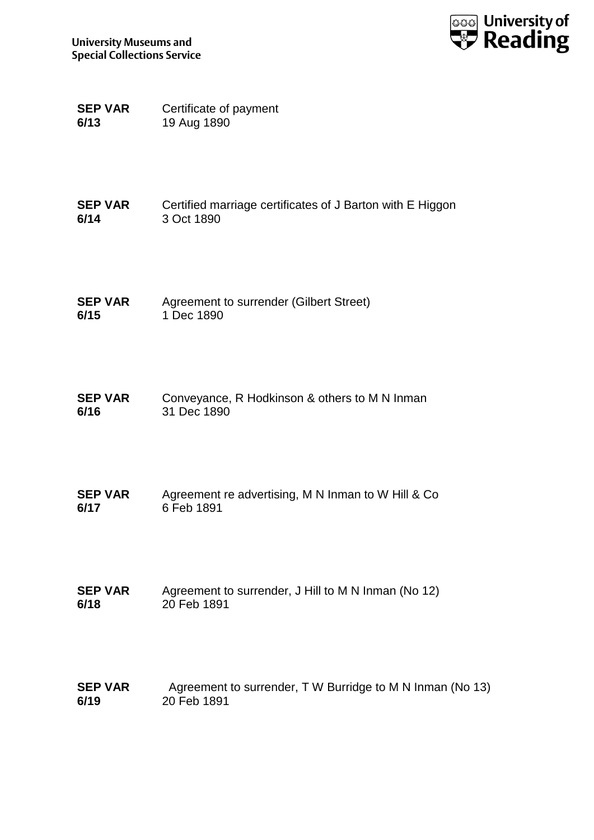

**SEP VAR 6/13** Certificate of payment 19 Aug 1890

**SEP VAR 6/14** Certified marriage certificates of J Barton with E Higgon 3 Oct 1890

- **SEP VAR 6/15** Agreement to surrender (Gilbert Street) 1 Dec 1890
- **SEP VAR 6/16** Conveyance, R Hodkinson & others to M N Inman 31 Dec 1890
- **SEP VAR 6/17** Agreement re advertising, M N Inman to W Hill & Co 6 Feb 1891
- **SEP VAR 6/18** Agreement to surrender, J Hill to M N Inman (No 12) 20 Feb 1891
- **SEP VAR 6/19** Agreement to surrender, T W Burridge to M N Inman (No 13) 20 Feb 1891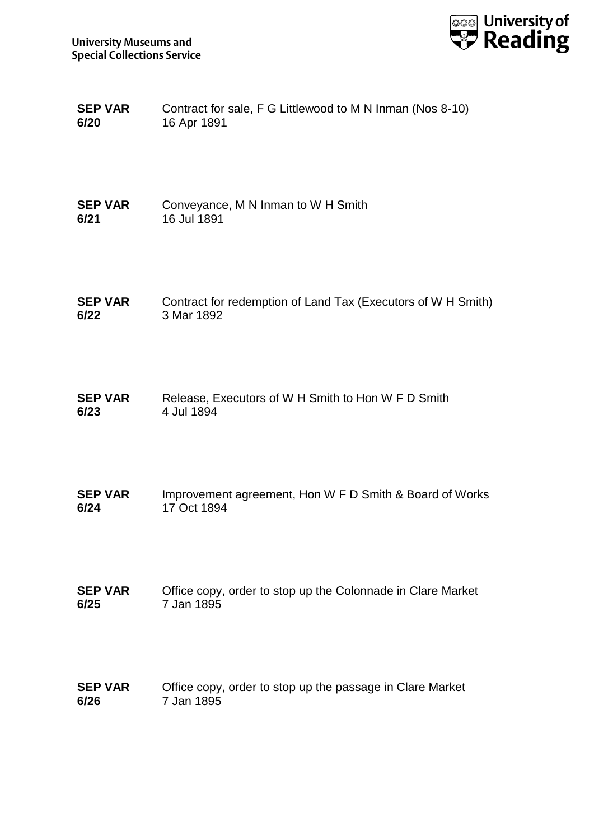

| <b>SEP VAR</b> | Contract for sale, F G Littlewood to M N Inman (Nos 8-10) |
|----------------|-----------------------------------------------------------|
| 6/20           | 16 Apr 1891                                               |

- **SEP VAR 6/21** Conveyance, M N Inman to W H Smith 16 Jul 1891
- **SEP VAR 6/22** Contract for redemption of Land Tax (Executors of W H Smith) 3 Mar 1892
- **SEP VAR 6/23** Release, Executors of W H Smith to Hon W F D Smith 4 Jul 1894
- **SEP VAR 6/24** Improvement agreement, Hon W F D Smith & Board of Works 17 Oct 1894
- **SEP VAR 6/25** Office copy, order to stop up the Colonnade in Clare Market 7 Jan 1895
- **SEP VAR 6/26** Office copy, order to stop up the passage in Clare Market 7 Jan 1895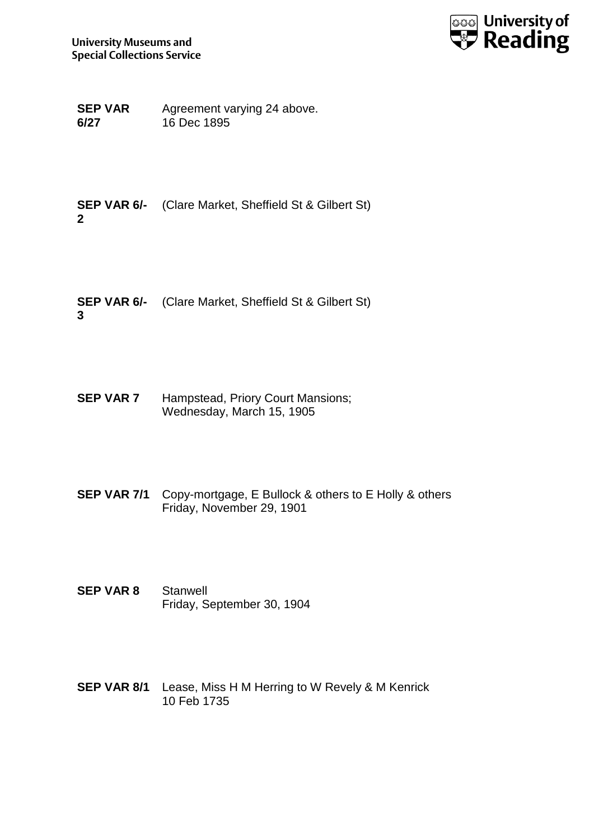

**SEP VAR 6/27** Agreement varying 24 above. 16 Dec 1895

**SEP VAR 6/-** (Clare Market, Sheffield St & Gilbert St) **2**

**SEP VAR 6/-** (Clare Market, Sheffield St & Gilbert St) **3**

**SEP VAR 7** Hampstead, Priory Court Mansions; Wednesday, March 15, 1905

- **SEP VAR 7/1** Copy-mortgage, E Bullock & others to E Holly & others Friday, November 29, 1901
- **SEP VAR 8** Stanwell Friday, September 30, 1904
- **SEP VAR 8/1** Lease, Miss H M Herring to W Revely & M Kenrick 10 Feb 1735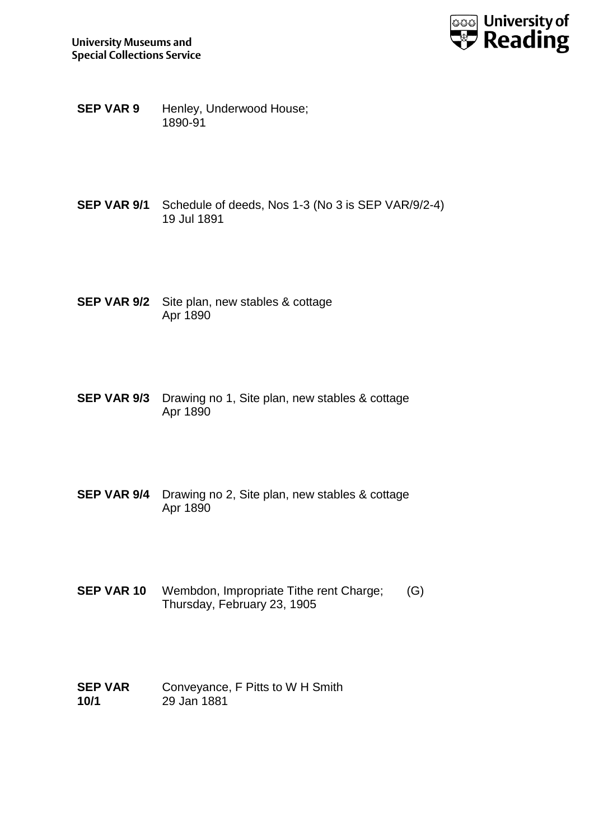

- **SEP VAR 9** Henley, Underwood House; 1890-91
- **SEP VAR 9/1** Schedule of deeds, Nos 1-3 (No 3 is SEP VAR/9/2-4) 19 Jul 1891
- **SEP VAR 9/2** Site plan, new stables & cottage Apr 1890
- **SEP VAR 9/3** Drawing no 1, Site plan, new stables & cottage Apr 1890
- **SEP VAR 9/4** Drawing no 2, Site plan, new stables & cottage Apr 1890
- **SEP VAR 10** Wembdon, Impropriate Tithe rent Charge; (G) Thursday, February 23, 1905
- **SEP VAR 10/1** Conveyance, F Pitts to W H Smith 29 Jan 1881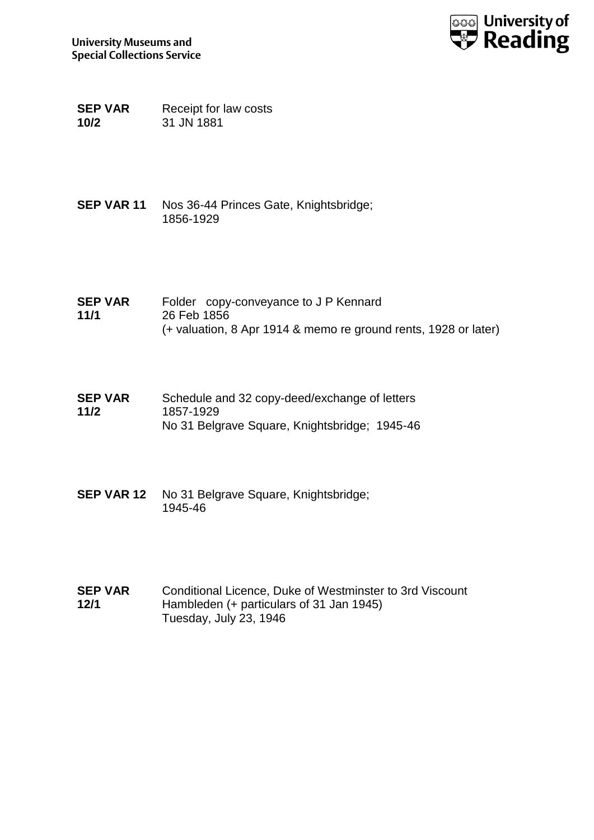

**SEP VAR 10/2** Receipt for law costs 31 JN 1881

- **SEP VAR 11** Nos 36-44 Princes Gate, Knightsbridge; 1856-1929
- **SEP VAR 11/1** Folder copy-conveyance to J P Kennard 26 Feb 1856 (+ valuation, 8 Apr 1914 & memo re ground rents, 1928 or later)
- **SEP VAR 11/2** Schedule and 32 copy-deed/exchange of letters 1857-1929 No 31 Belgrave Square, Knightsbridge; 1945-46
- **SEP VAR 12** No 31 Belgrave Square, Knightsbridge; 1945-46
- **SEP VAR 12/1** Conditional Licence, Duke of Westminster to 3rd Viscount Hambleden (+ particulars of 31 Jan 1945) Tuesday, July 23, 1946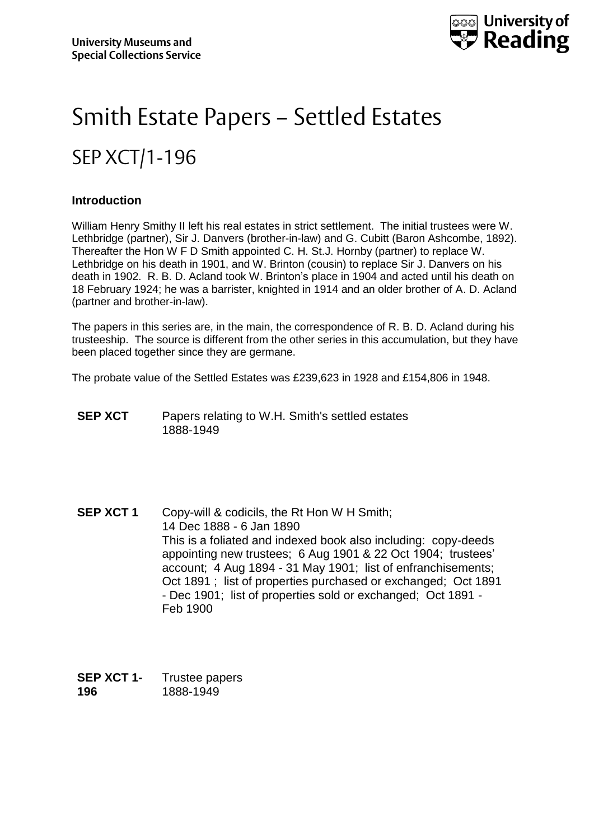

# Smith Estate Papers – Settled Estates SEP XCT/1-196

#### **Introduction**

William Henry Smithy II left his real estates in strict settlement. The initial trustees were W. Lethbridge (partner), Sir J. Danvers (brother-in-law) and G. Cubitt (Baron Ashcombe, 1892). Thereafter the Hon W F D Smith appointed C. H. St.J. Hornby (partner) to replace W. Lethbridge on his death in 1901, and W. Brinton (cousin) to replace Sir J. Danvers on his death in 1902. R. B. D. Acland took W. Brinton's place in 1904 and acted until his death on 18 February 1924; he was a barrister, knighted in 1914 and an older brother of A. D. Acland (partner and brother-in-law).

The papers in this series are, in the main, the correspondence of R. B. D. Acland during his trusteeship. The source is different from the other series in this accumulation, but they have been placed together since they are germane.

The probate value of the Settled Estates was £239,623 in 1928 and £154,806 in 1948.

- **SEP XCT** Papers relating to W.H. Smith's settled estates 1888-1949
- **SEP XCT 1** Copy-will & codicils, the Rt Hon W H Smith; 14 Dec 1888 - 6 Jan 1890 This is a foliated and indexed book also including: copy-deeds appointing new trustees; 6 Aug 1901 & 22 Oct 1904; trustees' account; 4 Aug 1894 - 31 May 1901; list of enfranchisements; Oct 1891 ; list of properties purchased or exchanged; Oct 1891 - Dec 1901; list of properties sold or exchanged; Oct 1891 - Feb 1900

| SEP XCT 1- | Trustee papers |
|------------|----------------|
| 196        | 1888-1949      |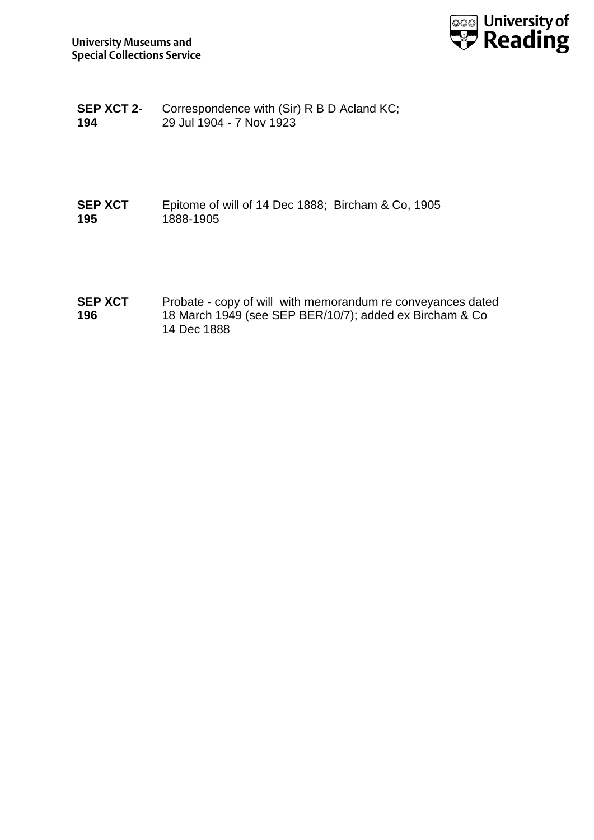

**SEP XCT 2- 194** Correspondence with (Sir) R B D Acland KC; 29 Jul 1904 - 7 Nov 1923

#### **SEP XCT 195** Epitome of will of 14 Dec 1888; Bircham & Co, 1905 1888-1905

**SEP XCT 196** Probate - copy of will with memorandum re conveyances dated 18 March 1949 (see SEP BER/10/7); added ex Bircham & Co 14 Dec 1888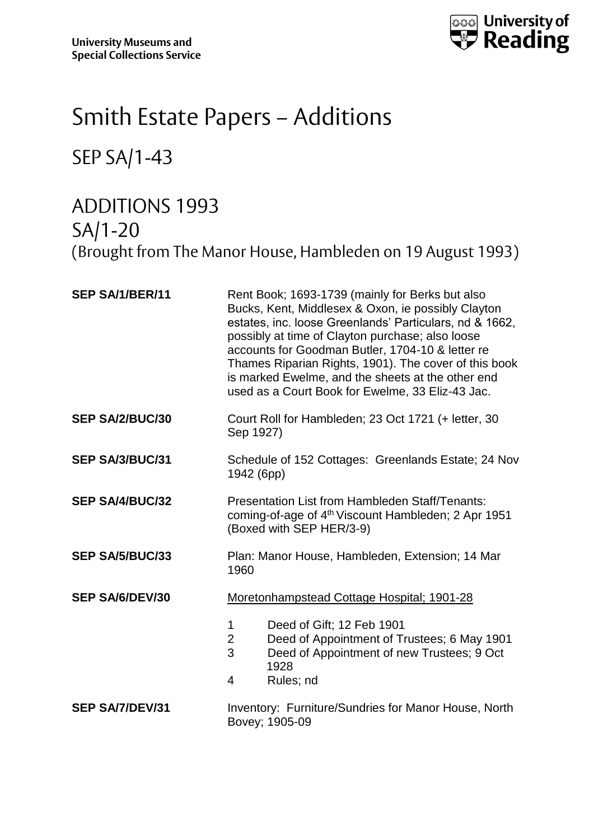

## Smith Estate Papers – Additions

#### SEP SA/1-43

### ADDITIONS 1993 SA/1-20 (Brought from The Manor House, Hambleden on 19 August 1993)

| SEP SA/1/BER/11        | Rent Book; 1693-1739 (mainly for Berks but also<br>Bucks, Kent, Middlesex & Oxon, ie possibly Clayton<br>estates, inc. loose Greenlands' Particulars, nd & 1662,<br>possibly at time of Clayton purchase; also loose<br>accounts for Goodman Butler, 1704-10 & letter re<br>Thames Riparian Rights, 1901). The cover of this book<br>is marked Ewelme, and the sheets at the other end<br>used as a Court Book for Ewelme, 33 Eliz-43 Jac. |
|------------------------|--------------------------------------------------------------------------------------------------------------------------------------------------------------------------------------------------------------------------------------------------------------------------------------------------------------------------------------------------------------------------------------------------------------------------------------------|
| <b>SEP SA/2/BUC/30</b> | Court Roll for Hambleden; 23 Oct 1721 (+ letter, 30<br>Sep 1927)                                                                                                                                                                                                                                                                                                                                                                           |
| <b>SEP SA/3/BUC/31</b> | Schedule of 152 Cottages: Greenlands Estate; 24 Nov<br>1942 (6pp)                                                                                                                                                                                                                                                                                                                                                                          |
| <b>SEP SA/4/BUC/32</b> | Presentation List from Hambleden Staff/Tenants:<br>coming-of-age of 4 <sup>th</sup> Viscount Hambleden; 2 Apr 1951<br>(Boxed with SEP HER/3-9)                                                                                                                                                                                                                                                                                             |
| <b>SEP SA/5/BUC/33</b> | Plan: Manor House, Hambleden, Extension; 14 Mar<br>1960                                                                                                                                                                                                                                                                                                                                                                                    |
| <b>SEP SA/6/DEV/30</b> | Moretonhampstead Cottage Hospital; 1901-28                                                                                                                                                                                                                                                                                                                                                                                                 |
|                        | Deed of Gift; 12 Feb 1901<br>1<br>$\overline{2}$<br>Deed of Appointment of Trustees; 6 May 1901<br>3<br>Deed of Appointment of new Trustees; 9 Oct<br>1928<br>$\overline{4}$<br>Rules; nd                                                                                                                                                                                                                                                  |
| <b>SEP SA/7/DEV/31</b> | Inventory: Furniture/Sundries for Manor House, North<br>Bovey; 1905-09                                                                                                                                                                                                                                                                                                                                                                     |
|                        |                                                                                                                                                                                                                                                                                                                                                                                                                                            |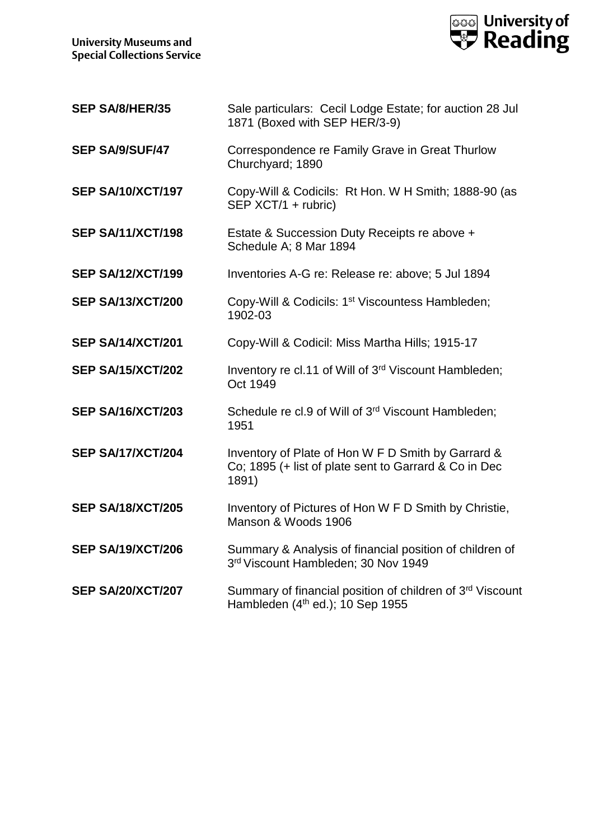

| SEP SA/8/HER/35          | Sale particulars: Cecil Lodge Estate; for auction 28 Jul<br>1871 (Boxed with SEP HER/3-9)                            |
|--------------------------|----------------------------------------------------------------------------------------------------------------------|
| SEP SA/9/SUF/47          | Correspondence re Family Grave in Great Thurlow<br>Churchyard; 1890                                                  |
| <b>SEP SA/10/XCT/197</b> | Copy-Will & Codicils: Rt Hon. W H Smith; 1888-90 (as<br>SEP XCT/1 + rubric)                                          |
| <b>SEP SA/11/XCT/198</b> | Estate & Succession Duty Receipts re above +<br>Schedule A; 8 Mar 1894                                               |
| <b>SEP SA/12/XCT/199</b> | Inventories A-G re: Release re: above; 5 Jul 1894                                                                    |
| <b>SEP SA/13/XCT/200</b> | Copy-Will & Codicils: 1 <sup>st</sup> Viscountess Hambleden;<br>1902-03                                              |
| <b>SEP SA/14/XCT/201</b> | Copy-Will & Codicil: Miss Martha Hills; 1915-17                                                                      |
| <b>SEP SA/15/XCT/202</b> | Inventory re cl.11 of Will of 3rd Viscount Hambleden;<br>Oct 1949                                                    |
| <b>SEP SA/16/XCT/203</b> | Schedule re cl.9 of Will of 3rd Viscount Hambleden;<br>1951                                                          |
| SEP SA/17/XCT/204        | Inventory of Plate of Hon W F D Smith by Garrard &<br>Co; 1895 (+ list of plate sent to Garrard & Co in Dec<br>1891) |
| <b>SEP SA/18/XCT/205</b> | Inventory of Pictures of Hon W F D Smith by Christie,<br>Manson & Woods 1906                                         |
| <b>SEP SA/19/XCT/206</b> | Summary & Analysis of financial position of children of<br>3rd Viscount Hambleden; 30 Nov 1949                       |
| <b>SEP SA/20/XCT/207</b> | Summary of financial position of children of 3rd Viscount<br>Hambleden $(4th$ ed.); 10 Sep 1955                      |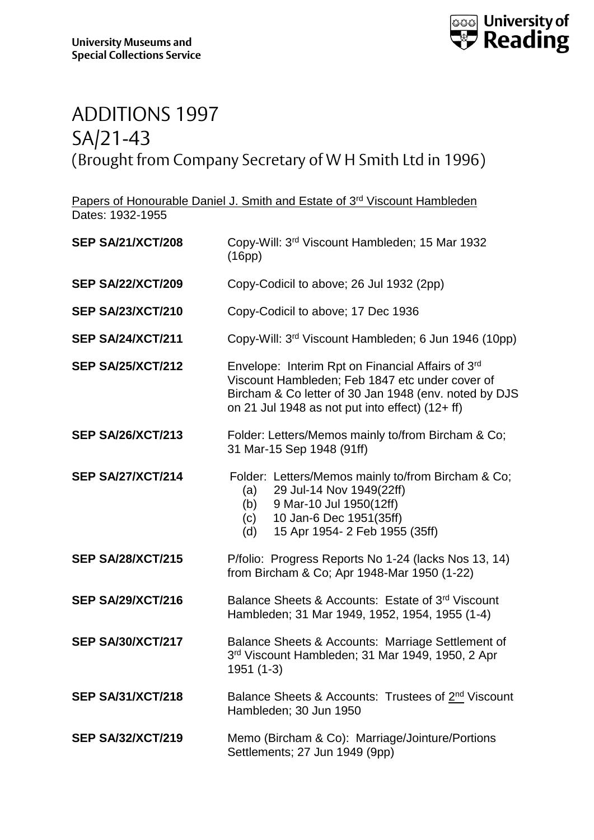

#### ADDITIONS 1997 SA/21-43 (Brought from Company Secretary of W H Smith Ltd in 1996)

Papers of Honourable Daniel J. Smith and Estate of 3<sup>rd</sup> Viscount Hambleden Dates: 1932-1955

| <b>SEP SA/21/XCT/208</b> | Copy-Will: 3rd Viscount Hambleden; 15 Mar 1932<br>(16pp)                                                                                                                                                         |
|--------------------------|------------------------------------------------------------------------------------------------------------------------------------------------------------------------------------------------------------------|
| <b>SEP SA/22/XCT/209</b> | Copy-Codicil to above; 26 Jul 1932 (2pp)                                                                                                                                                                         |
| <b>SEP SA/23/XCT/210</b> | Copy-Codicil to above; 17 Dec 1936                                                                                                                                                                               |
| <b>SEP SA/24/XCT/211</b> | Copy-Will: 3rd Viscount Hambleden; 6 Jun 1946 (10pp)                                                                                                                                                             |
| <b>SEP SA/25/XCT/212</b> | Envelope: Interim Rpt on Financial Affairs of 3rd<br>Viscount Hambleden; Feb 1847 etc under cover of<br>Bircham & Co letter of 30 Jan 1948 (env. noted by DJS<br>on 21 Jul 1948 as not put into effect) (12+ ff) |
| <b>SEP SA/26/XCT/213</b> | Folder: Letters/Memos mainly to/from Bircham & Co;<br>31 Mar-15 Sep 1948 (91ff)                                                                                                                                  |
| <b>SEP SA/27/XCT/214</b> | Folder: Letters/Memos mainly to/from Bircham & Co;<br>29 Jul-14 Nov 1949(22ff)<br>(a)<br>9 Mar-10 Jul 1950(12ff)<br>(b)<br>(c) 10 Jan-6 Dec 1951(35ff)<br>15 Apr 1954- 2 Feb 1955 (35ff)<br>(d)                  |
| <b>SEP SA/28/XCT/215</b> | P/folio: Progress Reports No 1-24 (lacks Nos 13, 14)<br>from Bircham & Co; Apr 1948-Mar 1950 (1-22)                                                                                                              |
| <b>SEP SA/29/XCT/216</b> | Balance Sheets & Accounts: Estate of 3rd Viscount<br>Hambleden; 31 Mar 1949, 1952, 1954, 1955 (1-4)                                                                                                              |
| <b>SEP SA/30/XCT/217</b> | Balance Sheets & Accounts: Marriage Settlement of<br>3rd Viscount Hambleden; 31 Mar 1949, 1950, 2 Apr<br>1951 (1-3)                                                                                              |
| <b>SEP SA/31/XCT/218</b> | Balance Sheets & Accounts: Trustees of 2 <sup>nd</sup> Viscount<br>Hambleden; 30 Jun 1950                                                                                                                        |
| <b>SEP SA/32/XCT/219</b> | Memo (Bircham & Co): Marriage/Jointure/Portions<br>Settlements; 27 Jun 1949 (9pp)                                                                                                                                |